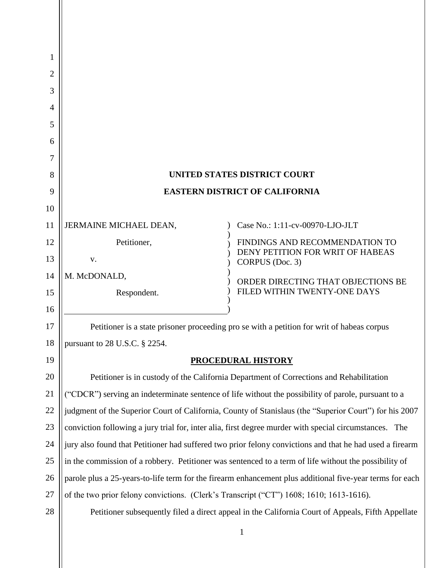| $\overline{2}$ |                                                                                         |                                                                                                          |
|----------------|-----------------------------------------------------------------------------------------|----------------------------------------------------------------------------------------------------------|
| 3              |                                                                                         |                                                                                                          |
| 4              |                                                                                         |                                                                                                          |
| 5              |                                                                                         |                                                                                                          |
| 6              |                                                                                         |                                                                                                          |
| 7              |                                                                                         |                                                                                                          |
| 8              |                                                                                         | <b>UNITED STATES DISTRICT COURT</b>                                                                      |
| 9              |                                                                                         | <b>EASTERN DISTRICT OF CALIFORNIA</b>                                                                    |
| 10             |                                                                                         |                                                                                                          |
| 11             | JERMAINE MICHAEL DEAN,                                                                  | Case No.: 1:11-cv-00970-LJO-JLT                                                                          |
| 12             | Petitioner,                                                                             | FINDINGS AND RECOMMENDATION TO<br>DENY PETITION FOR WRIT OF HABEAS                                       |
| 13             | V.                                                                                      | CORPUS (Doc. 3)                                                                                          |
| 14             | M. McDONALD,                                                                            | ORDER DIRECTING THAT OBJECTIONS BE                                                                       |
| 15             | Respondent.                                                                             | FILED WITHIN TWENTY-ONE DAYS                                                                             |
| 16             |                                                                                         |                                                                                                          |
| 17             |                                                                                         | Petitioner is a state prisoner proceeding pro se with a petition for writ of habeas corpus               |
| 18             | pursuant to 28 U.S.C. § 2254.                                                           |                                                                                                          |
| 19             |                                                                                         | <b>PROCEDURAL HISTORY</b>                                                                                |
| 20             |                                                                                         | Petitioner is in custody of the California Department of Corrections and Rehabilitation                  |
| 21             |                                                                                         | "CDCR") serving an indeterminate sentence of life without the possibility of parole, pursuant to a       |
| 22             |                                                                                         | judgment of the Superior Court of California, County of Stanislaus (the "Superior Court") for his 2007   |
| 23             |                                                                                         | conviction following a jury trial for, inter alia, first degree murder with special circumstances. The   |
| 24             |                                                                                         | jury also found that Petitioner had suffered two prior felony convictions and that he had used a firearm |
| 25             |                                                                                         | in the commission of a robbery. Petitioner was sentenced to a term of life without the possibility of    |
| 26             |                                                                                         | parole plus a 25-years-to-life term for the firearm enhancement plus additional five-year terms for each |
| 27             | of the two prior felony convictions. (Clerk's Transcript ("CT") 1608; 1610; 1613-1616). |                                                                                                          |
| 28             |                                                                                         | Petitioner subsequently filed a direct appeal in the California Court of Appeals, Fifth Appellate        |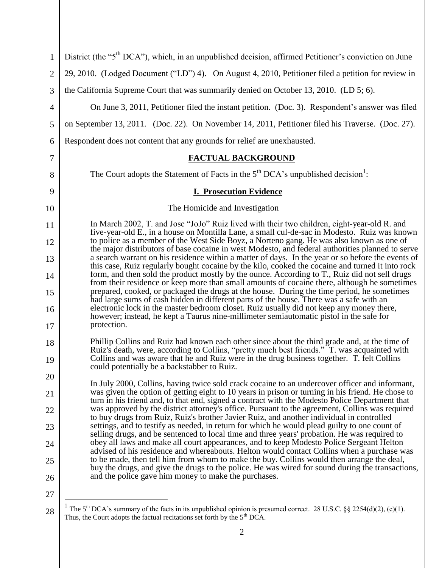| $\mathbf{1}$   | District (the "5 <sup>th</sup> DCA"), which, in an unpublished decision, affirmed Petitioner's conviction on June                                                                                                                         |
|----------------|-------------------------------------------------------------------------------------------------------------------------------------------------------------------------------------------------------------------------------------------|
| $\overline{2}$ | 29, 2010. (Lodged Document ("LD") 4). On August 4, 2010, Petitioner filed a petition for review in                                                                                                                                        |
| 3              | the California Supreme Court that was summarily denied on October 13, 2010. (LD 5; 6).                                                                                                                                                    |
| $\overline{4}$ | On June 3, 2011, Petitioner filed the instant petition. (Doc. 3). Respondent's answer was filed                                                                                                                                           |
| 5              | on September 13, 2011. (Doc. 22). On November 14, 2011, Petitioner filed his Traverse. (Doc. 27).                                                                                                                                         |
| 6              | Respondent does not content that any grounds for relief are unexhausted.                                                                                                                                                                  |
| 7              | <b>FACTUAL BACKGROUND</b>                                                                                                                                                                                                                 |
| 8              | The Court adopts the Statement of Facts in the $5th DCA$ 's unpublished decision <sup>1</sup> :                                                                                                                                           |
| 9              | <b>I. Prosecution Evidence</b>                                                                                                                                                                                                            |
| 10             | The Homicide and Investigation                                                                                                                                                                                                            |
| 11             | In March 2002, T. and Jose "JoJo" Ruiz lived with their two children, eight-year-old R. and<br>five-year-old E., in a house on Montilla Lane, a small cul-de-sac in Modesto. Ruiz was known                                               |
| 12             | to police as a member of the West Side Boyz, a Norteno gang. He was also known as one of<br>the major distributors of base cocaine in west Modesto, and federal authorities planned to serve                                              |
| 13             | a search warrant on his residence within a matter of days. In the year or so before the events of<br>this case, Ruiz regularly bought cocaine by the kilo, cooked the cocaine and turned it into rock                                     |
| 14             | form, and then sold the product mostly by the ounce. According to T., Ruiz did not sell drugs<br>from their residence or keep more than small amounts of cocaine there, although he sometimes                                             |
| 15             | prepared, cooked, or packaged the drugs at the house. During the time period, he sometimes<br>had large sums of cash hidden in different parts of the house. There was a safe with an                                                     |
| 16             | electronic lock in the master bedroom closet. Ruiz usually did not keep any money there,<br>however; instead, he kept a Taurus nine-millimeter semiautomatic pistol in the safe for<br>protection.                                        |
| 17             | Phillip Collins and Ruiz had known each other since about the third grade and, at the time of                                                                                                                                             |
| 18<br>19       | Ruiz's death, were, according to Collins, "pretty much best friends." T. was acquainted with<br>Collins and was aware that he and Ruiz were in the drug business together. T. felt Collins<br>could potentially be a backstabber to Ruiz. |
| 20             | In July 2000, Collins, having twice sold crack cocaine to an undercover officer and informant,                                                                                                                                            |
| 21             | was given the option of getting eight to 10 years in prison or turning in his friend. He chose to<br>turn in his friend and, to that end, signed a contract with the Modesto Police Department that                                       |
| 22             | was approved by the district attorney's office. Pursuant to the agreement, Collins was required<br>to buy drugs from Ruiz, Ruiz's brother Javier Ruiz, and another individual in controlled                                               |
| 23             | settings, and to testify as needed, in return for which he would plead guilty to one count of<br>selling drugs, and be sentenced to local time and three years' probation. He was required to                                             |
| 24             | obey all laws and make all court appearances, and to keep Modesto Police Sergeant Helton<br>advised of his residence and whereabouts. Helton would contact Collins when a purchase was                                                    |
| 25             | to be made, then tell him from whom to make the buy. Collins would then arrange the deal,<br>buy the drugs, and give the drugs to the police. He was wired for sound during the transactions,                                             |
| 26             | and the police gave him money to make the purchases.                                                                                                                                                                                      |
| 27             |                                                                                                                                                                                                                                           |
| 28             | The $5th DCA$ 's summary of the facts in its unpublished opinion is presumed correct. 28 U.S.C. §§ 2254(d)(2), (e)(1).<br>Thus, the Court adopts the factual recitations set forth by the 5 <sup>th</sup> DCA.                            |

<sup>2</sup>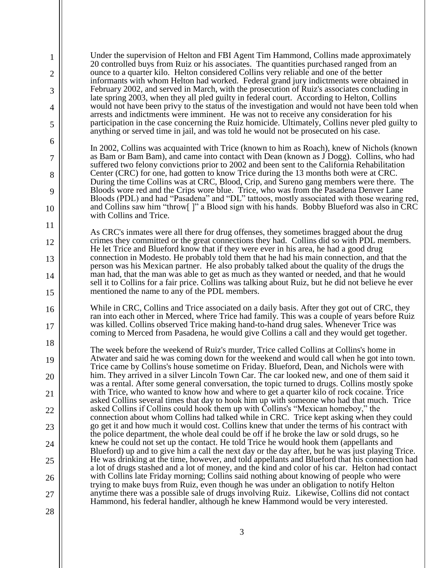1 2 3 4 5 6 7 8 9 10 11 12 13 14 15 16 17 18 19 20 21 22 23 24 25 26 27 28 Under the supervision of Helton and FBI Agent Tim Hammond, Collins made approximately 20 controlled buys from Ruiz or his associates. The quantities purchased ranged from an ounce to a quarter kilo. Helton considered Collins very reliable and one of the better informants with whom Helton had worked. Federal grand jury indictments were obtained in February 2002, and served in March, with the prosecution of Ruiz's associates concluding in late spring 2003, when they all pled guilty in federal court. According to Helton, Collins would not have been privy to the status of the investigation and would not have been told when arrests and indictments were imminent. He was not to receive any consideration for his participation in the case concerning the Ruiz homicide. Ultimately, Collins never pled guilty to anything or served time in jail, and was told he would not be prosecuted on his case. In 2002, Collins was acquainted with Trice (known to him as Roach), knew of Nichols (known as Bam or Bam Bam), and came into contact with Dean (known as J Dogg). Collins, who had suffered two felony convictions prior to 2002 and been sent to the California Rehabilitation Center (CRC) for one, had gotten to know Trice during the 13 months both were at CRC. During the time Collins was at CRC, Blood, Crip, and Sureno gang members were there. The Bloods wore red and the Crips wore blue. Trice, who was from the Pasadena Denver Lane Bloods (PDL) and had "Pasadena" and "DL" tattoos, mostly associated with those wearing red, and Collins saw him "throw[ ]" a Blood sign with his hands. Bobby Blueford was also in CRC with Collins and Trice. As CRC's inmates were all there for drug offenses, they sometimes bragged about the drug crimes they committed or the great connections they had. Collins did so with PDL members. He let Trice and Blueford know that if they were ever in his area, he had a good drug connection in Modesto. He probably told them that he had his main connection, and that the person was his Mexican partner. He also probably talked about the quality of the drugs the man had, that the man was able to get as much as they wanted or needed, and that he would sell it to Collins for a fair price. Collins was talking about Ruiz, but he did not believe he ever mentioned the name to any of the PDL members. While in CRC, Collins and Trice associated on a daily basis. After they got out of CRC, they ran into each other in Merced, where Trice had family. This was a couple of years before Ruiz was killed. Collins observed Trice making hand-to-hand drug sales. Whenever Trice was coming to Merced from Pasadena, he would give Collins a call and they would get together. The week before the weekend of Ruiz's murder, Trice called Collins at Collins's home in Atwater and said he was coming down for the weekend and would call when he got into town. Trice came by Collins's house sometime on Friday. Blueford, Dean, and Nichols were with him. They arrived in a silver Lincoln Town Car. The car looked new, and one of them said it was a rental. After some general conversation, the topic turned to drugs. Collins mostly spoke with Trice, who wanted to know how and where to get a quarter kilo of rock cocaine. Trice asked Collins several times that day to hook him up with someone who had that much. Trice asked Collins if Collins could hook them up with Collins's "Mexican homeboy," the connection about whom Collins had talked while in CRC. Trice kept asking when they could go get it and how much it would cost. Collins knew that under the terms of his contract with the police department, the whole deal could be off if he broke the law or sold drugs, so he knew he could not set up the contact. He told Trice he would hook them (appellants and Blueford) up and to give him a call the next day or the day after, but he was just playing Trice. He was drinking at the time, however, and told appellants and Blueford that his connection had a lot of drugs stashed and a lot of money, and the kind and color of his car. Helton had contact with Collins late Friday morning; Collins said nothing about knowing of people who were trying to make buys from Ruiz, even though he was under an obligation to notify Helton anytime there was a possible sale of drugs involving Ruiz. Likewise, Collins did not contact Hammond, his federal handler, although he knew Hammond would be very interested.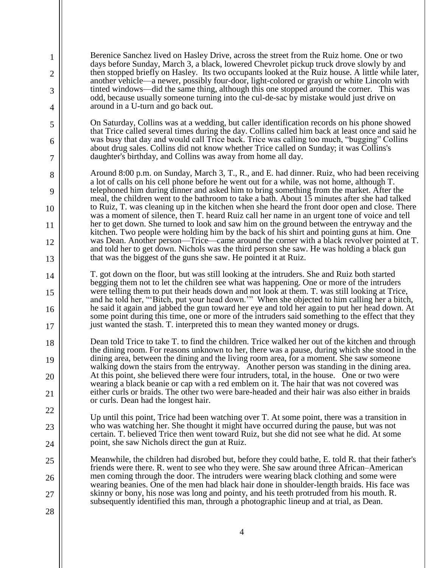Berenice Sanchez lived on Hasley Drive, across the street from the Ruiz home. One or two days before Sunday, March 3, a black, lowered Chevrolet pickup truck drove slowly by and then stopped briefly on Hasley. Its two occupants looked at the Ruiz house. A little while later, another vehicle—a newer, possibly four-door, light-colored or grayish or white Lincoln with tinted windows—did the same thing, although this one stopped around the corner. This was odd, because usually someone turning into the cul-de-sac by mistake would just drive on around in a U-turn and go back out.

1

2

3

4

5

6

7

8

9

10

11

12

13

14

15

16

17

22

23

24

25

26

27

28

On Saturday, Collins was at a wedding, but caller identification records on his phone showed that Trice called several times during the day. Collins called him back at least once and said he was busy that day and would call Trice back. Trice was calling too much, "bugging" Collins about drug sales. Collins did not know whether Trice called on Sunday; it was Collins's daughter's birthday, and Collins was away from home all day.

Around 8:00 p.m. on Sunday, March 3, T., R., and E. had dinner. Ruiz, who had been receiving a lot of calls on his cell phone before he went out for a while, was not home, although T. telephoned him during dinner and asked him to bring something from the market. After the meal, the children went to the bathroom to take a bath. About 15 minutes after she had talked to Ruiz, T. was cleaning up in the kitchen when she heard the front door open and close. There was a moment of silence, then T. heard Ruiz call her name in an urgent tone of voice and tell her to get down. She turned to look and saw him on the ground between the entryway and the kitchen. Two people were holding him by the back of his shirt and pointing guns at him. One was Dean. Another person—Trice—came around the corner with a black revolver pointed at T. and told her to get down. Nichols was the third person she saw. He was holding a black gun that was the biggest of the guns she saw. He pointed it at Ruiz.

T. got down on the floor, but was still looking at the intruders. She and Ruiz both started begging them not to let the children see what was happening. One or more of the intruders were telling them to put their heads down and not look at them. T. was still looking at Trice, and he told her, "'Bitch, put your head down.'" When she objected to him calling her a bitch, he said it again and jabbed the gun toward her eye and told her again to put her head down. At some point during this time, one or more of the intruders said something to the effect that they just wanted the stash. T. interpreted this to mean they wanted money or drugs.

18 19 20 21 Dean told Trice to take T. to find the children. Trice walked her out of the kitchen and through the dining room. For reasons unknown to her, there was a pause, during which she stood in the dining area, between the dining and the living room area, for a moment. She saw someone walking down the stairs from the entryway. Another person was standing in the dining area. At this point, she believed there were four intruders, total, in the house. One or two were wearing a black beanie or cap with a red emblem on it. The hair that was not covered was either curls or braids. The other two were bare-headed and their hair was also either in braids or curls. Dean had the longest hair.

Up until this point, Trice had been watching over T. At some point, there was a transition in who was watching her. She thought it might have occurred during the pause, but was not certain. T. believed Trice then went toward Ruiz, but she did not see what he did. At some point, she saw Nichols direct the gun at Ruiz.

Meanwhile, the children had disrobed but, before they could bathe, E. told R. that their father's friends were there. R. went to see who they were. She saw around three African–American men coming through the door. The intruders were wearing black clothing and some were wearing beanies. One of the men had black hair done in shoulder-length braids. His face was skinny or bony, his nose was long and pointy, and his teeth protruded from his mouth. R. subsequently identified this man, through a photographic lineup and at trial, as Dean.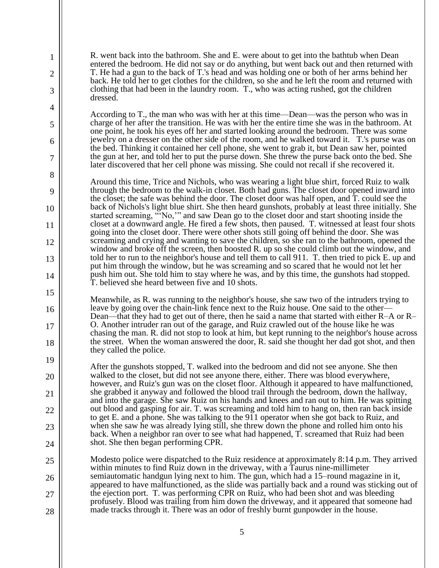R. went back into the bathroom. She and E. were about to get into the bathtub when Dean entered the bedroom. He did not say or do anything, but went back out and then returned with T. He had a gun to the back of T.'s head and was holding one or both of her arms behind her back. He told her to get clothes for the children, so she and he left the room and returned with clothing that had been in the laundry room. T., who was acting rushed, got the children dressed.

1

2

3

4

5

6

7

8

9

10

11

12

13

14

15

16

17

18

19

20

21

22

23

24

According to T., the man who was with her at this time—Dean—was the person who was in charge of her after the transition. He was with her the entire time she was in the bathroom. At one point, he took his eyes off her and started looking around the bedroom. There was some jewelry on a dresser on the other side of the room, and he walked toward it. T.'s purse was on the bed. Thinking it contained her cell phone, she went to grab it, but Dean saw her, pointed the gun at her, and told her to put the purse down. She threw the purse back onto the bed. She later discovered that her cell phone was missing. She could not recall if she recovered it.

Around this time, Trice and Nichols, who was wearing a light blue shirt, forced Ruiz to walk through the bedroom to the walk-in closet. Both had guns. The closet door opened inward into the closet; the safe was behind the door. The closet door was half open, and T. could see the back of Nichols's light blue shirt. She then heard gunshots, probably at least three initially. She started screaming, "'No,'" and saw Dean go to the closet door and start shooting inside the closet at a downward angle. He fired a few shots, then paused. T. witnessed at least four shots going into the closet door. There were other shots still going off behind the door. She was screaming and crying and wanting to save the children, so she ran to the bathroom, opened the window and broke off the screen, then boosted R. up so she could climb out the window, and told her to run to the neighbor's house and tell them to call 911. T. then tried to pick E. up and put him through the window, but he was screaming and so scared that he would not let her push him out. She told him to stay where he was, and by this time, the gunshots had stopped. T. believed she heard between five and 10 shots.

Meanwhile, as R. was running to the neighbor's house, she saw two of the intruders trying to leave by going over the chain-link fence next to the Ruiz house. One said to the other— Dean—that they had to get out of there, then he said a name that started with either R–A or R– O. Another intruder ran out of the garage, and Ruiz crawled out of the house like he was chasing the man. R. did not stop to look at him, but kept running to the neighbor's house across the street. When the woman answered the door, R. said she thought her dad got shot, and then they called the police.

After the gunshots stopped, T. walked into the bedroom and did not see anyone. She then walked to the closet, but did not see anyone there, either. There was blood everywhere, however, and Ruiz's gun was on the closet floor. Although it appeared to have malfunctioned, she grabbed it anyway and followed the blood trail through the bedroom, down the hallway, and into the garage. She saw Ruiz on his hands and knees and ran out to him. He was spitting out blood and gasping for air. T. was screaming and told him to hang on, then ran back inside to get E. and a phone. She was talking to the 911 operator when she got back to Ruiz, and when she saw he was already lying still, she threw down the phone and rolled him onto his back. When a neighbor ran over to see what had happened, T. screamed that Ruiz had been shot. She then began performing CPR.

25 26 27 28 Modesto police were dispatched to the Ruiz residence at approximately 8:14 p.m. They arrived within minutes to find Ruiz down in the driveway, with a Taurus nine-millimeter semiautomatic handgun lying next to him. The gun, which had a 15–round magazine in it, appeared to have malfunctioned, as the slide was partially back and a round was sticking out of the ejection port. T. was performing CPR on Ruiz, who had been shot and was bleeding profusely. Blood was trailing from him down the driveway, and it appeared that someone had made tracks through it. There was an odor of freshly burnt gunpowder in the house.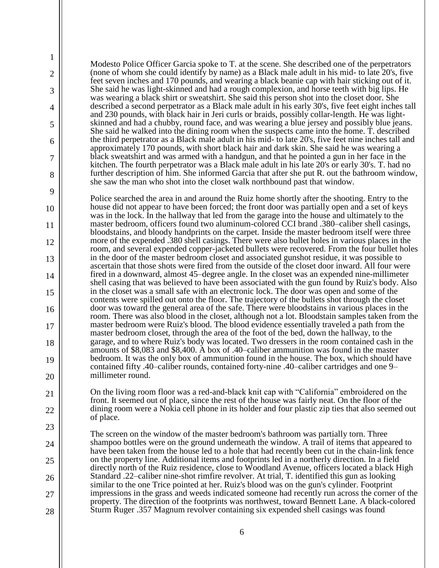Modesto Police Officer Garcia spoke to T. at the scene. She described one of the perpetrators (none of whom she could identify by name) as a Black male adult in his mid- to late 20's, five feet seven inches and 170 pounds, and wearing a black beanie cap with hair sticking out of it. She said he was light-skinned and had a rough complexion, and horse teeth with big lips. He was wearing a black shirt or sweatshirt. She said this person shot into the closet door. She described a second perpetrator as a Black male adult in his early 30's, five feet eight inches tall and 230 pounds, with black hair in Jeri curls or braids, possibly collar-length. He was lightskinned and had a chubby, round face, and was wearing a blue jersey and possibly blue jeans. She said he walked into the dining room when the suspects came into the home. T. described the third perpetrator as a Black male adult in his mid- to late 20's, five feet nine inches tall and approximately 170 pounds, with short black hair and dark skin. She said he was wearing a black sweatshirt and was armed with a handgun, and that he pointed a gun in her face in the kitchen. The fourth perpetrator was a Black male adult in his late 20's or early 30's. T. had no further description of him. She informed Garcia that after she put R. out the bathroom window, she saw the man who shot into the closet walk northbound past that window.

1

2

3

4

5

6

7

8

9

10

11

12

13

14

15

16

17

18

19

20

21

22

23

24

25

26

27

28

Police searched the area in and around the Ruiz home shortly after the shooting. Entry to the house did not appear to have been forced; the front door was partially open and a set of keys was in the lock. In the hallway that led from the garage into the house and ultimately to the master bedroom, officers found two aluminum-colored CCI brand .380–caliber shell casings, bloodstains, and bloody handprints on the carpet. Inside the master bedroom itself were three more of the expended .380 shell casings. There were also bullet holes in various places in the room, and several expended copper-jacketed bullets were recovered. From the four bullet holes in the door of the master bedroom closet and associated gunshot residue, it was possible to ascertain that those shots were fired from the outside of the closet door inward. All four were fired in a downward, almost 45–degree angle. In the closet was an expended nine-millimeter shell casing that was believed to have been associated with the gun found by Ruiz's body. Also in the closet was a small safe with an electronic lock. The door was open and some of the contents were spilled out onto the floor. The trajectory of the bullets shot through the closet door was toward the general area of the safe. There were bloodstains in various places in the room. There was also blood in the closet, although not a lot. Bloodstain samples taken from the master bedroom were Ruiz's blood. The blood evidence essentially traveled a path from the master bedroom closet, through the area of the foot of the bed, down the hallway, to the garage, and to where Ruiz's body was located. Two dressers in the room contained cash in the amounts of \$8,083 and \$8,400. A box of .40–caliber ammunition was found in the master bedroom. It was the only box of ammunition found in the house. The box, which should have contained fifty .40–caliber rounds, contained forty-nine .40–caliber cartridges and one 9– millimeter round.

On the living room floor was a red-and-black knit cap with "California" embroidered on the front. It seemed out of place, since the rest of the house was fairly neat. On the floor of the dining room were a Nokia cell phone in its holder and four plastic zip ties that also seemed out of place.

The screen on the window of the master bedroom's bathroom was partially torn. Three shampoo bottles were on the ground underneath the window. A trail of items that appeared to have been taken from the house led to a hole that had recently been cut in the chain-link fence on the property line. Additional items and footprints led in a northerly direction. In a field directly north of the Ruiz residence, close to Woodland Avenue, officers located a black High Standard .22–caliber nine-shot rimfire revolver. At trial, T. identified this gun as looking similar to the one Trice pointed at her. Ruiz's blood was on the gun's cylinder. Footprint impressions in the grass and weeds indicated someone had recently run across the corner of the property. The direction of the footprints was northwest, toward Bennett Lane. A black-colored Sturm Ruger .357 Magnum revolver containing six expended shell casings was found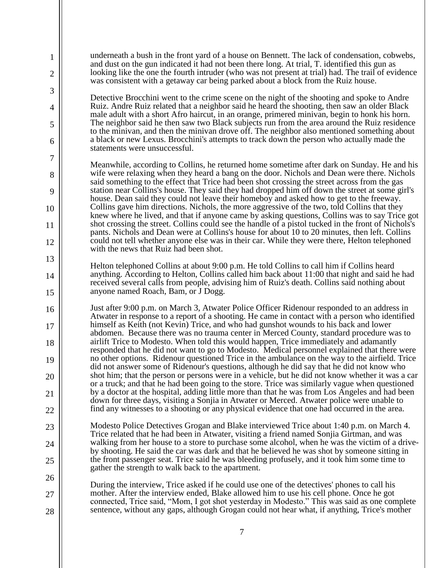underneath a bush in the front yard of a house on Bennett. The lack of condensation, cobwebs, and dust on the gun indicated it had not been there long. At trial, T. identified this gun as looking like the one the fourth intruder (who was not present at trial) had. The trail of evidence was consistent with a getaway car being parked about a block from the Ruiz house.

1

2

3

4

5

6

7

8

9

10

11

12

13

14

15

16

17

18

19

20

21

22

26

27

28

Detective Brocchini went to the crime scene on the night of the shooting and spoke to Andre Ruiz. Andre Ruiz related that a neighbor said he heard the shooting, then saw an older Black male adult with a short Afro haircut, in an orange, primered minivan, begin to honk his horn. The neighbor said he then saw two Black subjects run from the area around the Ruiz residence to the minivan, and then the minivan drove off. The neighbor also mentioned something about a black or new Lexus. Brocchini's attempts to track down the person who actually made the statements were unsuccessful.

Meanwhile, according to Collins, he returned home sometime after dark on Sunday. He and his wife were relaxing when they heard a bang on the door. Nichols and Dean were there. Nichols said something to the effect that Trice had been shot crossing the street across from the gas station near Collins's house. They said they had dropped him off down the street at some girl's house. Dean said they could not leave their homeboy and asked how to get to the freeway. Collins gave him directions. Nichols, the more aggressive of the two, told Collins that they knew where he lived, and that if anyone came by asking questions, Collins was to say Trice got shot crossing the street. Collins could see the handle of a pistol tucked in the front of Nichols's pants. Nichols and Dean were at Collins's house for about 10 to 20 minutes, then left. Collins could not tell whether anyone else was in their car. While they were there, Helton telephoned with the news that Ruiz had been shot.

Helton telephoned Collins at about 9:00 p.m. He told Collins to call him if Collins heard anything. According to Helton, Collins called him back about 11:00 that night and said he had received several calls from people, advising him of Ruiz's death. Collins said nothing about anyone named Roach, Bam, or J Dogg.

Just after 9:00 p.m. on March 3, Atwater Police Officer Ridenour responded to an address in Atwater in response to a report of a shooting. He came in contact with a person who identified himself as Keith (not Kevin) Trice, and who had gunshot wounds to his back and lower abdomen. Because there was no trauma center in Merced County, standard procedure was to airlift Trice to Modesto. When told this would happen, Trice immediately and adamantly responded that he did not want to go to Modesto. Medical personnel explained that there were no other options. Ridenour questioned Trice in the ambulance on the way to the airfield. Trice did not answer some of Ridenour's questions, although he did say that he did not know who shot him; that the person or persons were in a vehicle, but he did not know whether it was a car or a truck; and that he had been going to the store. Trice was similarly vague when questioned by a doctor at the hospital, adding little more than that he was from Los Angeles and had been down for three days, visiting a Sonjia in Atwater or Merced. Atwater police were unable to find any witnesses to a shooting or any physical evidence that one had occurred in the area.

23 24 25 Modesto Police Detectives Grogan and Blake interviewed Trice about 1:40 p.m. on March 4. Trice related that he had been in Atwater, visiting a friend named Sonjia Girtman, and was walking from her house to a store to purchase some alcohol, when he was the victim of a driveby shooting. He said the car was dark and that he believed he was shot by someone sitting in the front passenger seat. Trice said he was bleeding profusely, and it took him some time to gather the strength to walk back to the apartment.

During the interview, Trice asked if he could use one of the detectives' phones to call his mother. After the interview ended, Blake allowed him to use his cell phone. Once he got connected, Trice said, "Mom, I got shot yesterday in Modesto." This was said as one complete sentence, without any gaps, although Grogan could not hear what, if anything, Trice's mother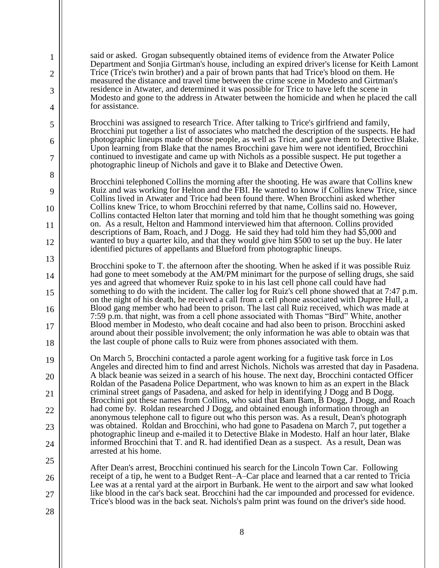said or asked. Grogan subsequently obtained items of evidence from the Atwater Police Department and Sonjia Girtman's house, including an expired driver's license for Keith Lamont Trice (Trice's twin brother) and a pair of brown pants that had Trice's blood on them. He measured the distance and travel time between the crime scene in Modesto and Girtman's residence in Atwater, and determined it was possible for Trice to have left the scene in Modesto and gone to the address in Atwater between the homicide and when he placed the call for assistance.

1

2

3

4

5

6

7

8

9

10

11

12

13

14

15

16

17

18

19

20

21

22

23

24

25

26

27

28

Brocchini was assigned to research Trice. After talking to Trice's girlfriend and family, Brocchini put together a list of associates who matched the description of the suspects. He had photographic lineups made of those people, as well as Trice, and gave them to Detective Blake. Upon learning from Blake that the names Brocchini gave him were not identified, Brocchini continued to investigate and came up with Nichols as a possible suspect. He put together a photographic lineup of Nichols and gave it to Blake and Detective Owen.

Brocchini telephoned Collins the morning after the shooting. He was aware that Collins knew Ruiz and was working for Helton and the FBI. He wanted to know if Collins knew Trice, since Collins lived in Atwater and Trice had been found there. When Brocchini asked whether Collins knew Trice, to whom Brocchini referred by that name, Collins said no. However, Collins contacted Helton later that morning and told him that he thought something was going on. As a result, Helton and Hammond interviewed him that afternoon. Collins provided descriptions of Bam, Roach, and J Dogg. He said they had told him they had \$5,000 and wanted to buy a quarter kilo, and that they would give him \$500 to set up the buy. He later identified pictures of appellants and Blueford from photographic lineups.

Brocchini spoke to T. the afternoon after the shooting. When he asked if it was possible Ruiz had gone to meet somebody at the AM/PM minimart for the purpose of selling drugs, she said yes and agreed that whomever Ruiz spoke to in his last cell phone call could have had something to do with the incident. The caller log for Ruiz's cell phone showed that at 7:47 p.m. on the night of his death, he received a call from a cell phone associated with Dupree Hull, a Blood gang member who had been to prison. The last call Ruiz received, which was made at 7:59 p.m. that night, was from a cell phone associated with Thomas "Bird" White, another Blood member in Modesto, who dealt cocaine and had also been to prison. Brocchini asked around about their possible involvement; the only information he was able to obtain was that the last couple of phone calls to Ruiz were from phones associated with them.

On March 5, Brocchini contacted a parole agent working for a fugitive task force in Los Angeles and directed him to find and arrest Nichols. Nichols was arrested that day in Pasadena. A black beanie was seized in a search of his house. The next day, Brocchini contacted Officer Roldan of the Pasadena Police Department, who was known to him as an expert in the Black criminal street gangs of Pasadena, and asked for help in identifying J Dogg and B Dogg. Brocchini got these names from Collins, who said that Bam Bam, B Dogg, J Dogg, and Roach had come by. Roldan researched J Dogg, and obtained enough information through an anonymous telephone call to figure out who this person was. As a result, Dean's photograph was obtained. Roldan and Brocchini, who had gone to Pasadena on March 7, put together a photographic lineup and e-mailed it to Detective Blake in Modesto. Half an hour later, Blake informed Brocchini that T. and R. had identified Dean as a suspect. As a result, Dean was arrested at his home.

After Dean's arrest, Brocchini continued his search for the Lincoln Town Car. Following receipt of a tip, he went to a Budget Rent–A–Car place and learned that a car rented to Tricia Lee was at a rental yard at the airport in Burbank. He went to the airport and saw what looked like blood in the car's back seat. Brocchini had the car impounded and processed for evidence. Trice's blood was in the back seat. Nichols's palm print was found on the driver's side hood.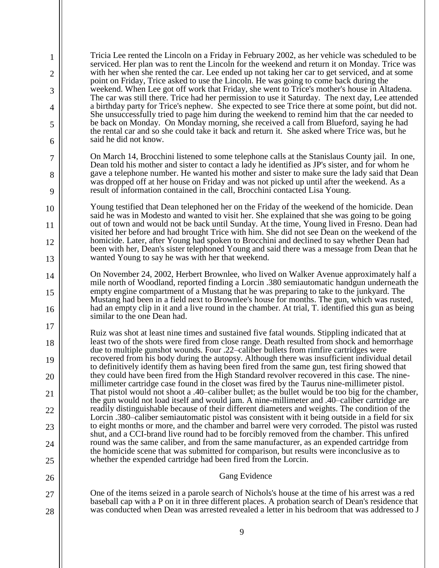9 1 2 3 4 5 6 7 8 9 10 11 12 13 14 15 16 17 18 19 20 21 22 23 24 25 26 27 28 Tricia Lee rented the Lincoln on a Friday in February 2002, as her vehicle was scheduled to be serviced. Her plan was to rent the Lincoln for the weekend and return it on Monday. Trice was with her when she rented the car. Lee ended up not taking her car to get serviced, and at some point on Friday, Trice asked to use the Lincoln. He was going to come back during the weekend. When Lee got off work that Friday, she went to Trice's mother's house in Altadena. The car was still there. Trice had her permission to use it Saturday. The next day, Lee attended a birthday party for Trice's nephew. She expected to see Trice there at some point, but did not. She unsuccessfully tried to page him during the weekend to remind him that the car needed to be back on Monday. On Monday morning, she received a call from Blueford, saying he had the rental car and so she could take it back and return it. She asked where Trice was, but he said he did not know. On March 14, Brocchini listened to some telephone calls at the Stanislaus County jail. In one, Dean told his mother and sister to contact a lady he identified as JP's sister, and for whom he gave a telephone number. He wanted his mother and sister to make sure the lady said that Dean was dropped off at her house on Friday and was not picked up until after the weekend. As a result of information contained in the call, Brocchini contacted Lisa Young. Young testified that Dean telephoned her on the Friday of the weekend of the homicide. Dean said he was in Modesto and wanted to visit her. She explained that she was going to be going out of town and would not be back until Sunday. At the time, Young lived in Fresno. Dean had visited her before and had brought Trice with him. She did not see Dean on the weekend of the homicide. Later, after Young had spoken to Brocchini and declined to say whether Dean had been with her, Dean's sister telephoned Young and said there was a message from Dean that he wanted Young to say he was with her that weekend. On November 24, 2002, Herbert Brownlee, who lived on Walker Avenue approximately half a mile north of Woodland, reported finding a Lorcin .380 semiautomatic handgun underneath the empty engine compartment of a Mustang that he was preparing to take to the junkyard. The Mustang had been in a field next to Brownlee's house for months. The gun, which was rusted, had an empty clip in it and a live round in the chamber. At trial, T. identified this gun as being similar to the one Dean had. Ruiz was shot at least nine times and sustained five fatal wounds. Stippling indicated that at least two of the shots were fired from close range. Death resulted from shock and hemorrhage due to multiple gunshot wounds. Four .22–caliber bullets from rimfire cartridges were recovered from his body during the autopsy. Although there was insufficient individual detail to definitively identify them as having been fired from the same gun, test firing showed that they could have been fired from the High Standard revolver recovered in this case. The ninemillimeter cartridge case found in the closet was fired by the Taurus nine-millimeter pistol. That pistol would not shoot a .40–caliber bullet; as the bullet would be too big for the chamber, the gun would not load itself and would jam. A nine-millimeter and .40–caliber cartridge are readily distinguishable because of their different diameters and weights. The condition of the Lorcin .380–caliber semiautomatic pistol was consistent with it being outside in a field for six to eight months or more, and the chamber and barrel were very corroded. The pistol was rusted shut, and a CCI-brand live round had to be forcibly removed from the chamber. This unfired round was the same caliber, and from the same manufacturer, as an expended cartridge from the homicide scene that was submitted for comparison, but results were inconclusive as to whether the expended cartridge had been fired from the Lorcin. Gang Evidence One of the items seized in a parole search of Nichols's house at the time of his arrest was a red baseball cap with a P on it in three different places. A probation search of Dean's residence that was conducted when Dean was arrested revealed a letter in his bedroom that was addressed to J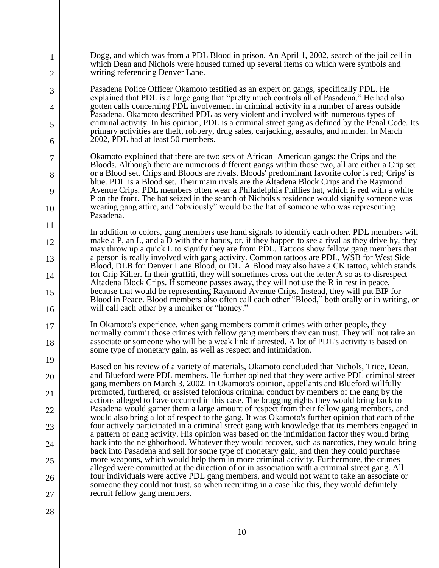| 1      | Dogg, and which was from a PDL Blood in prison. An April 1, 2002, search of the jail cell in<br>which Dean and Nichols were housed turned up several items on which were symbols and                                                                                                              |
|--------|---------------------------------------------------------------------------------------------------------------------------------------------------------------------------------------------------------------------------------------------------------------------------------------------------|
| 2      | writing referencing Denver Lane.                                                                                                                                                                                                                                                                  |
| 3      | Pasadena Police Officer Okamoto testified as an expert on gangs, specifically PDL. He<br>explained that PDL is a large gang that "pretty much controls all of Pasadena." He had also                                                                                                              |
| 4      | gotten calls concerning PDL involvement in criminal activity in a number of areas outside<br>Pasadena. Okamoto described PDL as very violent and involved with numerous types of                                                                                                                  |
| 5<br>6 | criminal activity. In his opinion, PDL is a criminal street gang as defined by the Penal Code. Its<br>primary activities are theft, robbery, drug sales, carjacking, assaults, and murder. In March<br>2002, PDL had at least 50 members.                                                         |
| 7      | Okamoto explained that there are two sets of African–American gangs: the Crips and the                                                                                                                                                                                                            |
| 8      | Bloods. Although there are numerous different gangs within those two, all are either a Crip set<br>or a Blood set. Crips and Bloods are rivals. Bloods' predominant favorite color is red; Crips' is                                                                                              |
| 9      | blue. PDL is a Blood set. Their main rivals are the Altadena Block Crips and the Raymond<br>Avenue Crips. PDL members often wear a Philadelphia Phillies hat, which is red with a white                                                                                                           |
| 10     | P on the front. The hat seized in the search of Nichols's residence would signify someone was<br>wearing gang attire, and "obviously" would be the hat of someone who was representing<br>Pasadena.                                                                                               |
| 11     |                                                                                                                                                                                                                                                                                                   |
| 12     | In addition to colors, gang members use hand signals to identify each other. PDL members will<br>make a P, an L, and a D with their hands, or, if they happen to see a rival as they drive by, they<br>may throw up a quick L to signify they are from PDL. Tattoos show fellow gang members that |
| 13     | a person is really involved with gang activity. Common tattoos are PDL, WSB for West Side<br>Blood, DLB for Denver Lane Blood, or DL. A Blood may also have a CK tattoo, which stands                                                                                                             |
| 14     | for Crip Killer. In their graffiti, they will sometimes cross out the letter A so as to disrespect<br>Altadena Block Crips. If someone passes away, they will not use the R in rest in peace,                                                                                                     |
| 15     | because that would be representing Raymond Avenue Crips. Instead, they will put BIP for<br>Blood in Peace. Blood members also often call each other "Blood," both orally or in writing, or                                                                                                        |
| 16     | will call each other by a moniker or "homey."                                                                                                                                                                                                                                                     |
| 17     | In Okamoto's experience, when gang members commit crimes with other people, they<br>normally commit those crimes with fellow gang members they can trust. They will not take an                                                                                                                   |
| 18     | associate or someone who will be a weak link if arrested. A lot of PDL's activity is based on<br>some type of monetary gain, as well as respect and intimidation.                                                                                                                                 |
| 19     | Based on his review of a variety of materials, Okamoto concluded that Nichols, Trice, Dean,                                                                                                                                                                                                       |
| 20     | and Blueford were PDL members. He further opined that they were active PDL criminal street<br>gang members on March 3, 2002. In Okamoto's opinion, appellants and Blueford willfully                                                                                                              |
| 21     | promoted, furthered, or assisted felonious criminal conduct by members of the gang by the<br>actions alleged to have occurred in this case. The bragging rights they would bring back to                                                                                                          |
| 22     | Pasadena would garner them a large amount of respect from their fellow gang members, and<br>would also bring a lot of respect to the gang. It was Okamoto's further opinion that each of the                                                                                                      |
| 23     | four actively participated in a criminal street gang with knowledge that its members engaged in<br>a pattern of gang activity. His opinion was based on the intimidation factor they would bring                                                                                                  |
| 24     | back into the neighborhood. Whatever they would recover, such as narcotics, they would bring<br>back into Pasadena and sell for some type of monetary gain, and then they could purchase                                                                                                          |
| 25     | more weapons, which would help them in more criminal activity. Furthermore, the crimes<br>alleged were committed at the direction of or in association with a criminal street gang. All                                                                                                           |
| 26     | four individuals were active PDL gang members, and would not want to take an associate or<br>someone they could not trust, so when recruiting in a case like this, they would definitely                                                                                                          |
| 27     | recruit fellow gang members.                                                                                                                                                                                                                                                                      |
| 28     |                                                                                                                                                                                                                                                                                                   |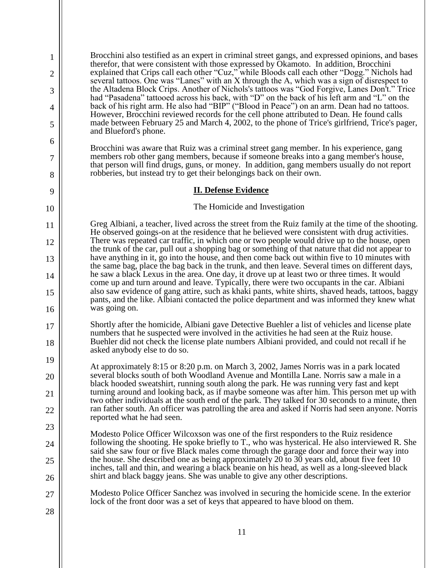11 1 2 3 4 5 6 7 8 9 10 11 12 13 14 15 16 17 18 19 20 21 22 23 24 25 26 27 28 Brocchini also testified as an expert in criminal street gangs, and expressed opinions, and bases therefor, that were consistent with those expressed by Okamoto. In addition, Brocchini explained that Crips call each other "Cuz," while Bloods call each other "Dogg." Nichols had several tattoos. One was "Lanes" with an X through the A, which was a sign of disrespect to the Altadena Block Crips. Another of Nichols's tattoos was "God Forgive, Lanes Don't." Trice had "Pasadena" tattooed across his back, with "D" on the back of his left arm and "L" on the back of his right arm. He also had "BIP" ("Blood in Peace") on an arm. Dean had no tattoos. However, Brocchini reviewed records for the cell phone attributed to Dean. He found calls made between February 25 and March 4, 2002, to the phone of Trice's girlfriend, Trice's pager, and Blueford's phone. Brocchini was aware that Ruiz was a criminal street gang member. In his experience, gang members rob other gang members, because if someone breaks into a gang member's house, that person will find drugs, guns, or money. In addition, gang members usually do not report robberies, but instead try to get their belongings back on their own. **II. Defense Evidence**  The Homicide and Investigation Greg Albiani, a teacher, lived across the street from the Ruiz family at the time of the shooting. He observed goings-on at the residence that he believed were consistent with drug activities. There was repeated car traffic, in which one or two people would drive up to the house, open the trunk of the car, pull out a shopping bag or something of that nature that did not appear to have anything in it, go into the house, and then come back out within five to 10 minutes with the same bag, place the bag back in the trunk, and then leave. Several times on different days, he saw a black Lexus in the area. One day, it drove up at least two or three times. It would come up and turn around and leave. Typically, there were two occupants in the car. Albiani also saw evidence of gang attire, such as khaki pants, white shirts, shaved heads, tattoos, baggy pants, and the like. Albiani contacted the police department and was informed they knew what was going on. Shortly after the homicide, Albiani gave Detective Buehler a list of vehicles and license plate numbers that he suspected were involved in the activities he had seen at the Ruiz house. Buehler did not check the license plate numbers Albiani provided, and could not recall if he asked anybody else to do so. At approximately 8:15 or 8:20 p.m. on March 3, 2002, James Norris was in a park located several blocks south of both Woodland Avenue and Montilla Lane. Norris saw a male in a black hooded sweatshirt, running south along the park. He was running very fast and kept turning around and looking back, as if maybe someone was after him. This person met up with two other individuals at the south end of the park. They talked for 30 seconds to a minute, then ran father south. An officer was patrolling the area and asked if Norris had seen anyone. Norris reported what he had seen. Modesto Police Officer Wilcoxson was one of the first responders to the Ruiz residence following the shooting. He spoke briefly to T., who was hysterical. He also interviewed R. She said she saw four or five Black males come through the garage door and force their way into the house. She described one as being approximately 20 to 30 years old, about five feet 10 inches, tall and thin, and wearing a black beanie on his head, as well as a long-sleeved black shirt and black baggy jeans. She was unable to give any other descriptions. Modesto Police Officer Sanchez was involved in securing the homicide scene. In the exterior lock of the front door was a set of keys that appeared to have blood on them.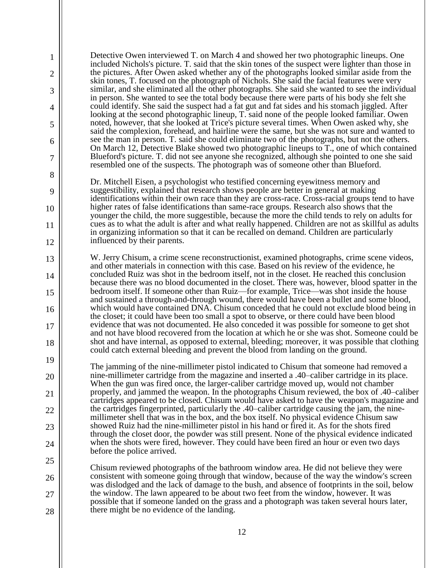Detective Owen interviewed T. on March 4 and showed her two photographic lineups. One included Nichols's picture. T. said that the skin tones of the suspect were lighter than those in the pictures. After Owen asked whether any of the photographs looked similar aside from the skin tones, T. focused on the photograph of Nichols. She said the facial features were very similar, and she eliminated all the other photographs. She said she wanted to see the individual in person. She wanted to see the total body because there were parts of his body she felt she could identify. She said the suspect had a fat gut and fat sides and his stomach jiggled. After looking at the second photographic lineup, T. said none of the people looked familiar. Owen noted, however, that she looked at Trice's picture several times. When Owen asked why, she said the complexion, forehead, and hairline were the same, but she was not sure and wanted to see the man in person. T. said she could eliminate two of the photographs, but not the others. On March 12, Detective Blake showed two photographic lineups to T., one of which contained Blueford's picture. T. did not see anyone she recognized, although she pointed to one she said resembled one of the suspects. The photograph was of someone other than Blueford.

1

2

3

4

5

6

7

8

9

10

11

12

13

14

15

16

17

18

19

20

21

22

23

24

25

26

27

28

Dr. Mitchell Eisen, a psychologist who testified concerning eyewitness memory and suggestibility, explained that research shows people are better in general at making identifications within their own race than they are cross-race. Cross-racial groups tend to have higher rates of false identifications than same-race groups. Research also shows that the younger the child, the more suggestible, because the more the child tends to rely on adults for cues as to what the adult is after and what really happened. Children are not as skillful as adults in organizing information so that it can be recalled on demand. Children are particularly influenced by their parents.

W. Jerry Chisum, a crime scene reconstructionist, examined photographs, crime scene videos, and other materials in connection with this case. Based on his review of the evidence, he concluded Ruiz was shot in the bedroom itself, not in the closet. He reached this conclusion because there was no blood documented in the closet. There was, however, blood spatter in the bedroom itself. If someone other than Ruiz—for example, Trice—was shot inside the house and sustained a through-and-through wound, there would have been a bullet and some blood, which would have contained DNA. Chisum conceded that he could not exclude blood being in the closet; it could have been too small a spot to observe, or there could have been blood evidence that was not documented. He also conceded it was possible for someone to get shot and not have blood recovered from the location at which he or she was shot. Someone could be shot and have internal, as opposed to external, bleeding; moreover, it was possible that clothing could catch external bleeding and prevent the blood from landing on the ground.

The jamming of the nine-millimeter pistol indicated to Chisum that someone had removed a nine-millimeter cartridge from the magazine and inserted a .40–caliber cartridge in its place. When the gun was fired once, the larger-caliber cartridge moved up, would not chamber properly, and jammed the weapon. In the photographs Chisum reviewed, the box of .40–caliber cartridges appeared to be closed. Chisum would have asked to have the weapon's magazine and the cartridges fingerprinted, particularly the .40–caliber cartridge causing the jam, the ninemillimeter shell that was in the box, and the box itself. No physical evidence Chisum saw showed Ruiz had the nine-millimeter pistol in his hand or fired it. As for the shots fired through the closet door, the powder was still present. None of the physical evidence indicated when the shots were fired, however. They could have been fired an hour or even two days before the police arrived.

Chisum reviewed photographs of the bathroom window area. He did not believe they were consistent with someone going through that window, because of the way the window's screen was dislodged and the lack of damage to the bush, and absence of footprints in the soil, below the window. The lawn appeared to be about two feet from the window, however. It was possible that if someone landed on the grass and a photograph was taken several hours later, there might be no evidence of the landing.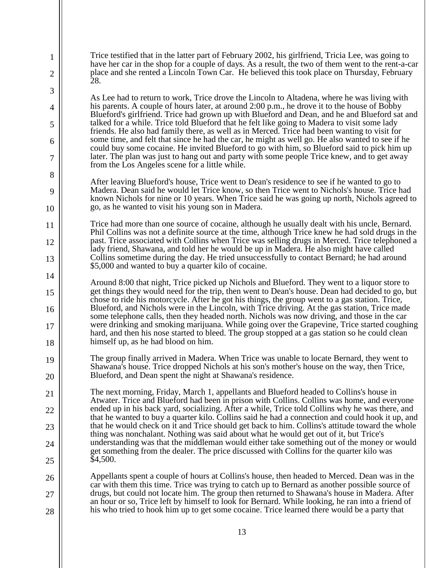Trice testified that in the latter part of February 2002, his girlfriend, Tricia Lee, was going to have her car in the shop for a couple of days. As a result, the two of them went to the rent-a-car place and she rented a Lincoln Town Car. He believed this took place on Thursday, February 28.

1

2

3

4

5

6

7

8

9

10

11

12

13

14

15

16

17

18

21

22

23

24

25

As Lee had to return to work, Trice drove the Lincoln to Altadena, where he was living with his parents. A couple of hours later, at around 2:00 p.m., he drove it to the house of Bobby Blueford's girlfriend. Trice had grown up with Blueford and Dean, and he and Blueford sat and talked for a while. Trice told Blueford that he felt like going to Madera to visit some lady friends. He also had family there, as well as in Merced. Trice had been wanting to visit for some time, and felt that since he had the car, he might as well go. He also wanted to see if he could buy some cocaine. He invited Blueford to go with him, so Blueford said to pick him up later. The plan was just to hang out and party with some people Trice knew, and to get away from the Los Angeles scene for a little while.

After leaving Blueford's house, Trice went to Dean's residence to see if he wanted to go to Madera. Dean said he would let Trice know, so then Trice went to Nichols's house. Trice had known Nichols for nine or 10 years. When Trice said he was going up north, Nichols agreed to go, as he wanted to visit his young son in Madera.

Trice had more than one source of cocaine, although he usually dealt with his uncle, Bernard. Phil Collins was not a definite source at the time, although Trice knew he had sold drugs in the past. Trice associated with Collins when Trice was selling drugs in Merced. Trice telephoned a lady friend, Shawana, and told her he would be up in Madera. He also might have called Collins sometime during the day. He tried unsuccessfully to contact Bernard; he had around \$5,000 and wanted to buy a quarter kilo of cocaine.

Around 8:00 that night, Trice picked up Nichols and Blueford. They went to a liquor store to get things they would need for the trip, then went to Dean's house. Dean had decided to go, but chose to ride his motorcycle. After he got his things, the group went to a gas station. Trice, Blueford, and Nichols were in the Lincoln, with Trice driving. At the gas station, Trice made some telephone calls, then they headed north. Nichols was now driving, and those in the car were drinking and smoking marijuana. While going over the Grapevine, Trice started coughing hard, and then his nose started to bleed. The group stopped at a gas station so he could clean himself up, as he had blood on him.

19 20 The group finally arrived in Madera. When Trice was unable to locate Bernard, they went to Shawana's house. Trice dropped Nichols at his son's mother's house on the way, then Trice, Blueford, and Dean spent the night at Shawana's residence.

The next morning, Friday, March 1, appellants and Blueford headed to Collins's house in Atwater. Trice and Blueford had been in prison with Collins. Collins was home, and everyone ended up in his back yard, socializing. After a while, Trice told Collins why he was there, and that he wanted to buy a quarter kilo. Collins said he had a connection and could hook it up, and that he would check on it and Trice should get back to him. Collins's attitude toward the whole thing was nonchalant. Nothing was said about what he would get out of it, but Trice's understanding was that the middleman would either take something out of the money or would get something from the dealer. The price discussed with Collins for the quarter kilo was \$4,500.

26 27 28 Appellants spent a couple of hours at Collins's house, then headed to Merced. Dean was in the car with them this time. Trice was trying to catch up to Bernard as another possible source of drugs, but could not locate him. The group then returned to Shawana's house in Madera. After an hour or so, Trice left by himself to look for Bernard. While looking, he ran into a friend of his who tried to hook him up to get some cocaine. Trice learned there would be a party that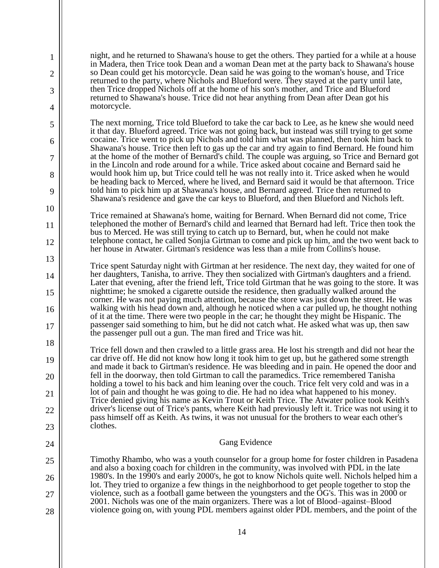night, and he returned to Shawana's house to get the others. They partied for a while at a house in Madera, then Trice took Dean and a woman Dean met at the party back to Shawana's house so Dean could get his motorcycle. Dean said he was going to the woman's house, and Trice returned to the party, where Nichols and Blueford were. They stayed at the party until late, then Trice dropped Nichols off at the home of his son's mother, and Trice and Blueford returned to Shawana's house. Trice did not hear anything from Dean after Dean got his motorcycle.

1

2

3

4

5

6

7

8

9

10

11

12

13

14

15

16

17

18

19

20

21

22

23

24

25

26

27

28

The next morning, Trice told Blueford to take the car back to Lee, as he knew she would need it that day. Blueford agreed. Trice was not going back, but instead was still trying to get some cocaine. Trice went to pick up Nichols and told him what was planned, then took him back to Shawana's house. Trice then left to gas up the car and try again to find Bernard. He found him at the home of the mother of Bernard's child. The couple was arguing, so Trice and Bernard got in the Lincoln and rode around for a while. Trice asked about cocaine and Bernard said he would hook him up, but Trice could tell he was not really into it. Trice asked when he would be heading back to Merced, where he lived, and Bernard said it would be that afternoon. Trice told him to pick him up at Shawana's house, and Bernard agreed. Trice then returned to Shawana's residence and gave the car keys to Blueford, and then Blueford and Nichols left.

Trice remained at Shawana's home, waiting for Bernard. When Bernard did not come, Trice telephoned the mother of Bernard's child and learned that Bernard had left. Trice then took the bus to Merced. He was still trying to catch up to Bernard, but, when he could not make telephone contact, he called Sonjia Girtman to come and pick up him, and the two went back to her house in Atwater. Girtman's residence was less than a mile from Collins's house.

Trice spent Saturday night with Girtman at her residence. The next day, they waited for one of her daughters, Tanisha, to arrive. They then socialized with Girtman's daughters and a friend. Later that evening, after the friend left, Trice told Girtman that he was going to the store. It was nighttime; he smoked a cigarette outside the residence, then gradually walked around the corner. He was not paying much attention, because the store was just down the street. He was walking with his head down and, although he noticed when a car pulled up, he thought nothing of it at the time. There were two people in the car; he thought they might be Hispanic. The passenger said something to him, but he did not catch what. He asked what was up, then saw the passenger pull out a gun. The man fired and Trice was hit.

Trice fell down and then crawled to a little grass area. He lost his strength and did not hear the car drive off. He did not know how long it took him to get up, but he gathered some strength and made it back to Girtman's residence. He was bleeding and in pain. He opened the door and fell in the doorway, then told Girtman to call the paramedics. Trice remembered Tanisha holding a towel to his back and him leaning over the couch. Trice felt very cold and was in a lot of pain and thought he was going to die. He had no idea what happened to his money. Trice denied giving his name as Kevin Trout or Keith Trice. The Atwater police took Keith's driver's license out of Trice's pants, where Keith had previously left it. Trice was not using it to pass himself off as Keith. As twins, it was not unusual for the brothers to wear each other's clothes.

## Gang Evidence

Timothy Rhambo, who was a youth counselor for a group home for foster children in Pasadena and also a boxing coach for children in the community, was involved with PDL in the late 1980's. In the 1990's and early 2000's, he got to know Nichols quite well. Nichols helped him a lot. They tried to organize a few things in the neighborhood to get people together to stop the violence, such as a football game between the youngsters and the OG's. This was in 2000 or 2001. Nichols was one of the main organizers. There was a lot of Blood–against–Blood violence going on, with young PDL members against older PDL members, and the point of the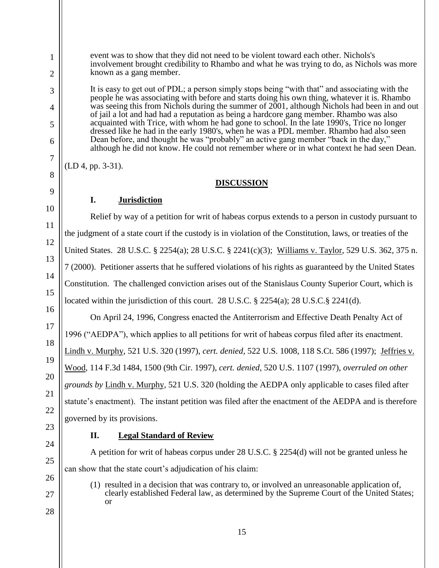(LD 4, pp. 3-31).

23 24

25

26

27

28

## **II. Legal Standard of Review**

governed by its provisions.

known as a gang member.

A petition for writ of habeas corpus under 28 U.S.C. § 2254(d) will not be granted unless he can show that the state court's adjudication of his claim:

(1) resulted in a decision that was contrary to, or involved an unreasonable application of, clearly established Federal law, as determined by the Supreme Court of the United States; or

**DISCUSSION I. Jurisdiction** Relief by way of a petition for writ of habeas corpus extends to a person in custody pursuant to the judgment of a state court if the custody is in violation of the Constitution, laws, or treaties of the

event was to show that they did not need to be violent toward each other. Nichols's

involvement brought credibility to Rhambo and what he was trying to do, as Nichols was more

It is easy to get out of PDL; a person simply stops being "with that" and associating with the people he was associating with before and starts doing his own thing, whatever it is. Rhambo was seeing this from Nichols during the summer of 2001, although Nichols had been in and out of jail a lot and had had a reputation as being a hardcore gang member. Rhambo was also acquainted with Trice, with whom he had gone to school. In the late 1990's, Trice no longer dressed like he had in the early 1980's, when he was a PDL member. Rhambo had also seen Dean before, and thought he was "probably" an active gang member "back in the day,"

although he did not know. He could not remember where or in what context he had seen Dean.

United States. 28 U.S.C. § 2254(a); 28 U.S.C. § 2241(c)(3); Williams v. Taylor, 529 U.S. 362, 375 n. 7 (2000). Petitioner asserts that he suffered violations of his rights as guaranteed by the United States Constitution. The challenged conviction arises out of the Stanislaus County Superior Court, which is

located within the jurisdiction of this court. 28 U.S.C. § 2254(a); 28 U.S.C. § 2241(d).

On April 24, 1996, Congress enacted the Antiterrorism and Effective Death Penalty Act of 1996 ("AEDPA"), which applies to all petitions for writ of habeas corpus filed after its enactment. Lindh v. Murphy, 521 U.S. 320 (1997), *cert. denied,* 522 U.S. 1008, 118 S.Ct. 586 (1997); Jeffries v. Wood, 114 F.3d 1484, 1500 (9th Cir. 1997), *cert. denied*, 520 U.S. 1107 (1997), *overruled on other grounds by* Lindh v. Murphy, 521 U.S. 320 (holding the AEDPA only applicable to cases filed after statute's enactment). The instant petition was filed after the enactment of the AEDPA and is therefore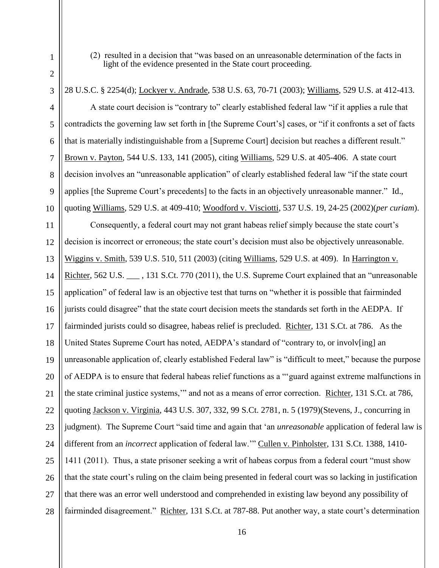(2) resulted in a decision that "was based on an unreasonable determination of the facts in light of the evidence presented in the State court proceeding.

28 U.S.C. § 2254(d); Lockyer v. Andrade, 538 U.S. 63, 70-71 (2003); Williams, 529 U.S. at 412-413. A state court decision is "contrary to" clearly established federal law "if it applies a rule that contradicts the governing law set forth in [the Supreme Court's] cases, or "if it confronts a set of facts that is materially indistinguishable from a [Supreme Court] decision but reaches a different result." Brown v. Payton, 544 U.S. 133, 141 (2005), citing Williams, 529 U.S. at 405-406. A state court decision involves an "unreasonable application" of clearly established federal law "if the state court applies [the Supreme Court's precedents] to the facts in an objectively unreasonable manner." Id., quoting Williams, 529 U.S. at 409-410; Woodford v. Visciotti, 537 U.S. 19, 24-25 (2002)(*per curiam*). Consequently, a federal court may not grant habeas relief simply because the state court's decision is incorrect or erroneous; the state court's decision must also be objectively unreasonable. Wiggins v. Smith, 539 U.S. 510, 511 (2003) (citing Williams, 529 U.S. at 409). In Harrington v. Richter, 562 U.S. \_\_\_ , 131 S.Ct. 770 (2011), the U.S. Supreme Court explained that an "unreasonable application" of federal law is an objective test that turns on "whether it is possible that fairminded jurists could disagree" that the state court decision meets the standards set forth in the AEDPA. If fairminded jurists could so disagree, habeas relief is precluded. Richter, 131 S.Ct. at 786. As the United States Supreme Court has noted, AEDPA's standard of "contrary to, or involv[ing] an unreasonable application of, clearly established Federal law" is "difficult to meet," because the purpose of AEDPA is to ensure that federal habeas relief functions as a "'guard against extreme malfunctions in the state criminal justice systems,'" and not as a means of error correction. Richter, 131 S.Ct. at 786, quoting Jackson v. Virginia, 443 U.S. 307, 332, 99 S.Ct. 2781, n. 5 (1979)(Stevens, J., concurring in judgment). The Supreme Court "said time and again that 'an *unreasonable* application of federal law is different from an *incorrect* application of federal law.'" Cullen v. Pinholster, 131 S.Ct. 1388, 1410-

1411 (2011). Thus, a state prisoner seeking a writ of habeas corpus from a federal court "must show that the state court's ruling on the claim being presented in federal court was so lacking in justification that there was an error well understood and comprehended in existing law beyond any possibility of fairminded disagreement." Richter, 131 S.Ct. at 787-88. Put another way, a state court's determination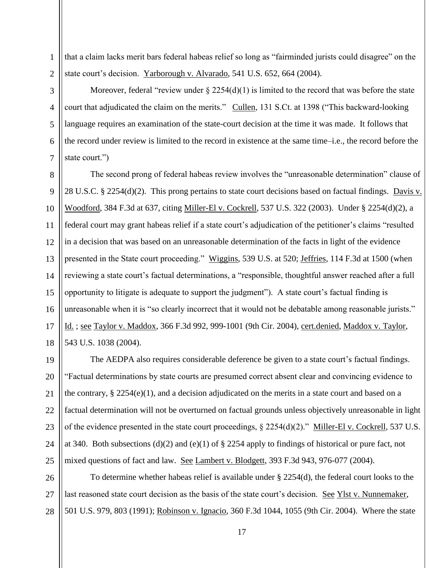1 that a claim lacks merit bars federal habeas relief so long as "fairminded jurists could disagree" on the state court's decision. Yarborough v. Alvarado, 541 U.S. 652, 664 (2004).

2 3

4

5

6

7

Moreover, federal "review under  $\S 2254(d)(1)$  is limited to the record that was before the state court that adjudicated the claim on the merits." Cullen, 131 S.Ct. at 1398 ("This backward-looking language requires an examination of the state-court decision at the time it was made. It follows that the record under review is limited to the record in existence at the same time–i.e., the record before the state court.")

8  $\mathbf{Q}$ 10 11 12 13 14 15 16 17 18 The second prong of federal habeas review involves the "unreasonable determination" clause of 28 U.S.C. § 2254(d)(2). This prong pertains to state court decisions based on factual findings. Davis v. Woodford, 384 F.3d at 637, citing Miller-El v. Cockrell, 537 U.S. 322 (2003). Under § 2254(d)(2), a federal court may grant habeas relief if a state court's adjudication of the petitioner's claims "resulted in a decision that was based on an unreasonable determination of the facts in light of the evidence presented in the State court proceeding." Wiggins, 539 U.S. at 520; Jeffries, 114 F.3d at 1500 (when reviewing a state court's factual determinations, a "responsible, thoughtful answer reached after a full opportunity to litigate is adequate to support the judgment"). A state court's factual finding is unreasonable when it is "so clearly incorrect that it would not be debatable among reasonable jurists." Id. ; see Taylor v. Maddox, 366 F.3d 992, 999-1001 (9th Cir. 2004), cert.denied, Maddox v. Taylor, 543 U.S. 1038 (2004).

19 20 21 22 23 24 25 The AEDPA also requires considerable deference be given to a state court's factual findings. "Factual determinations by state courts are presumed correct absent clear and convincing evidence to the contrary, § 2254(e)(1), and a decision adjudicated on the merits in a state court and based on a factual determination will not be overturned on factual grounds unless objectively unreasonable in light of the evidence presented in the state court proceedings, § 2254(d)(2)." Miller-El v. Cockrell, 537 U.S. at 340. Both subsections (d)(2) and (e)(1) of § 2254 apply to findings of historical or pure fact, not mixed questions of fact and law. See Lambert v. Blodgett, 393 F.3d 943, 976-077 (2004).

26 27 28 To determine whether habeas relief is available under § 2254(d), the federal court looks to the last reasoned state court decision as the basis of the state court's decision. See Ylst v. Nunnemaker, 501 U.S. 979, 803 (1991); Robinson v. Ignacio, 360 F.3d 1044, 1055 (9th Cir. 2004). Where the state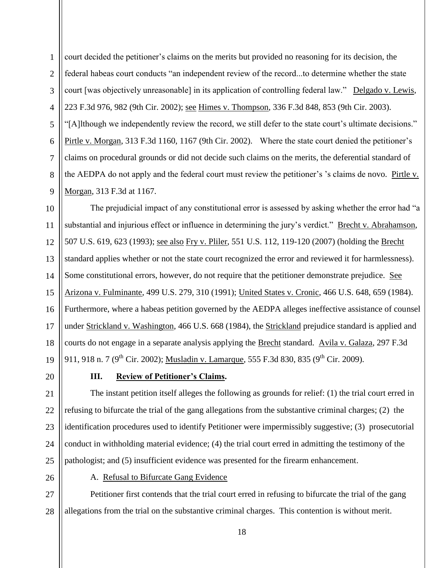$\mathbf{Q}$ court decided the petitioner's claims on the merits but provided no reasoning for its decision, the federal habeas court conducts "an independent review of the record...to determine whether the state court [was objectively unreasonable] in its application of controlling federal law." Delgado v. Lewis, 223 F.3d 976, 982 (9th Cir. 2002); see Himes v. Thompson, 336 F.3d 848, 853 (9th Cir. 2003). "[A]lthough we independently review the record, we still defer to the state court's ultimate decisions." Pirtle v. Morgan, 313 F.3d 1160, 1167 (9th Cir. 2002). Where the state court denied the petitioner's claims on procedural grounds or did not decide such claims on the merits, the deferential standard of the AEDPA do not apply and the federal court must review the petitioner's 's claims de novo. Pirtle v. Morgan, 313 F.3d at 1167.

10 11 12 13 14 15 16 17 18 19 The prejudicial impact of any constitutional error is assessed by asking whether the error had "a substantial and injurious effect or influence in determining the jury's verdict." Brecht v. Abrahamson, 507 U.S. 619, 623 (1993); see also Fry v. Pliler, 551 U.S. 112, 119-120 (2007) (holding the Brecht standard applies whether or not the state court recognized the error and reviewed it for harmlessness). Some constitutional errors, however, do not require that the petitioner demonstrate prejudice. See Arizona v. Fulminante, 499 U.S. 279, 310 (1991); United States v. Cronic, 466 U.S. 648, 659 (1984). Furthermore, where a habeas petition governed by the AEDPA alleges ineffective assistance of counsel under Strickland v. Washington, 466 U.S. 668 (1984), the Strickland prejudice standard is applied and courts do not engage in a separate analysis applying the Brecht standard. Avila v. Galaza, 297 F.3d 911, 918 n. 7 (9<sup>th</sup> Cir. 2002); Musladin v. Lamarque, 555 F.3d 830, 835 (9<sup>th</sup> Cir. 2009).

20

1

2

3

4

5

6

7

8

# **III. Review of Petitioner's Claims.**

21 22 23 24 25 The instant petition itself alleges the following as grounds for relief: (1) the trial court erred in refusing to bifurcate the trial of the gang allegations from the substantive criminal charges; (2) the identification procedures used to identify Petitioner were impermissibly suggestive; (3) prosecutorial conduct in withholding material evidence; (4) the trial court erred in admitting the testimony of the pathologist; and (5) insufficient evidence was presented for the firearm enhancement.

26

A. Refusal to Bifurcate Gang Evidence

27 28 Petitioner first contends that the trial court erred in refusing to bifurcate the trial of the gang allegations from the trial on the substantive criminal charges. This contention is without merit.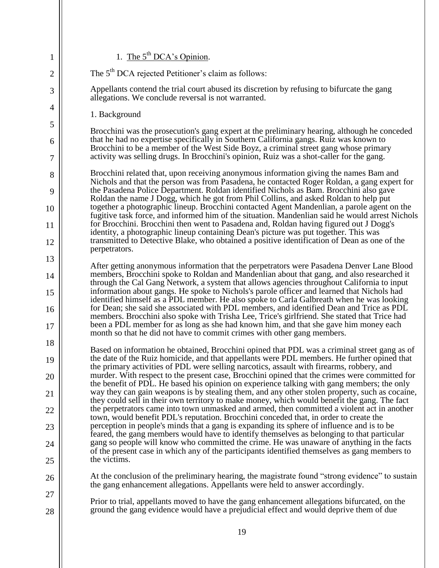| 1              | 1. The $5^{th}$ DCA's Opinion.                                                                                                                                                                                                                                                     |
|----------------|------------------------------------------------------------------------------------------------------------------------------------------------------------------------------------------------------------------------------------------------------------------------------------|
| $\overline{2}$ | The 5 <sup>th</sup> DCA rejected Petitioner's claim as follows:                                                                                                                                                                                                                    |
| 3              | Appellants contend the trial court abused its discretion by refusing to bifurcate the gang<br>allegations. We conclude reversal is not warranted.                                                                                                                                  |
| 4              | 1. Background                                                                                                                                                                                                                                                                      |
| 5              | Brocchini was the prosecution's gang expert at the preliminary hearing, although he conceded                                                                                                                                                                                       |
| 6              | that he had no expertise specifically in Southern California gangs. Ruiz was known to                                                                                                                                                                                              |
| 7              | Brocchini to be a member of the West Side Boyz, a criminal street gang whose primary<br>activity was selling drugs. In Brocchini's opinion, Ruiz was a shot-caller for the gang.                                                                                                   |
| 8              | Brocchini related that, upon receiving anonymous information giving the names Bam and<br>Nichols and that the person was from Pasadena, he contacted Roger Roldan, a gang expert for                                                                                               |
| 9              | the Pasadena Police Department. Roldan identified Nichols as Bam. Brocchini also gave<br>Roldan the name J Dogg, which he got from Phil Collins, and asked Roldan to help put                                                                                                      |
| 10             | together a photographic lineup. Brocchini contacted Agent Mandenlian, a parole agent on the<br>fugitive task force, and informed him of the situation. Mandenlian said he would arrest Nichols                                                                                     |
| 11             | for Brocchini. Brocchini then went to Pasadena and, Roldan having figured out J Dogg's<br>identity, a photographic lineup containing Dean's picture was put together. This was                                                                                                     |
| 12             | transmitted to Detective Blake, who obtained a positive identification of Dean as one of the<br>perpetrators.                                                                                                                                                                      |
| 13             | After getting anonymous information that the perpetrators were Pasadena Denver Lane Blood                                                                                                                                                                                          |
| 14             | members, Brocchini spoke to Roldan and Mandenlian about that gang, and also researched it<br>through the Cal Gang Network, a system that allows agencies throughout California to input                                                                                            |
| 15             | information about gangs. He spoke to Nichols's parole officer and learned that Nichols had<br>identified himself as a PDL member. He also spoke to Carla Galbreath when he was looking<br>for Dean; she said she associated with PDL members, and identified Dean and Trice as PDL |
| 16             | members. Brocchini also spoke with Trisha Lee, Trice's girlfriend. She stated that Trice had                                                                                                                                                                                       |
| 17             | been a PDL member for as long as she had known him, and that she gave him money each<br>month so that he did not have to commit crimes with other gang members.                                                                                                                    |
| 18             | Based on information he obtained, Brocchini opined that PDL was a criminal street gang as of                                                                                                                                                                                       |
| 19             | the date of the Ruiz homicide, and that appellants were PDL members. He further opined that<br>the primary activities of PDL were selling narcotics, assault with firearms, robbery, and                                                                                           |
| 20             | murder. With respect to the present case, Brocchini opined that the crimes were committed for<br>the benefit of PDL. He based his opinion on experience talking with gang members; the only                                                                                        |
| 21             | way they can gain weapons is by stealing them, and any other stolen property, such as cocaine,<br>they could sell in their own territory to make money, which would benefit the gang. The fact                                                                                     |
| 22             | the perpetrators came into town unmasked and armed, then committed a violent act in another<br>town, would benefit PDL's reputation. Brocchini conceded that, in order to create the                                                                                               |
| 23             | perception in people's minds that a gang is expanding its sphere of influence and is to be                                                                                                                                                                                         |
| 24             | feared, the gang members would have to identify themselves as belonging to that particular<br>gang so people will know who committed the crime. He was unaware of anything in the facts                                                                                            |
| 25             | of the present case in which any of the participants identified themselves as gang members to<br>the victims.                                                                                                                                                                      |
| 26             | At the conclusion of the preliminary hearing, the magistrate found "strong evidence" to sustain<br>the gang enhancement allegations. Appellants were held to answer accordingly.                                                                                                   |
| 27             |                                                                                                                                                                                                                                                                                    |
| 28             | Prior to trial, appellants moved to have the gang enhancement allegations bifurcated, on the<br>ground the gang evidence would have a prejudicial effect and would deprive them of due                                                                                             |
|                |                                                                                                                                                                                                                                                                                    |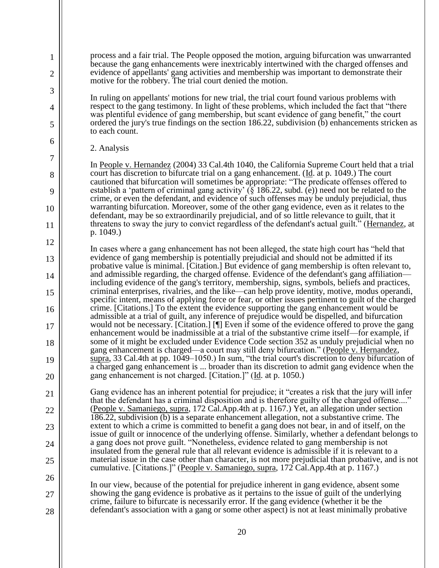process and a fair trial. The People opposed the motion, arguing bifurcation was unwarranted because the gang enhancements were inextricably intertwined with the charged offenses and evidence of appellants' gang activities and membership was important to demonstrate their motive for the robbery. The trial court denied the motion.

In ruling on appellants' motions for new trial, the trial court found various problems with respect to the gang testimony. In light of these problems, which included the fact that "there was plentiful evidence of gang membership, but scant evidence of gang benefit," the court ordered the jury's true findings on the section 186.22, subdivision (b) enhancements stricken as to each count.

2. Analysis

1

2

3

4

5

6

7

8

9

10

11

12

13

14

15

16

17

18

19

20

21

22

23

24

25

26

27

28

In People v. Hernandez (2004) 33 Cal.4th 1040, the California Supreme Court held that a trial court has discretion to bifurcate trial on a gang enhancement. (Id. at p. 1049.) The court cautioned that bifurcation will sometimes be appropriate: "The predicate offenses offered to establish a 'pattern of criminal gang activity'  $(\S 186.22, \text{subd.}$  (e)) need not be related to the crime, or even the defendant, and evidence of such offenses may be unduly prejudicial, thus warranting bifurcation. Moreover, some of the other gang evidence, even as it relates to the defendant, may be so extraordinarily prejudicial, and of so little relevance to guilt, that it threatens to sway the jury to convict regardless of the defendant's actual guilt." (Hernandez, at p. 1049.)

In cases where a gang enhancement has not been alleged, the state high court has "held that evidence of gang membership is potentially prejudicial and should not be admitted if its probative value is minimal. [Citation.] But evidence of gang membership is often relevant to, and admissible regarding, the charged offense. Evidence of the defendant's gang affiliation including evidence of the gang's territory, membership, signs, symbols, beliefs and practices, criminal enterprises, rivalries, and the like—can help prove identity, motive, modus operandi, specific intent, means of applying force or fear, or other issues pertinent to guilt of the charged crime. [Citations.] To the extent the evidence supporting the gang enhancement would be admissible at a trial of guilt, any inference of prejudice would be dispelled, and bifurcation would not be necessary. [Citation.] [¶] Even if some of the evidence offered to prove the gang enhancement would be inadmissible at a trial of the substantive crime itself—for example, if some of it might be excluded under Evidence Code section 352 as unduly prejudicial when no gang enhancement is charged—a court may still deny bifurcation." (People v. Hernandez, supra, 33 Cal.4th at pp. 1049–1050.) In sum, "the trial court's discretion to deny bifurcation of a charged gang enhancement is ... broader than its discretion to admit gang evidence when the gang enhancement is not charged. [Citation.]" (Id. at p. 1050.)

Gang evidence has an inherent potential for prejudice; it "creates a risk that the jury will infer that the defendant has a criminal disposition and is therefore guilty of the charged offense...." (People v. Samaniego, supra, 172 Cal.App.4th at p. 1167.) Yet, an allegation under section 186.22, subdivision (b) is a separate enhancement allegation, not a substantive crime. The extent to which a crime is committed to benefit a gang does not bear, in and of itself, on the issue of guilt or innocence of the underlying offense. Similarly, whether a defendant belongs to a gang does not prove guilt. "Nonetheless, evidence related to gang membership is not insulated from the general rule that all relevant evidence is admissible if it is relevant to a material issue in the case other than character, is not more prejudicial than probative, and is not cumulative. [Citations.]" (People v. Samaniego, supra, 172 Cal.App.4th at p. 1167.)

In our view, because of the potential for prejudice inherent in gang evidence, absent some showing the gang evidence is probative as it pertains to the issue of guilt of the underlying crime, failure to bifurcate is necessarily error. If the gang evidence (whether it be the defendant's association with a gang or some other aspect) is not at least minimally probative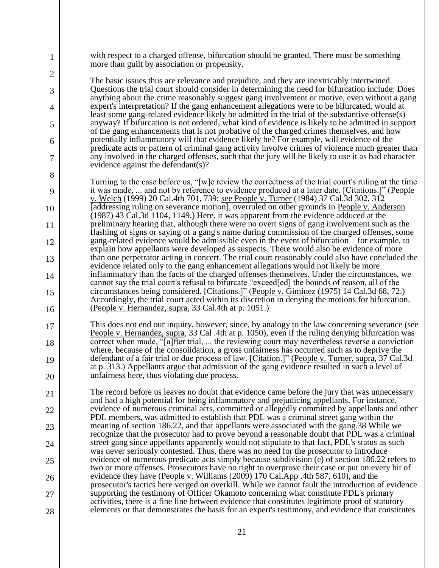with respect to a charged offense, bifurcation should be granted. There must be something more than guilt by association or propensity.

1

2

3

4

5

6

7

8

9

10

11

12

13

14

15

16

17

18

19

20

21

22

23

24

25

26

27

28

The basic issues thus are relevance and prejudice, and they are inextricably intertwined. Questions the trial court should consider in determining the need for bifurcation include: Does anything about the crime reasonably suggest gang involvement or motive, even without a gang expert's interpretation? If the gang enhancement allegations were to be bifurcated, would at least some gang-related evidence likely be admitted in the trial of the substantive offense(s) anyway? If bifurcation is not ordered, what kind of evidence is likely to be admitted in support of the gang enhancements that is not probative of the charged crimes themselves, and how potentially inflammatory will that evidence likely be? For example, will evidence of the predicate acts or pattern of criminal gang activity involve crimes of violence much greater than any involved in the charged offenses, such that the jury will be likely to use it as bad character evidence against the defendant(s)?

Turning to the case before us, "[w]e review the correctness of the trial court's ruling at the time it was made, ... and not by reference to evidence produced at a later date. [Citations.]" (People v. Welch (1999) 20 Cal.4th 701, 739; see People v. Turner (1984) 37 Cal.3d 302, 312 [addressing ruling on severance motion], overruled on other grounds in People v. Anderson (1987) 43 Cal.3d 1104, 1149.) Here, it was apparent from the evidence adduced at the preliminary hearing that, although there were no overt signs of gang involvement such as the flashing of signs or saying of a gang's name during commission of the charged offenses, some gang-related evidence would be admissible even in the event of bifurcation—for example, to explain how appellants were developed as suspects. There would also be evidence of more than one perpetrator acting in concert. The trial court reasonably could also have concluded the evidence related only to the gang enhancement allegations would not likely be more inflammatory than the facts of the charged offenses themselves. Under the circumstances, we cannot say the trial court's refusal to bifurcate "exceed[ed] the bounds of reason, all of the circumstances being considered. [Citations.]" (People v. Giminez (1975) 14 Cal.3d 68, 72.) Accordingly, the trial court acted within its discretion in denying the motions for bifurcation. (People v. Hernandez, supra, 33 Cal.4th at p. 1051.)

This does not end our inquiry, however, since, by analogy to the law concerning severance (see People v. Hernandez, supra, 33 Cal .4th at p. 1050), even if the ruling denying bifurcation was correct when made, "[a]fter trial, ... the reviewing court may nevertheless reverse a conviction where, because of the consolidation, a gross unfairness has occurred such as to deprive the defendant of a fair trial or due process of law. [Citation.]" (People v. Turner, supra, 37 Cal.3d at p. 313.) Appellants argue that admission of the gang evidence resulted in such a level of unfairness here, thus violating due process.

The record before us leaves no doubt that evidence came before the jury that was unnecessary and had a high potential for being inflammatory and prejudicing appellants. For instance, evidence of numerous criminal acts, committed or allegedly committed by appellants and other PDL members, was admitted to establish that PDL was a criminal street gang within the meaning of section 186.22, and that appellants were associated with the gang.38 While we recognize that the prosecutor had to prove beyond a reasonable doubt that PDL was a criminal street gang since appellants apparently would not stipulate to that fact, PDL's status as such was never seriously contested. Thus, there was no need for the prosecutor to introduce evidence of numerous predicate acts simply because subdivision (e) of section 186.22 refers to two or more offenses. Prosecutors have no right to overprove their case or put on every bit of evidence they have (People v. Williams (2009) 170 Cal.App .4th 587, 610), and the prosecutor's tactics here verged on overkill. While we cannot fault the introduction of evidence supporting the testimony of Officer Okamoto concerning what constitute PDL's primary activities, there is a fine line between evidence that constitutes legitimate proof of statutory elements or that demonstrates the basis for an expert's testimony, and evidence that constitutes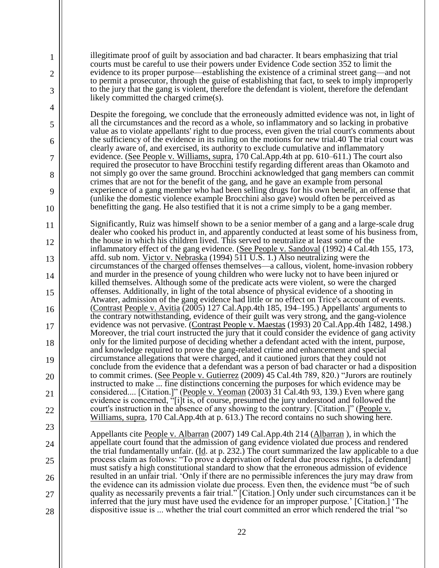illegitimate proof of guilt by association and bad character. It bears emphasizing that trial courts must be careful to use their powers under Evidence Code section 352 to limit the evidence to its proper purpose—establishing the existence of a criminal street gang—and not to permit a prosecutor, through the guise of establishing that fact, to seek to imply improperly to the jury that the gang is violent, therefore the defendant is violent, therefore the defendant likely committed the charged crime(s).

1

2

3

4

5

6

7

8

9

10

23

24

25

26

27

28

Despite the foregoing, we conclude that the erroneously admitted evidence was not, in light of all the circumstances and the record as a whole, so inflammatory and so lacking in probative value as to violate appellants' right to due process, even given the trial court's comments about the sufficiency of the evidence in its ruling on the motions for new trial.40 The trial court was clearly aware of, and exercised, its authority to exclude cumulative and inflammatory evidence. (See People v. Williams, supra, 170 Cal.App.4th at pp. 610–611.) The court also required the prosecutor to have Brocchini testify regarding different areas than Okamoto and not simply go over the same ground. Brocchini acknowledged that gang members can commit crimes that are not for the benefit of the gang, and he gave an example from personal experience of a gang member who had been selling drugs for his own benefit, an offense that (unlike the domestic violence example Brocchini also gave) would often be perceived as benefitting the gang. He also testified that it is not a crime simply to be a gang member.

11 12 13 14 15 16 17 18 19 20 21 22 Significantly, Ruiz was himself shown to be a senior member of a gang and a large-scale drug dealer who cooked his product in, and apparently conducted at least some of his business from, the house in which his children lived. This served to neutralize at least some of the inflammatory effect of the gang evidence. (See People v. Sandoval (1992) 4 Cal.4th 155, 173, affd. sub nom. Victor v. Nebraska (1994) 511 U.S. 1.) Also neutralizing were the circumstances of the charged offenses themselves—a callous, violent, home-invasion robbery and murder in the presence of young children who were lucky not to have been injured or killed themselves. Although some of the predicate acts were violent, so were the charged offenses. Additionally, in light of the total absence of physical evidence of a shooting in Atwater, admission of the gang evidence had little or no effect on Trice's account of events. (Contrast People v. Avitia (2005) 127 Cal.App.4th 185, 194–195.) Appellants' arguments to the contrary notwithstanding, evidence of their guilt was very strong, and the gang-violence evidence was not pervasive. (Contrast People v. Maestas (1993) 20 Cal.App.4th 1482, 1498.) Moreover, the trial court instructed the jury that it could consider the evidence of gang activity only for the limited purpose of deciding whether a defendant acted with the intent, purpose, and knowledge required to prove the gang-related crime and enhancement and special circumstance allegations that were charged, and it cautioned jurors that they could not conclude from the evidence that a defendant was a person of bad character or had a disposition to commit crimes. (See People v. Gutierrez (2009) 45 Cal.4th 789, 820.) "Jurors are routinely instructed to make ... fine distinctions concerning the purposes for which evidence may be considered.... [Citation.]" (People v. Yeoman (2003) 31 Cal.4th 93, 139.) Even where gang evidence is concerned, "[i]t is, of course, presumed the jury understood and followed the court's instruction in the absence of any showing to the contrary. [Citation.]" (People  $v$ . Williams, supra, 170 Cal.App.4th at p. 613.) The record contains no such showing here.

Appellants cite People v. Albarran (2007) 149 Cal.App.4th 214 (Albarran ), in which the appellate court found that the admission of gang evidence violated due process and rendered the trial fundamentally unfair. ( $\underline{Id}$ . at p. 232.) The court summarized the law applicable to a due process claim as follows: "To prove a deprivation of federal due process rights, [a defendant] must satisfy a high constitutional standard to show that the erroneous admission of evidence resulted in an unfair trial. 'Only if there are no permissible inferences the jury may draw from the evidence can its admission violate due process. Even then, the evidence must "be of such quality as necessarily prevents a fair trial." [Citation.] Only under such circumstances can it be inferred that the jury must have used the evidence for an improper purpose.' [Citation.] 'The dispositive issue is ... whether the trial court committed an error which rendered the trial "so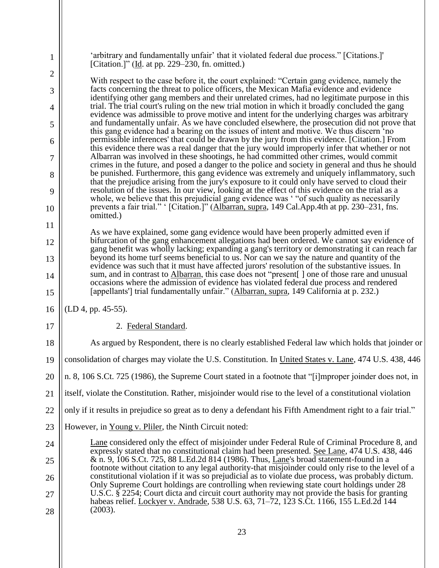| 1              | 'arbitrary and fundamentally unfair' that it violated federal due process." [Citations.]'<br>[Citation.]" ( $\underline{Id}$ . at pp. 229–230, fn. omitted.)                                                                                                                       |
|----------------|------------------------------------------------------------------------------------------------------------------------------------------------------------------------------------------------------------------------------------------------------------------------------------|
| $\overline{2}$ | With respect to the case before it, the court explained: "Certain gang evidence, namely the                                                                                                                                                                                        |
| 3              | facts concerning the threat to police officers, the Mexican Mafia evidence and evidence<br>identifying other gang members and their unrelated crimes, had no legitimate purpose in this                                                                                            |
| 4              | trial. The trial court's ruling on the new trial motion in which it broadly concluded the gang<br>evidence was admissible to prove motive and intent for the underlying charges was arbitrary                                                                                      |
| 5              | and fundamentally unfair. As we have concluded elsewhere, the prosecution did not prove that<br>this gang evidence had a bearing on the issues of intent and motive. We thus discern 'no                                                                                           |
| 6              | permissible inferences' that could be drawn by the jury from this evidence. [Citation.] From<br>this evidence there was a real danger that the jury would improperly infer that whether or not                                                                                     |
| 7              | Albarran was involved in these shootings, he had committed other crimes, would commit<br>crimes in the future, and posed a danger to the police and society in general and thus he should                                                                                          |
| 8              | be punished. Furthermore, this gang evidence was extremely and uniquely inflammatory, such<br>that the prejudice arising from the jury's exposure to it could only have served to cloud their                                                                                      |
| 9              | resolution of the issues. In our view, looking at the effect of this evidence on the trial as a<br>whole, we believe that this prejudicial gang evidence was '"of such quality as necessarily                                                                                      |
| 10             | prevents a fair trial." '[Citation.]" (Albarran, supra, 149 Cal.App.4th at pp. 230–231, fns.<br>omitted.)                                                                                                                                                                          |
| 11             | As we have explained, some gang evidence would have been properly admitted even if                                                                                                                                                                                                 |
| 12             | bifurcation of the gang enhancement allegations had been ordered. We cannot say evidence of<br>gang benefit was wholly lacking; expanding a gang's territory or demonstrating it can reach far                                                                                     |
| 13             | beyond its home turf seems beneficial to us. Nor can we say the nature and quantity of the<br>evidence was such that it must have affected jurors' resolution of the substantive issues. In                                                                                        |
| 14<br>15       | sum, and in contrast to Albarran, this case does not "present ] one of those rare and unusual<br>occasions where the admission of evidence has violated federal due process and rendered<br>[appellants] trial fundamentally unfair." (Albarran, supra, 149 California at p. 232.) |
| 16             | $(LD 4, pp. 45-55).$                                                                                                                                                                                                                                                               |
| 17             | 2. Federal Standard.                                                                                                                                                                                                                                                               |
| 18             | As argued by Respondent, there is no clearly established Federal law which holds that joinder or                                                                                                                                                                                   |
| 19             | consolidation of charges may violate the U.S. Constitution. In United States v. Lane, 474 U.S. 438, 446                                                                                                                                                                            |
| 20             | n. 8, 106 S.Ct. 725 (1986), the Supreme Court stated in a footnote that "[i]mproper joinder does not, in                                                                                                                                                                           |
| 21             | itself, violate the Constitution. Rather, misjoinder would rise to the level of a constitutional violation                                                                                                                                                                         |
| 22             | only if it results in prejudice so great as to deny a defendant his Fifth Amendment right to a fair trial."                                                                                                                                                                        |
| 23             | However, in Young v. Pliler, the Ninth Circuit noted:                                                                                                                                                                                                                              |
| 24             | Lane considered only the effect of misjoinder under Federal Rule of Criminal Procedure 8, and<br>expressly stated that no constitutional claim had been presented. See Lane, 474 U.S. 438, 446                                                                                     |
| 25             | & n. 9, 106 S.Ct. 725, 88 L.Ed.2d 814 (1986). Thus, Lane's broad statement-found in a<br>footnote without citation to any legal authority-that misjoinder could only rise to the level of a                                                                                        |
| 26             | constitutional violation if it was so prejudicial as to violate due process, was probably dictum.<br>Only Supreme Court holdings are controlling when reviewing state court holdings under 28                                                                                      |
| 27<br>28       | U.S.C. § 2254; Court dicta and circuit court authority may not provide the basis for granting<br>habeas relief. Lockyer v. Andrade, 538 U.S. 63, 71–72, 123 S.Ct. 1166, 155 L.Ed.2d 144<br>(2003).                                                                                 |
|                |                                                                                                                                                                                                                                                                                    |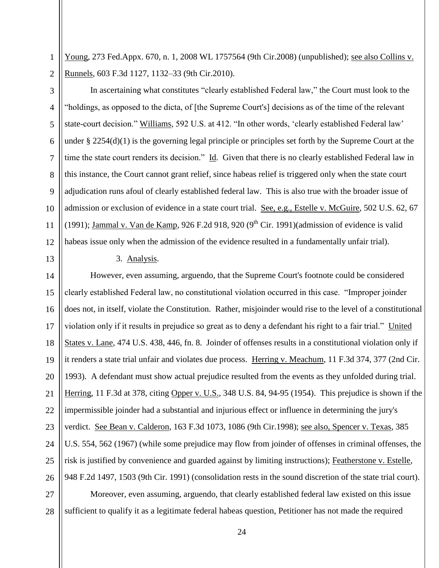1 Young, 273 Fed.Appx. 670, n. 1, 2008 WL 1757564 (9th Cir.2008) (unpublished); see also Collins v. Runnels, 603 F.3d 1127, 1132–33 (9th Cir.2010).

2 3

4

5

6

7

8

 $\mathbf{Q}$ 

10

11

12 In ascertaining what constitutes "clearly established Federal law," the Court must look to the "holdings, as opposed to the dicta, of [the Supreme Court's] decisions as of the time of the relevant state-court decision." Williams, 592 U.S. at 412. "In other words, 'clearly established Federal law' under § 2254(d)(1) is the governing legal principle or principles set forth by the Supreme Court at the time the state court renders its decision." Id. Given that there is no clearly established Federal law in this instance, the Court cannot grant relief, since habeas relief is triggered only when the state court adjudication runs afoul of clearly established federal law. This is also true with the broader issue of admission or exclusion of evidence in a state court trial. See, e.g., Estelle v. McGuire, 502 U.S. 62, 67 (1991); Jammal v. Van de Kamp, 926 F.2d 918, 920 (9<sup>th</sup> Cir. 1991)(admission of evidence is valid habeas issue only when the admission of the evidence resulted in a fundamentally unfair trial).

13

3. Analysis.

14 15 16 17 18 19 20 21 22 23 24 25 26 However, even assuming, arguendo, that the Supreme Court's footnote could be considered clearly established Federal law, no constitutional violation occurred in this case. "Improper joinder does not, in itself, violate the Constitution. Rather, misjoinder would rise to the level of a constitutional violation only if it results in prejudice so great as to deny a defendant his right to a fair trial." United States v. Lane, 474 U.S. 438, 446, fn. 8. Joinder of offenses results in a constitutional violation only if it renders a state trial unfair and violates due process. Herring v. Meachum, 11 F.3d 374, 377 (2nd Cir. 1993). A defendant must show actual prejudice resulted from the events as they unfolded during trial. Herring, 11 F.3d at 378, citing Opper v. U.S., 348 U.S. 84, 94-95 (1954). This prejudice is shown if the impermissible joinder had a substantial and injurious effect or influence in determining the jury's verdict. See Bean v. Calderon, 163 F.3d 1073, 1086 (9th Cir.1998); see also, Spencer v. Texas, 385 U.S. 554, 562 (1967) (while some prejudice may flow from joinder of offenses in criminal offenses, the risk is justified by convenience and guarded against by limiting instructions); Featherstone v. Estelle, 948 F.2d 1497, 1503 (9th Cir. 1991) (consolidation rests in the sound discretion of the state trial court).

27 28 Moreover, even assuming, arguendo, that clearly established federal law existed on this issue sufficient to qualify it as a legitimate federal habeas question, Petitioner has not made the required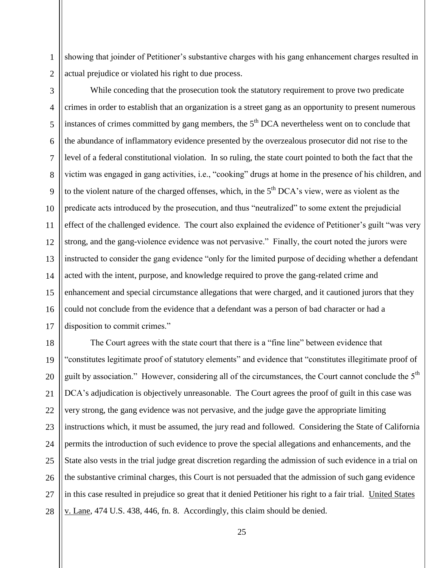1 showing that joinder of Petitioner's substantive charges with his gang enhancement charges resulted in actual prejudice or violated his right to due process.

2 3

4 5 6 7 8  $\mathbf{Q}$ 10 11 12 13 14 15 16 17 While conceding that the prosecution took the statutory requirement to prove two predicate crimes in order to establish that an organization is a street gang as an opportunity to present numerous instances of crimes committed by gang members, the  $5<sup>th</sup> DCA$  nevertheless went on to conclude that the abundance of inflammatory evidence presented by the overzealous prosecutor did not rise to the level of a federal constitutional violation. In so ruling, the state court pointed to both the fact that the victim was engaged in gang activities, i.e., "cooking" drugs at home in the presence of his children, and to the violent nature of the charged offenses, which, in the  $5<sup>th</sup> DCA's view$ , were as violent as the predicate acts introduced by the prosecution, and thus "neutralized" to some extent the prejudicial effect of the challenged evidence. The court also explained the evidence of Petitioner's guilt "was very strong, and the gang-violence evidence was not pervasive." Finally, the court noted the jurors were instructed to consider the gang evidence "only for the limited purpose of deciding whether a defendant acted with the intent, purpose, and knowledge required to prove the gang-related crime and enhancement and special circumstance allegations that were charged, and it cautioned jurors that they could not conclude from the evidence that a defendant was a person of bad character or had a disposition to commit crimes."

18 19 20 21 22 23 24 25 26 27 28 The Court agrees with the state court that there is a "fine line" between evidence that "constitutes legitimate proof of statutory elements" and evidence that "constitutes illegitimate proof of guilt by association." However, considering all of the circumstances, the Court cannot conclude the  $5<sup>th</sup>$ DCA's adjudication is objectively unreasonable. The Court agrees the proof of guilt in this case was very strong, the gang evidence was not pervasive, and the judge gave the appropriate limiting instructions which, it must be assumed, the jury read and followed. Considering the State of California permits the introduction of such evidence to prove the special allegations and enhancements, and the State also vests in the trial judge great discretion regarding the admission of such evidence in a trial on the substantive criminal charges, this Court is not persuaded that the admission of such gang evidence in this case resulted in prejudice so great that it denied Petitioner his right to a fair trial. United States v. Lane, 474 U.S. 438, 446, fn. 8. Accordingly, this claim should be denied.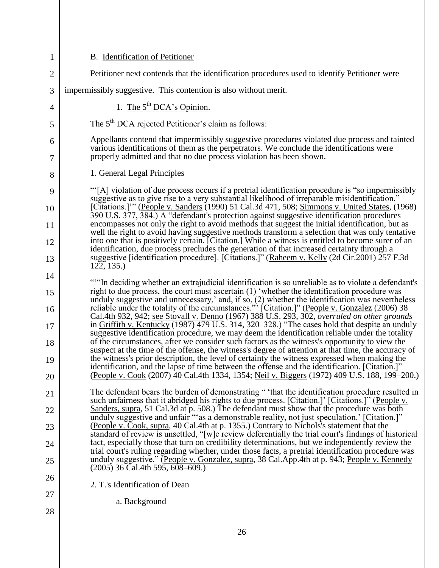| 1        | B. Identification of Petitioner                                                                                                                                                                                                                                                                 |
|----------|-------------------------------------------------------------------------------------------------------------------------------------------------------------------------------------------------------------------------------------------------------------------------------------------------|
| 2        | Petitioner next contends that the identification procedures used to identify Petitioner were                                                                                                                                                                                                    |
| 3        | impermissibly suggestive. This contention is also without merit.                                                                                                                                                                                                                                |
| 4        | 1. The $5^{th}$ DCA's Opinion.                                                                                                                                                                                                                                                                  |
| 5        | The 5 <sup>th</sup> DCA rejected Petitioner's claim as follows:                                                                                                                                                                                                                                 |
| 6<br>7   | Appellants contend that impermissibly suggestive procedures violated due process and tainted<br>various identifications of them as the perpetrators. We conclude the identifications were<br>properly admitted and that no due process violation has been shown.                                |
| 8        | 1. General Legal Principles                                                                                                                                                                                                                                                                     |
| 9        | "[A] violation of due process occurs if a pretrial identification procedure is "so impermissibly"                                                                                                                                                                                               |
| 10       | suggestive as to give rise to a very substantial likelihood of irreparable misidentification."<br>[Citations.]"" (People v. Sanders (1990) 51 Cal.3d 471, 508; Simmons v. United States, (1968)                                                                                                 |
| 11       | 390 U.S. 377, 384.) A "defendant's protection against suggestive identification procedures<br>encompasses not only the right to avoid methods that suggest the initial identification, but as                                                                                                   |
| 12       | well the right to avoid having suggestive methods transform a selection that was only tentative<br>into one that is positively certain. [Citation.] While a witness is entitled to become surer of an                                                                                           |
| 13       | identification, due process precludes the generation of that increased certainty through a<br>suggestive [identification procedure]. [Citations.]" (Raheem v. Kelly (2d Cir.2001) 257 F.3d<br>122, 135.                                                                                         |
| 14       |                                                                                                                                                                                                                                                                                                 |
| 15       | ""In deciding whether an extrajudicial identification is so unreliable as to violate a defendant's<br>right to due process, the court must ascertain (1) 'whether the identification procedure was                                                                                              |
| 16       | unduly suggestive and unnecessary,' and, if so, (2) whether the identification was nevertheless<br>reliable under the totality of the circumstances."' [Citation.]" (People v. Gonzalez (2006) 38<br>Cal.4th 932, 942; <u>see Stovall </u>                                                      |
| 17       | in Griffith v. Kentucky (1987) 479 U.S. 314, 320–328.) "The cases hold that despite an unduly<br>suggestive identification procedure, we may deem the identification reliable under the totality                                                                                                |
| 18       | of the circumstances, after we consider such factors as the witness's opportunity to view the<br>suspect at the time of the offense, the witness's degree of attention at that time, the accuracy of                                                                                            |
| 19<br>20 | the witness's prior description, the level of certainty the witness expressed when making the<br>identification, and the lapse of time between the offense and the identification. [Citation.]"<br>(People v. Cook (2007) 40 Cal.4th 1334, 1354; Neil v. Biggers (1972) 409 U.S. 188, 199–200.) |
|          | The defendant bears the burden of demonstrating " 'that the identification procedure resulted in                                                                                                                                                                                                |
| 21       | such unfairness that it abridged his rights to due process. [Citation.]' [Citations.]" (People v.<br>Sanders, supra, 51 Cal.3d at p. 508.) The defendant must show that the procedure was both                                                                                                  |
| 22       | unduly suggestive and unfair "as a demonstrable reality, not just speculation.' [Citation.]"<br>(People v. Cook, supra, 40 Cal.4th at p. 1355.) Contrary to Nichols's statement that the                                                                                                        |
| 23       | standard of review is unsettled, "[w]e review deferentially the trial court's findings of historical<br>fact, especially those that turn on credibility determinations, but we independently review the                                                                                         |
| 24       | trial court's ruling regarding whether, under those facts, a pretrial identification procedure was<br>unduly suggestive." (People v. Gonzalez, supra, 38 Cal.App.4th at p. 943; People v. Kennedy                                                                                               |
| 25       | $(2005)$ 36 Cal.4th 595, 608-609.)                                                                                                                                                                                                                                                              |
| 26       | 2. T.'s Identification of Dean                                                                                                                                                                                                                                                                  |
| 27       | a. Background                                                                                                                                                                                                                                                                                   |
| 28       |                                                                                                                                                                                                                                                                                                 |
|          |                                                                                                                                                                                                                                                                                                 |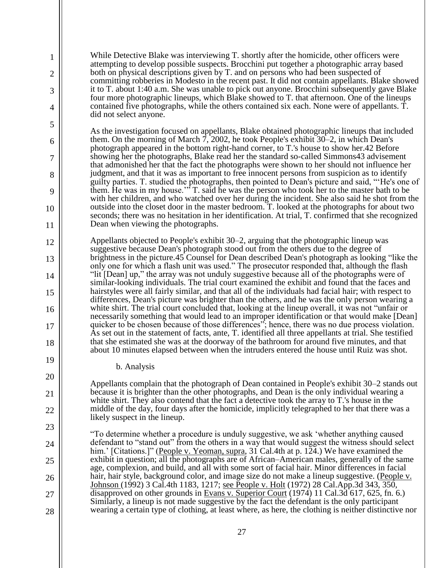While Detective Blake was interviewing T. shortly after the homicide, other officers were attempting to develop possible suspects. Brocchini put together a photographic array based both on physical descriptions given by T. and on persons who had been suspected of committing robberies in Modesto in the recent past. It did not contain appellants. Blake showed it to T. about 1:40 a.m. She was unable to pick out anyone. Brocchini subsequently gave Blake four more photographic lineups, which Blake showed to T. that afternoon. One of the lineups contained five photographs, while the others contained six each. None were of appellants. T. did not select anyone.

As the investigation focused on appellants, Blake obtained photographic lineups that included them. On the morning of March 7, 2002, he took People's exhibit 30–2, in which Dean's photograph appeared in the bottom right-hand corner, to T.'s house to show her.42 Before showing her the photographs, Blake read her the standard so-called Simmons43 advisement that admonished her that the fact the photographs were shown to her should not influence her judgment, and that it was as important to free innocent persons from suspicion as to identify guilty parties. T. studied the photographs, then pointed to Dean's picture and said, "'He's one of them. He was in my house.'" T. said he was the person who took her to the master bath to be with her children, and who watched over her during the incident. She also said he shot from the outside into the closet door in the master bedroom. T. looked at the photographs for about two seconds; there was no hesitation in her identification. At trial, T. confirmed that she recognized Dean when viewing the photographs.

Appellants objected to People's exhibit 30–2, arguing that the photographic lineup was suggestive because Dean's photograph stood out from the others due to the degree of brightness in the picture.45 Counsel for Dean described Dean's photograph as looking "like the only one for which a flash unit was used." The prosecutor responded that, although the flash "lit [Dean] up," the array was not unduly suggestive because all of the photographs were of similar-looking individuals. The trial court examined the exhibit and found that the faces and hairstyles were all fairly similar, and that all of the individuals had facial hair; with respect to differences, Dean's picture was brighter than the others, and he was the only person wearing a white shirt. The trial court concluded that, looking at the lineup overall, it was not "unfair or necessarily something that would lead to an improper identification or that would make [Dean] quicker to be chosen because of those differences"; hence, there was no due process violation. As set out in the statement of facts, ante, T. identified all three appellants at trial. She testified that she estimated she was at the doorway of the bathroom for around five minutes, and that about 10 minutes elapsed between when the intruders entered the house until Ruiz was shot.

b. Analysis

1

2

3

4

5

6

7

8

9

10

11

12

13

14

15

16

17

18

19

20

21

22

23

24

25

26

27

28

Appellants complain that the photograph of Dean contained in People's exhibit 30–2 stands out because it is brighter than the other photographs, and Dean is the only individual wearing a white shirt. They also contend that the fact a detective took the array to T.'s house in the middle of the day, four days after the homicide, implicitly telegraphed to her that there was a likely suspect in the lineup.

"To determine whether a procedure is unduly suggestive, we ask 'whether anything caused defendant to "stand out" from the others in a way that would suggest the witness should select him.' [Citations.]" (People v. Yeoman, supra, 31 Cal.4th at p. 124.) We have examined the exhibit in question; all the photographs are of African–American males, generally of the same age, complexion, and build, and all with some sort of facial hair. Minor differences in facial hair, hair style, background color, and image size do not make a lineup suggestive. (People v. Johnson (1992) 3 Cal.4th 1183, 1217; <u>see People v. Holt</u> (1972) 28 Cal.App.3d 343, 350, disapproved on other grounds in Evans v. Superior Court (1974) 11 Cal.3d 617, 625, fn. 6.) Similarly, a lineup is not made suggestive by the fact the defendant is the only participant wearing a certain type of clothing, at least where, as here, the clothing is neither distinctive nor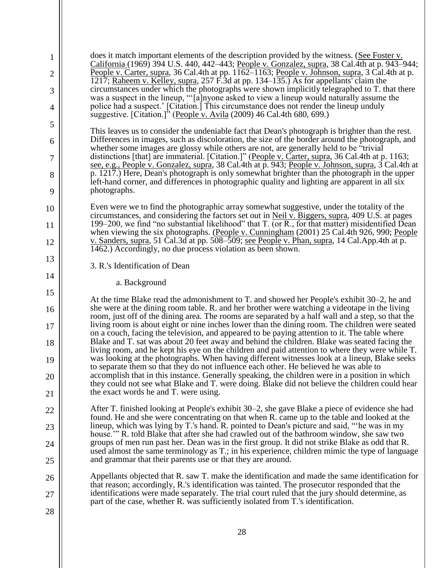| 1<br>2   | does it match important elements of the description provided by the witness. (See Foster v.<br>California (1969) 394 U.S. 440, 442–443; People v. Gonzalez, supra, 38 Cal.4th at p. 943–944;<br>People v. Carter, supra, 36 Cal.4th at pp. 1162–1163; People v. Johnson, supra, 3 Cal.4th at p.           |
|----------|-----------------------------------------------------------------------------------------------------------------------------------------------------------------------------------------------------------------------------------------------------------------------------------------------------------|
| 3        | 1217; Raheem v. Kelley, supra, 257 F.3d at pp. 134–135.) As for appellants' claim the<br>circumstances under which the photographs were shown implicitly telegraphed to T. that there<br>was a suspect in the lineup, "[a] nyone asked to view a lineup would naturally assume the                        |
| 4        | police had a suspect.' [Citation.] This circumstance does not render the lineup unduly<br>suggestive. [Citation.]" (People v. Avila (2009) 46 Cal.4th 680, 699.)                                                                                                                                          |
| 5        | This leaves us to consider the undeniable fact that Dean's photograph is brighter than the rest.                                                                                                                                                                                                          |
| 6        | Differences in images, such as discoloration, the size of the border around the photograph, and<br>whether some images are glossy while others are not, are generally held to be "trivial"                                                                                                                |
| 7        | distinctions [that] are immaterial. [Citation.]" (People v. Carter, supra, 36 Cal.4th at p. 1163;<br>see, e.g., People v. Gonzalez, supra, 38 Cal.4th at p. 943; People v. Johnson, supra, 3 Cal.4th at                                                                                                   |
| 8<br>9   | p. 1217.) Here, Dean's photograph is only somewhat brighter than the photograph in the upper<br>left-hand corner, and differences in photographic quality and lighting are apparent in all six<br>photographs.                                                                                            |
|          |                                                                                                                                                                                                                                                                                                           |
| 10       | Even were we to find the photographic array somewhat suggestive, under the totality of the<br>circumstances, and considering the factors set out in <u>Neil v. Biggers, supra</u> , 409 U.S. at pages<br>199–200, we find "no substantial likelihood" that T. (or R., for that matter) misidentified Dean |
| 11<br>12 | when viewing the six photographs. (People v. Cunningham (2001) 25 Cal.4th 926, 990; People<br>v. Sanders, supra, 51 Cal.3d at pp. 508–509; see People v. Phan, supra, 14 Cal.App.4th at p.                                                                                                                |
|          | 1462.) Accordingly, no due process violation as been shown.                                                                                                                                                                                                                                               |
| 13       | 3. R.'s Identification of Dean                                                                                                                                                                                                                                                                            |
| 14<br>15 | a. Background                                                                                                                                                                                                                                                                                             |
| 16       | At the time Blake read the admonishment to T. and showed her People's exhibit 30–2, he and<br>she were at the dining room table. R. and her brother were watching a videotape in the living                                                                                                               |
| 17       | room, just off of the dining area. The rooms are separated by a half wall and a step, so that the<br>living room is about eight or nine inches lower than the dining room. The children were seated                                                                                                       |
| 18       | on a couch, facing the television, and appeared to be paying attention to it. The table where<br>Blake and T. sat was about 20 feet away and behind the children. Blake was seated facing the<br>living room, and he kept his eye on the children and paid attention to where they were while T.          |
| 19       | was looking at the photographs. When having different witnesses look at a lineup, Blake seeks<br>to separate them so that they do not influence each other. He believed he was able to                                                                                                                    |
| 20       | accomplish that in this instance. Generally speaking, the children were in a position in which<br>they could not see what Blake and T. were doing. Blake did not believe the children could hear                                                                                                          |
| 21       | the exact words he and T. were using.                                                                                                                                                                                                                                                                     |
| 22       | After T. finished looking at People's exhibit 30–2, she gave Blake a piece of evidence she had<br>found. He and she were concentrating on that when R, came up to the table and looked at the                                                                                                             |
| 23       | lineup, which was lying by T.'s hand. R. pointed to Dean's picture and said, "the was in my<br>house." R. told Blake that after she had crawled out of the bathroom window, she saw two                                                                                                                   |
| 24       | groups of men run past her. Dean was in the first group. It did not strike Blake as odd that R.                                                                                                                                                                                                           |
| 25       | used almost the same terminology as T.; in his experience, children mimic the type of language<br>and grammar that their parents use or that they are around.                                                                                                                                             |
|          |                                                                                                                                                                                                                                                                                                           |
| 26       | Appellants objected that R. saw T. make the identification and made the same identification for                                                                                                                                                                                                           |
| 27       | that reason; accordingly, R.'s identification was tainted. The prosecutor responded that the<br>identifications were made separately. The trial court ruled that the jury should determine, as<br>part of the case, whether R. was sufficiently isolated from T.'s identification.                        |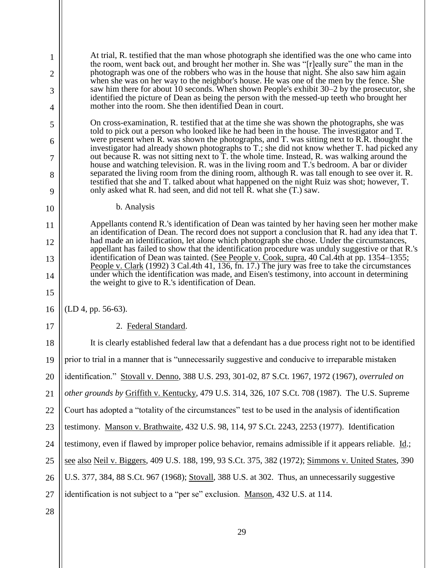1 2 3 4 5 6 7 8 9 10 11 12 13 14 15 16 17 18 19 20 21 22 23 24 25 26 27 28 At trial, R. testified that the man whose photograph she identified was the one who came into the room, went back out, and brought her mother in. She was "[r]eally sure" the man in the photograph was one of the robbers who was in the house that night. She also saw him again when she was on her way to the neighbor's house. He was one of the men by the fence. She saw him there for about 10 seconds. When shown People's exhibit 30–2 by the prosecutor, she identified the picture of Dean as being the person with the messed-up teeth who brought her mother into the room. She then identified Dean in court. On cross-examination, R. testified that at the time she was shown the photographs, she was told to pick out a person who looked like he had been in the house. The investigator and T. were present when R. was shown the photographs, and T. was sitting next to R.R. thought the investigator had already shown photographs to T.; she did not know whether T. had picked any out because R. was not sitting next to T. the whole time. Instead, R. was walking around the house and watching television. R. was in the living room and T.'s bedroom. A bar or divider separated the living room from the dining room, although R. was tall enough to see over it. R. testified that she and T. talked about what happened on the night Ruiz was shot; however, T. only asked what R. had seen, and did not tell R. what she (T.) saw. b. Analysis Appellants contend R.'s identification of Dean was tainted by her having seen her mother make an identification of Dean. The record does not support a conclusion that R. had any idea that T. had made an identification, let alone which photograph she chose. Under the circumstances, appellant has failed to show that the identification procedure was unduly suggestive or that R.'s identification of Dean was tainted. (See People v. Cook, supra, 40 Cal.4th at pp. 1354–1355; People v. Clark (1992) 3 Cal.4th 41, 136, fn. 17.) The jury was free to take the circumstances under which the identification was made, and Eisen's testimony, into account in determining the weight to give to R.'s identification of Dean. (LD 4, pp. 56-63). 2. Federal Standard. It is clearly established federal law that a defendant has a due process right not to be identified prior to trial in a manner that is "unnecessarily suggestive and conducive to irreparable mistaken identification." Stovall v. Denno, 388 U.S. 293, 301-02, 87 S.Ct. 1967, 1972 (1967), *overruled on other grounds by* Griffith v. Kentucky, 479 U.S. 314, 326, 107 S.Ct. 708 (1987). The U.S. Supreme Court has adopted a "totality of the circumstances" test to be used in the analysis of identification testimony. Manson v. Brathwaite, 432 U.S. 98, 114, 97 S.Ct. 2243, 2253 (1977). Identification testimony, even if flawed by improper police behavior, remains admissible if it appears reliable. Id.; see also Neil v. Biggers, 409 U.S. 188, 199, 93 S.Ct. 375, 382 (1972); Simmons v. United States, 390 U.S. 377, 384, 88 S.Ct. 967 (1968); Stovall, 388 U.S. at 302. Thus, an unnecessarily suggestive identification is not subject to a "per se" exclusion. Manson, 432 U.S. at 114.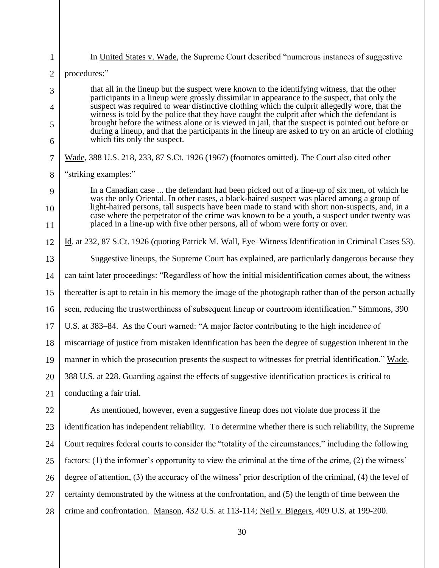| $\mathbf{1}$   | In United States v. Wade, the Supreme Court described "numerous instances of suggestive                                                                                                                                                                                                                 |
|----------------|---------------------------------------------------------------------------------------------------------------------------------------------------------------------------------------------------------------------------------------------------------------------------------------------------------|
| $\overline{2}$ | procedures:"                                                                                                                                                                                                                                                                                            |
| 3              | that all in the lineup but the suspect were known to the identifying witness, that the other                                                                                                                                                                                                            |
| $\overline{4}$ | participants in a lineup were grossly dissimilar in appearance to the suspect, that only the<br>suspect was required to wear distinctive clothing which the culprit allegedly wore, that the                                                                                                            |
| 5              | witness is told by the police that they have caught the culprit after which the defendant is<br>brought before the witness alone or is viewed in jail, that the suspect is pointed out before or<br>during a lineup, and that the participants in the lineup are asked to try on an article of clothing |
| 6              | which fits only the suspect.                                                                                                                                                                                                                                                                            |
| 7              | Wade, 388 U.S. 218, 233, 87 S.Ct. 1926 (1967) (footnotes omitted). The Court also cited other                                                                                                                                                                                                           |
| 8              | "striking examples:"                                                                                                                                                                                                                                                                                    |
| 9              | In a Canadian case  the defendant had been picked out of a line-up of six men, of which he<br>was the only Oriental. In other cases, a black-haired suspect was placed among a group of                                                                                                                 |
| 10             | light-haired persons, tall suspects have been made to stand with short non-suspects, and, in a<br>case where the perpetrator of the crime was known to be a youth, a suspect under twenty was                                                                                                           |
| 11             | placed in a line-up with five other persons, all of whom were forty or over.                                                                                                                                                                                                                            |
| 12             | Id. at 232, 87 S.Ct. 1926 (quoting Patrick M. Wall, Eye–Witness Identification in Criminal Cases 53).                                                                                                                                                                                                   |
| 13             | Suggestive lineups, the Supreme Court has explained, are particularly dangerous because they                                                                                                                                                                                                            |
| 14             | can taint later proceedings: "Regardless of how the initial misidentification comes about, the witness                                                                                                                                                                                                  |
| 15             | thereafter is apt to retain in his memory the image of the photograph rather than of the person actually                                                                                                                                                                                                |
| 16             | seen, reducing the trustworthiness of subsequent lineup or courtroom identification." Simmons, 390                                                                                                                                                                                                      |
| 17             | U.S. at 383–84. As the Court warned: "A major factor contributing to the high incidence of                                                                                                                                                                                                              |
| 18             | miscarriage of justice from mistaken identification has been the degree of suggestion inherent in the                                                                                                                                                                                                   |
| 19             | manner in which the prosecution presents the suspect to witnesses for pretrial identification." Wade,                                                                                                                                                                                                   |
| 20             | 388 U.S. at 228. Guarding against the effects of suggestive identification practices is critical to                                                                                                                                                                                                     |
| 21             | conducting a fair trial.                                                                                                                                                                                                                                                                                |
| 22             | As mentioned, however, even a suggestive lineup does not violate due process if the                                                                                                                                                                                                                     |
| 23             | identification has independent reliability. To determine whether there is such reliability, the Supreme                                                                                                                                                                                                 |
| 24             | Court requires federal courts to consider the "totality of the circumstances," including the following                                                                                                                                                                                                  |
| 25             | factors: (1) the informer's opportunity to view the criminal at the time of the crime, (2) the witness'                                                                                                                                                                                                 |
| 26             | degree of attention, (3) the accuracy of the witness' prior description of the criminal, (4) the level of                                                                                                                                                                                               |
| 27             | certainty demonstrated by the witness at the confrontation, and (5) the length of time between the                                                                                                                                                                                                      |
| 28             | crime and confrontation. Manson, 432 U.S. at 113-114; Neil v. Biggers, 409 U.S. at 199-200.                                                                                                                                                                                                             |
|                |                                                                                                                                                                                                                                                                                                         |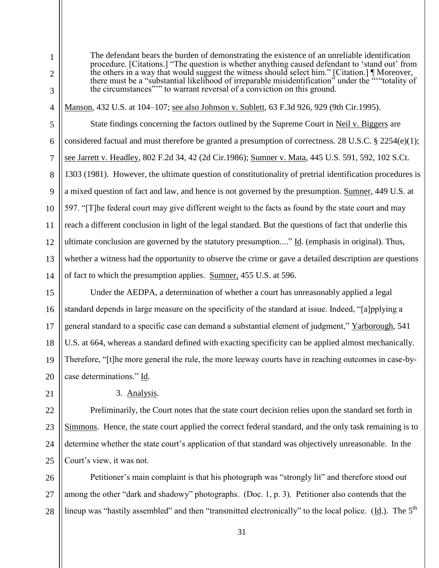$\mathbf{Q}$ 10 12 there must be a "substantial likelihood of irreparable misidentification" under the "'"totality of the circumstances"'" to warrant reversal of a conviction on this ground. Manson, 432 U.S. at 104–107; see also Johnson v. Sublett, 63 F.3d 926, 929 (9th Cir.1995). State findings concerning the factors outlined by the Supreme Court in Neil v. Biggers are considered factual and must therefore be granted a presumption of correctness. 28 U.S.C. § 2254(e)(1); see Jarrett v. Headley, 802 F.2d 34, 42 (2d Cir.1986); Sumner v. Mata, 445 U.S. 591, 592, 102 S.Ct. 1303 (1981). However, the ultimate question of constitutionality of pretrial identification procedures is a mixed question of fact and law, and hence is not governed by the presumption. Sumner, 449 U.S. at 597. "[T]he federal court may give different weight to the facts as found by the state court and may reach a different conclusion in light of the legal standard. But the questions of fact that underlie this ultimate conclusion are governed by the statutory presumption...." Id. (emphasis in original). Thus, whether a witness had the opportunity to observe the crime or gave a detailed description are questions

The defendant bears the burden of demonstrating the existence of an unreliable identification procedure. [Citations.] "The question is whether anything caused defendant to 'stand out' from the others in a way that would suggest the witness should select him." [Citation.] ¶ Moreover,

of fact to which the presumption applies. Sumner, 455 U.S. at 596.

15 16 17 18 19 20 Under the AEDPA, a determination of whether a court has unreasonably applied a legal standard depends in large measure on the specificity of the standard at issue. Indeed, "[a]pplying a general standard to a specific case can demand a substantial element of judgment," Yarborough, 541 U.S. at 664, whereas a standard defined with exacting specificity can be applied almost mechanically. Therefore, "[t]he more general the rule, the more leeway courts have in reaching outcomes in case-bycase determinations." Id.

## 3. Analysis.

1

2

3

4

5

6

7

8

11

13

14

21

22 23 24 25 Preliminarily, the Court notes that the state court decision relies upon the standard set forth in Simmons. Hence, the state court applied the correct federal standard, and the only task remaining is to determine whether the state court's application of that standard was objectively unreasonable. In the Court's view, it was not.

26 27 28 Petitioner's main complaint is that his photograph was "strongly lit" and therefore stood out among the other "dark and shadowy" photographs. (Doc. 1, p. 3). Petitioner also contends that the lineup was "hastily assembled" and then "transmitted electronically" to the local police. (Id.). The 5<sup>th</sup>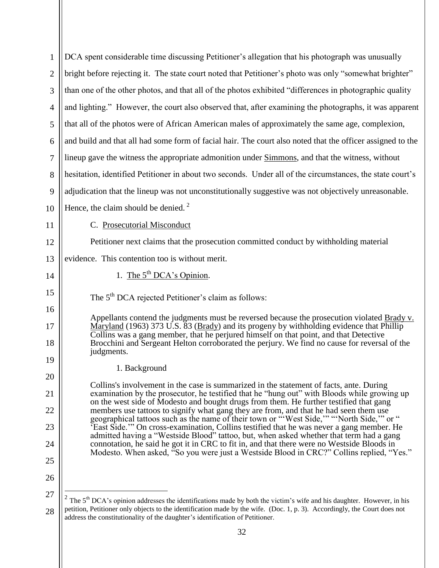| $\mathbf{1}$   | DCA spent considerable time discussing Petitioner's allegation that his photograph was unusually                                                                                                                                                              |
|----------------|---------------------------------------------------------------------------------------------------------------------------------------------------------------------------------------------------------------------------------------------------------------|
| $\overline{2}$ | bright before rejecting it. The state court noted that Petitioner's photo was only "somewhat brighter"                                                                                                                                                        |
| 3              | than one of the other photos, and that all of the photos exhibited "differences in photographic quality"                                                                                                                                                      |
| $\overline{4}$ | and lighting." However, the court also observed that, after examining the photographs, it was apparent                                                                                                                                                        |
| 5              | that all of the photos were of African American males of approximately the same age, complexion,                                                                                                                                                              |
| 6              | and build and that all had some form of facial hair. The court also noted that the officer assigned to the                                                                                                                                                    |
| 7              | lineup gave the witness the appropriate admonition under Simmons, and that the witness, without                                                                                                                                                               |
| 8              | hesitation, identified Petitioner in about two seconds. Under all of the circumstances, the state court's                                                                                                                                                     |
| 9              | adjudication that the lineup was not unconstitutionally suggestive was not objectively unreasonable.                                                                                                                                                          |
| 10             | Hence, the claim should be denied. $2$                                                                                                                                                                                                                        |
| 11             | C. Prosecutorial Misconduct                                                                                                                                                                                                                                   |
| 12             | Petitioner next claims that the prosecution committed conduct by withholding material                                                                                                                                                                         |
| 13             | evidence. This contention too is without merit.                                                                                                                                                                                                               |
| 14             | 1. The $5th DCA's Opinion.$                                                                                                                                                                                                                                   |
| 15             | The 5 <sup>th</sup> DCA rejected Petitioner's claim as follows:                                                                                                                                                                                               |
| 16             | Appellants contend the judgments must be reversed because the prosecution violated Brady v.                                                                                                                                                                   |
|                |                                                                                                                                                                                                                                                               |
| 17             | Maryland (1963) 373 U.S. 83 (Brady) and its progeny by withholding evidence that Phillip<br>Collins was a gang member, that he perjured himself on that point, and that Detective                                                                             |
| 18             | Brocchini and Sergeant Helton corroborated the perjury. We find no cause for reversal of the<br>judgments.                                                                                                                                                    |
| 19             |                                                                                                                                                                                                                                                               |
| 20             | 1. Background<br>Collins's involvement in the case is summarized in the statement of facts, ante. During                                                                                                                                                      |
| 21             | examination by the prosecutor, he testified that he "hung out" with Bloods while growing up<br>on the west side of Modesto and bought drugs from them. He further testified that gang                                                                         |
| 22             | members use tattoos to signify what gang they are from, and that he had seen them use<br>geographical tattoos such as the name of their town or "West Side," "North Side," or "                                                                               |
| 23             | 'East Side.'" On cross-examination, Collins testified that he was never a gang member. He<br>admitted having a "Westside Blood" tattoo, but, when asked whether that term had a gang                                                                          |
| 24             | connotation, he said he got it in CRC to fit in, and that there were no Westside Bloods in<br>Modesto. When asked, "So you were just a Westside Blood in CRC?" Collins replied, "Yes."                                                                        |
| 25             |                                                                                                                                                                                                                                                               |
| 26             |                                                                                                                                                                                                                                                               |
| 27             | The 5 <sup>th</sup> DCA's opinion addresses the identifications made by both the victim's wife and his daughter. However, in his<br>petition, Petitioner only objects to the identification made by the wife. (Doc. 1, p. 3). Accordingly, the Court does not |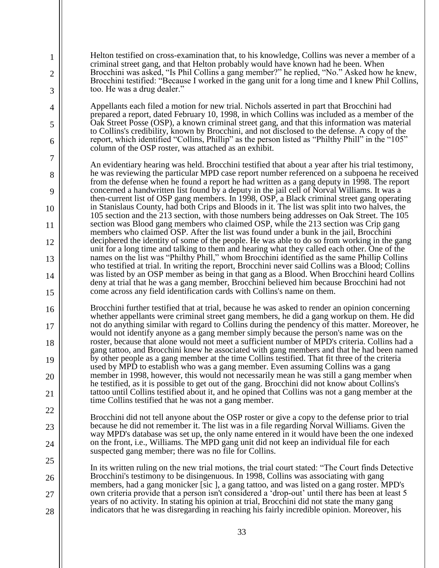Helton testified on cross-examination that, to his knowledge, Collins was never a member of a criminal street gang, and that Helton probably would have known had he been. When Brocchini was asked, "Is Phil Collins a gang member?" he replied, "No." Asked how he knew, Brocchini testified: "Because I worked in the gang unit for a long time and I knew Phil Collins, too. He was a drug dealer."

1

2

3

4

5

6

7

8

9

10

11

12

13

14

15

16

17

18

19

20

21

22

23

24

25

26

27

28

Appellants each filed a motion for new trial. Nichols asserted in part that Brocchini had prepared a report, dated February 10, 1998, in which Collins was included as a member of the Oak Street Posse (OSP), a known criminal street gang, and that this information was material to Collins's credibility, known by Brocchini, and not disclosed to the defense. A copy of the report, which identified "Collins, Phillip" as the person listed as "Philthy Phill" in the "105" column of the OSP roster, was attached as an exhibit.

An evidentiary hearing was held. Brocchini testified that about a year after his trial testimony, he was reviewing the particular MPD case report number referenced on a subpoena he received from the defense when he found a report he had written as a gang deputy in 1998. The report concerned a handwritten list found by a deputy in the jail cell of Norval Williams. It was a then-current list of OSP gang members. In 1998, OSP, a Black criminal street gang operating in Stanislaus County, had both Crips and Bloods in it. The list was split into two halves, the 105 section and the 213 section, with those numbers being addresses on Oak Street. The 105 section was Blood gang members who claimed OSP, while the 213 section was Crip gang members who claimed OSP. After the list was found under a bunk in the jail, Brocchini deciphered the identity of some of the people. He was able to do so from working in the gang unit for a long time and talking to them and hearing what they called each other. One of the names on the list was "Philthy Phill," whom Brocchini identified as the same Phillip Collins who testified at trial. In writing the report, Brocchini never said Collins was a Blood; Collins was listed by an OSP member as being in that gang as a Blood. When Brocchini heard Collins deny at trial that he was a gang member, Brocchini believed him because Brocchini had not come across any field identification cards with Collins's name on them.

Brocchini further testified that at trial, because he was asked to render an opinion concerning whether appellants were criminal street gang members, he did a gang workup on them. He did not do anything similar with regard to Collins during the pendency of this matter. Moreover, he would not identify anyone as a gang member simply because the person's name was on the roster, because that alone would not meet a sufficient number of MPD's criteria. Collins had a gang tattoo, and Brocchini knew he associated with gang members and that he had been named by other people as a gang member at the time Collins testified. That fit three of the criteria used by MPD to establish who was a gang member. Even assuming Collins was a gang member in 1998, however, this would not necessarily mean he was still a gang member when he testified, as it is possible to get out of the gang. Brocchini did not know about Collins's tattoo until Collins testified about it, and he opined that Collins was not a gang member at the time Collins testified that he was not a gang member.

Brocchini did not tell anyone about the OSP roster or give a copy to the defense prior to trial because he did not remember it. The list was in a file regarding Norval Williams. Given the way MPD's database was set up, the only name entered in it would have been the one indexed on the front, i.e., Williams. The MPD gang unit did not keep an individual file for each suspected gang member; there was no file for Collins.

In its written ruling on the new trial motions, the trial court stated: "The Court finds Detective Brocchini's testimony to be disingenuous. In 1998, Collins was associating with gang members, had a gang monicker [sic ], a gang tattoo, and was listed on a gang roster. MPD's own criteria provide that a person isn't considered a 'drop-out' until there has been at least 5 years of no activity. In stating his opinion at trial, Brocchini did not state the many gang indicators that he was disregarding in reaching his fairly incredible opinion. Moreover, his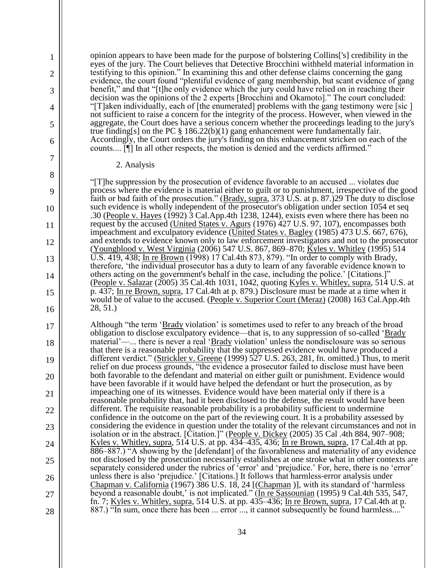13

14

15

16

1

#### 2. Analysis

"[T]he suppression by the prosecution of evidence favorable to an accused ... violates due process where the evidence is material either to guilt or to punishment, irrespective of the good faith or bad faith of the prosecution." (Brady, supra, 373 U.S. at p. 87.)29 The duty to disclose such evidence is wholly independent of the prosecutor's obligation under section 1054 et seq .30 (People v. Hayes (1992) 3 Cal.App.4th 1238, 1244), exists even where there has been no request by the accused (United States v. Agurs (1976) 427 U.S. 97, 107), encompasses both impeachment and exculpatory evidence (United States v. Bagley (1985) 473 U.S. 667, 676), and extends to evidence known only to law enforcement investigators and not to the prosecutor (Youngblood v. West Virginia (2006) 547 U.S. 867, 869–870; Kyles v. Whitley (1995) 514 U.S. 419, 438; In re Brown (1998) 17 Cal.4th 873, 879). "In order to comply with Brady, therefore, 'the individual prosecutor has a duty to learn of any favorable evidence known to others acting on the government's behalf in the case, including the police.' [Citations.]" (People v. Salazar  $(2005)$  35 Cal.4th 1031, 1042, quoting Kyles v. Whitley, supra, 514 U.S. at p. 437; In re Brown, supra, 17 Cal.4th at p. 879.) Disclosure must be made at a time when it would be of value to the accused. (People v. Superior Court (Meraz) (2008) 163 Cal.App.4th 28, 51.)

opinion appears to have been made for the purpose of bolstering Collins['s] credibility in the eyes of the jury. The Court believes that Detective Brocchini withheld material information in testifying to this opinion." In examining this and other defense claims concerning the gang evidence, the court found "plentiful evidence of gang membership, but scant evidence of gang benefit," and that "[t]he only evidence which the jury could have relied on in reaching their decision was the opinions of the 2 experts [Brocchini and Okamoto]." The court concluded: "[T]aken individually, each of [the enumerated] problems with the gang testimony were [sic ] not sufficient to raise a concern for the integrity of the process. However, when viewed in the aggregate, the Court does have a serious concern whether the proceedings leading to the jury's

true finding[s] on the PC  $\S$  186.22(b)(1) gang enhancement were fundamentally fair.

counts.... [¶] In all other respects, the motion is denied and the verdicts affirmed."

Accordingly, the Court orders the jury's finding on this enhancement stricken on each of the

17 18 19 20 21 22 23 24 25 26 27 28 Although "the term 'Brady violation' is sometimes used to refer to any breach of the broad obligation to disclose exculpatory evidence—that is, to any suppression of so-called 'Brady' material'—... there is never a real 'Brady violation' unless the nondisclosure was so serious that there is a reasonable probability that the suppressed evidence would have produced a different verdict." (Strickler v. Greene (1999) 527 U.S. 263, 281, fn. omitted.) Thus, to merit relief on due process grounds, "the evidence a prosecutor failed to disclose must have been both favorable to the defendant and material on either guilt or punishment. Evidence would have been favorable if it would have helped the defendant or hurt the prosecution, as by impeaching one of its witnesses. Evidence would have been material only if there is a reasonable probability that, had it been disclosed to the defense, the result would have been different. The requisite reasonable probability is a probability sufficient to undermine confidence in the outcome on the part of the reviewing court. It is a probability assessed by considering the evidence in question under the totality of the relevant circumstances and not in isolation or in the abstract. [Citation.]" (People v. Dickey (2005) 35 Cal .4th 884, 907–908; Kyles v. Whitley, supra, 514 U.S. at pp. 434–435, 436; In re Brown, supra, 17 Cal.4th at pp. 886–887.) "A showing by the [defendant] of the favorableness and materiality of any evidence not disclosed by the prosecution necessarily establishes at one stroke what in other contexts are separately considered under the rubrics of 'error' and 'prejudice.' For, here, there is no 'error' unless there is also 'prejudice.' [Citations.] It follows that harmless-error analysis under Chapman v. California (1967) 386 U.S. 18, 24 [(Chapman)], with its standard of 'harmless beyond a reasonable doubt,' is not implicated." (In re Sassounian (1995) 9 Cal.4th 535, 547, fn. 7; Kyles v. Whitley, supra, 514 U.S. at pp. 435–436; In re Brown, supra, 17 Cal.4th at p. 887.) "In sum, once there has been ... error ..., it cannot subsequently be found harmless...."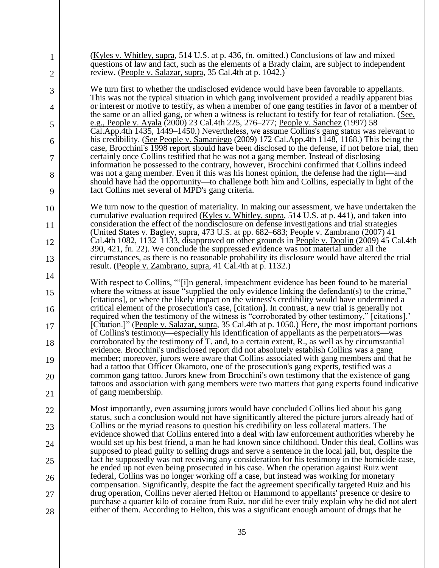| 1<br>2   | (Kyles v. Whitley, supra, 514 U.S. at p. 436, fn. omitted.) Conclusions of law and mixed<br>questions of law and fact, such as the elements of a Brady claim, are subject to independent<br>review. (People v. Salazar, supra, 35 Cal.4th at p. 1042.)                                          |
|----------|-------------------------------------------------------------------------------------------------------------------------------------------------------------------------------------------------------------------------------------------------------------------------------------------------|
| 3        | We turn first to whether the undisclosed evidence would have been favorable to appellants.                                                                                                                                                                                                      |
| 4        | This was not the typical situation in which gang involvement provided a readily apparent bias<br>or interest or motive to testify, as when a member of one gang testifies in favor of a member of                                                                                               |
| 5        | the same or an allied gang, or when a witness is reluctant to testify for fear of retaliation. (See,<br>e.g., People v. Ayala (2000) 23 Cal.4th 225, 276–277; People v. Sanchez (1997) 58                                                                                                       |
| 6        | Cal.App.4th 1435, 1449–1450.) Nevertheless, we assume Collins's gang status was relevant to<br>his credibility. (See People v. Samaniego (2009) 172 Cal.App.4th 1148, 1168.) This being the                                                                                                     |
| 7        | case, Brocchini's 1998 report should have been disclosed to the defense, if not before trial, then<br>certainly once Collins testified that he was not a gang member. Instead of disclosing<br>information he possessed to the contrary, however, Brocchini confirmed that Collins indeed       |
| 8        | was not a gang member. Even if this was his honest opinion, the defense had the right—and<br>should have had the opportunity—to challenge both him and Collins, especially in light of the                                                                                                      |
| 9        | fact Collins met several of MPD's gang criteria.                                                                                                                                                                                                                                                |
| 10       | We turn now to the question of materiality. In making our assessment, we have undertaken the<br>cumulative evaluation required (Kyles v. Whitley, supra, 514 U.S. at p. 441), and taken into                                                                                                    |
| 11       | consideration the effect of the nondisclosure on defense investigations and trial strategies<br>(United States v. Bagley, supra, 473 U.S. at pp. 682–683; People v. Zambrano (2007) 41<br>Cal.4th 1082, 1132–1133, disapproved on other grounds in People v. Doolin (2009) 45 Cal.4th           |
| 12<br>13 | 390, 421, fn. 22). We conclude the suppressed evidence was not material under all the<br>circumstances, as there is no reasonable probability its disclosure would have altered the trial                                                                                                       |
| 14       | result. (People v. Zambrano, supra, 41 Cal. 4th at p. 1132.)                                                                                                                                                                                                                                    |
|          | With respect to Collins, "'[i]n general, impeachment evidence has been found to be material<br>where the witness at issue "supplied the only evidence linking the defendant(s) to the crime,"                                                                                                   |
| 15<br>16 | [citations], or where the likely impact on the witness's credibility would have undermined a<br>critical element of the prosecution's case, [citation]. In contrast, a new trial is generally not                                                                                               |
| 17       | required when the testimony of the witness is "corroborated by other testimony," [citations]."<br>[Citation.]" (People v. Salazar, supra, 35 Cal.4th at p. 1050.) Here, the most important portions                                                                                             |
| 18       | of Collins's testimony—especially his identification of appellants as the perpetrators—was<br>corroborated by the testimony of T. and, to a certain extent, R., as well as by circumstantial                                                                                                    |
| 19       | evidence. Brocchini's undisclosed report did not absolutely establish Collins was a gang<br>member; moreover, jurors were aware that Collins associated with gang members and that he<br>had a tattoo that Officer Okamoto, one of the prosecution's gang experts, testified was a              |
| 20       | common gang tattoo. Jurors knew from Brocchini's own testimony that the existence of gang<br>tattoos and association with gang members were two matters that gang experts found indicative                                                                                                      |
| 21       | of gang membership.                                                                                                                                                                                                                                                                             |
| 22       | Most importantly, even assuming jurors would have concluded Collins lied about his gang<br>status, such a conclusion would not have significantly altered the picture jurors already had of                                                                                                     |
| 23       | Collins or the myriad reasons to question his credibility on less collateral matters. The<br>evidence showed that Collins entered into a deal with law enforcement authorities whereby he                                                                                                       |
| 24       | would set up his best friend, a man he had known since childhood. Under this deal, Collins was                                                                                                                                                                                                  |
| 25       | supposed to plead guilty to selling drugs and serve a sentence in the local jail, but, despite the<br>fact he supposedly was not receiving any consideration for his testimony in the homicide case,<br>he ended up not even being prosecuted in his case. When the operation against Ruiz went |
| 26       | federal, Collins was no longer working off a case, but instead was working for monetary<br>compensation. Significantly, despite the fact the agreement specifically targeted Ruiz and his                                                                                                       |
| 27       | drug operation, Collins never alerted Helton or Hammond to appellants' presence or desire to<br>purchase a quarter kilo of cocaine from Ruiz, nor did he ever truly explain why he did not alert                                                                                                |
| 28       | either of them. According to Helton, this was a significant enough amount of drugs that he                                                                                                                                                                                                      |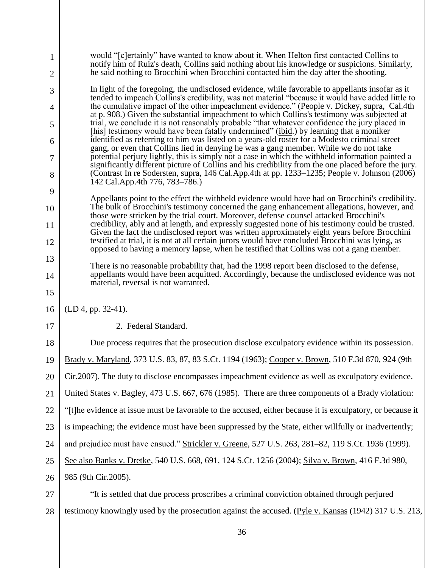| 1<br>2   | would "[c]ertainly" have wanted to know about it. When Helton first contacted Collins to<br>notify him of Ruiz's death, Collins said nothing about his knowledge or suspicions. Similarly,<br>he said nothing to Brocchini when Brocchini contacted him the day after the shooting.              |
|----------|--------------------------------------------------------------------------------------------------------------------------------------------------------------------------------------------------------------------------------------------------------------------------------------------------|
| 3        | In light of the foregoing, the undisclosed evidence, while favorable to appellants insofar as it                                                                                                                                                                                                 |
| 4        | tended to impeach Collins's credibility, was not material "because it would have added little to<br>the cumulative impact of the other impeachment evidence." (People v. Dickey, supra, Cal.4th                                                                                                  |
| 5        | at p. 908.) Given the substantial impeachment to which Collins's testimony was subjected at<br>trial, we conclude it is not reasonably probable "that whatever confidence the jury placed in                                                                                                     |
| 6        | [his] testimony would have been fatally undermined" (ibid.) by learning that a moniker<br>identified as referring to him was listed on a years-old roster for a Modesto criminal street                                                                                                          |
| 7        | gang, or even that Collins lied in denying he was a gang member. While we do not take<br>potential perjury lightly, this is simply not a case in which the withheld information painted a<br>significantly different picture of Collins and his credibility from the one placed before the jury. |
| 8        | (Contrast In re Sodersten, supra, 146 Cal.App.4th at pp. 1233–1235; People v. Johnson (2006)<br>142 Cal.App.4th 776, 783-786.)                                                                                                                                                                   |
| 9        | Appellants point to the effect the withheld evidence would have had on Brocchini's credibility.                                                                                                                                                                                                  |
| 10<br>11 | The bulk of Brocchini's testimony concerned the gang enhancement allegations, however, and<br>those were stricken by the trial court. Moreover, defense counsel attacked Brocchini's<br>credibility, ably and at length, and expressly suggested none of his testimony could be trusted.         |
|          | Given the fact the undisclosed report was written approximately eight years before Brocchini<br>testified at trial, it is not at all certain jurors would have concluded Brocchini was lying, as                                                                                                 |
| 12       | opposed to having a memory lapse, when he testified that Collins was not a gang member.                                                                                                                                                                                                          |
| 13       | There is no reasonable probability that, had the 1998 report been disclosed to the defense,                                                                                                                                                                                                      |
| 14<br>15 | appellants would have been acquitted. Accordingly, because the undisclosed evidence was not<br>material, reversal is not warranted.                                                                                                                                                              |
| 16       | $(LD 4, pp. 32-41).$                                                                                                                                                                                                                                                                             |
| 17       | 2. Federal Standard.                                                                                                                                                                                                                                                                             |
| 18       | Due process requires that the prosecution disclose exculpatory evidence within its possession.                                                                                                                                                                                                   |
| 19       | Brady v. Maryland, 373 U.S. 83, 87, 83 S.Ct. 1194 (1963); Cooper v. Brown, 510 F.3d 870, 924 (9th                                                                                                                                                                                                |
| 20       | Cir.2007). The duty to disclose encompasses impeachment evidence as well as exculpatory evidence.                                                                                                                                                                                                |
| 21       | United States v. Bagley, 473 U.S. 667, 676 (1985). There are three components of a Brady violation:                                                                                                                                                                                              |
| 22       | "[t]he evidence at issue must be favorable to the accused, either because it is exculpatory, or because it                                                                                                                                                                                       |
| 23       | is impeaching; the evidence must have been suppressed by the State, either willfully or inadvertently;                                                                                                                                                                                           |
| 24       | and prejudice must have ensued." Strickler v. Greene, 527 U.S. 263, 281-82, 119 S.Ct. 1936 (1999).                                                                                                                                                                                               |
| 25       | See also Banks v. Dretke, 540 U.S. 668, 691, 124 S.Ct. 1256 (2004); Silva v. Brown, 416 F.3d 980,                                                                                                                                                                                                |
| 26       | 985 (9th Cir.2005).                                                                                                                                                                                                                                                                              |
| 27       | "It is settled that due process proscribes a criminal conviction obtained through perjured                                                                                                                                                                                                       |
| 28       | testimony knowingly used by the prosecution against the accused. (Pyle v. Kansas (1942) 317 U.S. 213,                                                                                                                                                                                            |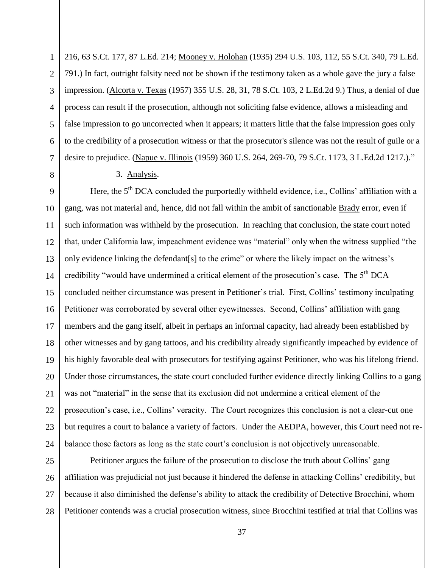1 2 3 4 5 6 7 216, 63 S.Ct. 177, 87 L.Ed. 214; Mooney v. Holohan (1935) 294 U.S. 103, 112, 55 S.Ct. 340, 79 L.Ed. 791.) In fact, outright falsity need not be shown if the testimony taken as a whole gave the jury a false impression. (Alcorta v. Texas (1957) 355 U.S. 28, 31, 78 S.Ct. 103, 2 L.Ed.2d 9.) Thus, a denial of due process can result if the prosecution, although not soliciting false evidence, allows a misleading and false impression to go uncorrected when it appears; it matters little that the false impression goes only to the credibility of a prosecution witness or that the prosecutor's silence was not the result of guile or a desire to prejudice. (Napue v. Illinois (1959) 360 U.S. 264, 269-70, 79 S.Ct. 1173, 3 L.Ed.2d 1217.)."

3. Analysis.

8

9 10 11 12 13 14 15 16 17 18 19 20 21 22 23 24 Here, the  $5<sup>th</sup> DCA$  concluded the purportedly withheld evidence, i.e., Collins' affiliation with a gang, was not material and, hence, did not fall within the ambit of sanctionable **Brady** error, even if such information was withheld by the prosecution. In reaching that conclusion, the state court noted that, under California law, impeachment evidence was "material" only when the witness supplied "the only evidence linking the defendant[s] to the crime" or where the likely impact on the witness's credibility "would have undermined a critical element of the prosecution's case. The 5<sup>th</sup> DCA concluded neither circumstance was present in Petitioner's trial. First, Collins' testimony inculpating Petitioner was corroborated by several other eyewitnesses. Second, Collins' affiliation with gang members and the gang itself, albeit in perhaps an informal capacity, had already been established by other witnesses and by gang tattoos, and his credibility already significantly impeached by evidence of his highly favorable deal with prosecutors for testifying against Petitioner, who was his lifelong friend. Under those circumstances, the state court concluded further evidence directly linking Collins to a gang was not "material" in the sense that its exclusion did not undermine a critical element of the prosecution's case, i.e., Collins' veracity. The Court recognizes this conclusion is not a clear-cut one but requires a court to balance a variety of factors. Under the AEDPA, however, this Court need not rebalance those factors as long as the state court's conclusion is not objectively unreasonable.

25 26 27 28 Petitioner argues the failure of the prosecution to disclose the truth about Collins' gang affiliation was prejudicial not just because it hindered the defense in attacking Collins' credibility, but because it also diminished the defense's ability to attack the credibility of Detective Brocchini, whom Petitioner contends was a crucial prosecution witness, since Brocchini testified at trial that Collins was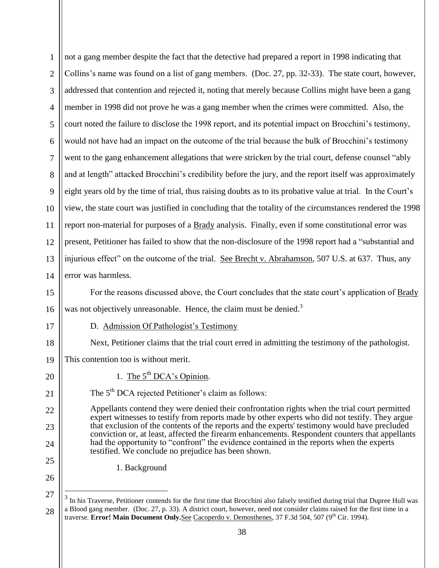| $\mathbf{1}$   | not a gang member despite the fact that the detective had prepared a report in 1998 indicating that                                                                                                                                           |
|----------------|-----------------------------------------------------------------------------------------------------------------------------------------------------------------------------------------------------------------------------------------------|
| $\overline{2}$ | Collins's name was found on a list of gang members. (Doc. 27, pp. 32-33). The state court, however,                                                                                                                                           |
| 3              | addressed that contention and rejected it, noting that merely because Collins might have been a gang                                                                                                                                          |
| $\overline{4}$ | member in 1998 did not prove he was a gang member when the crimes were committed. Also, the                                                                                                                                                   |
| 5              | court noted the failure to disclose the 1998 report, and its potential impact on Brocchini's testimony,                                                                                                                                       |
| 6              | would not have had an impact on the outcome of the trial because the bulk of Brocchini's testimony                                                                                                                                            |
| 7              | went to the gang enhancement allegations that were stricken by the trial court, defense counsel "ably                                                                                                                                         |
| 8              | and at length" attacked Brocchini's credibility before the jury, and the report itself was approximately                                                                                                                                      |
| 9              | eight years old by the time of trial, thus raising doubts as to its probative value at trial. In the Court's                                                                                                                                  |
| 10             | view, the state court was justified in concluding that the totality of the circumstances rendered the 1998                                                                                                                                    |
| 11             | report non-material for purposes of a Brady analysis. Finally, even if some constitutional error was                                                                                                                                          |
| 12             | present, Petitioner has failed to show that the non-disclosure of the 1998 report had a "substantial and                                                                                                                                      |
| 13             | injurious effect" on the outcome of the trial. See Brecht v. Abrahamson, 507 U.S. at 637. Thus, any                                                                                                                                           |
| 14             | error was harmless.                                                                                                                                                                                                                           |
| 15             | For the reasons discussed above, the Court concludes that the state court's application of Brady                                                                                                                                              |
| 16             | was not objectively unreasonable. Hence, the claim must be denied. <sup>3</sup>                                                                                                                                                               |
| 17             | D. Admission Of Pathologist's Testimony                                                                                                                                                                                                       |
| 18             | Next, Petitioner claims that the trial court erred in admitting the testimony of the pathologist.                                                                                                                                             |
| 19             | This contention too is without merit.                                                                                                                                                                                                         |
| 20             | 1. The 5 <sup>th</sup> DCA's Opinion.                                                                                                                                                                                                         |
| 21             | The 5 <sup>th</sup> DCA rejected Petitioner's claim as follows:                                                                                                                                                                               |
| 22             | Appellants contend they were denied their confrontation rights when the trial court permitted<br>expert witnesses to testify from reports made by other experts who did not testify. They argue                                               |
| 23             | that exclusion of the contents of the reports and the experts' testimony would have precluded<br>conviction or, at least, affected the firearm enhancements. Respondent counters that appellants                                              |
| 24             | had the opportunity to "confront" the evidence contained in the reports when the experts<br>testified. We conclude no prejudice has been shown.                                                                                               |
| 25             | 1. Background                                                                                                                                                                                                                                 |
| 26             |                                                                                                                                                                                                                                               |
| 27             | In his Traverse, Petitioner contends for the first time that Brocchini also falsely testified during trial that Dupree Hull was                                                                                                               |
| 28             | a Blood gang member. (Doc. 27, p. 33). A district court, however, need not consider claims raised for the first time in a<br>traverse. Error! Main Document Only. See Cacoperdo v. Demosthenes, 37 F.3d 504, 507 (9 <sup>th</sup> Cir. 1994). |

<sup>38</sup>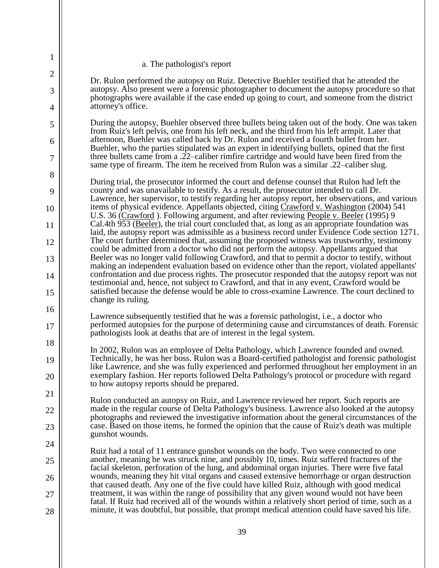### a. The pathologist's report

1

2

3

4

5

6

7

8

9

10

11

12

13

14

15

16

17

18

19

20

21

22

23

24

25

26

27

28

Dr. Rulon performed the autopsy on Ruiz. Detective Buehler testified that he attended the autopsy. Also present were a forensic photographer to document the autopsy procedure so that photographs were available if the case ended up going to court, and someone from the district attorney's office.

During the autopsy, Buehler observed three bullets being taken out of the body. One was taken from Ruiz's left pelvis, one from his left neck, and the third from his left armpit. Later that afternoon, Buehler was called back by Dr. Rulon and received a fourth bullet from her. Buehler, who the parties stipulated was an expert in identifying bullets, opined that the first three bullets came from a .22–caliber rimfire cartridge and would have been fired from the same type of firearm. The item he received from Rulon was a similar .22–caliber slug.

During trial, the prosecutor informed the court and defense counsel that Rulon had left the county and was unavailable to testify. As a result, the prosecutor intended to call Dr. Lawrence, her supervisor, to testify regarding her autopsy report, her observations, and various items of physical evidence. Appellants objected, citing Crawford v. Washington (2004) 541 U.S. 36 (Crawford ). Following argument, and after reviewing People v. Beeler (1995) 9 Cal.4th 953 (Beeler), the trial court concluded that, as long as an appropriate foundation was laid, the autopsy report was admissible as a business record under Evidence Code section 1271. The court further determined that, assuming the proposed witness was trustworthy, testimony could be admitted from a doctor who did not perform the autopsy. Appellants argued that Beeler was no longer valid following Crawford, and that to permit a doctor to testify, without making an independent evaluation based on evidence other than the report, violated appellants' confrontation and due process rights. The prosecutor responded that the autopsy report was not testimonial and, hence, not subject to Crawford, and that in any event, Crawford would be satisfied because the defense would be able to cross-examine Lawrence. The court declined to change its ruling.

Lawrence subsequently testified that he was a forensic pathologist, i.e., a doctor who performed autopsies for the purpose of determining cause and circumstances of death. Forensic pathologists look at deaths that are of interest in the legal system.

In 2002, Rulon was an employee of Delta Pathology, which Lawrence founded and owned. Technically, he was her boss. Rulon was a Board-certified pathologist and forensic pathologist like Lawrence, and she was fully experienced and performed throughout her employment in an exemplary fashion. Her reports followed Delta Pathology's protocol or procedure with regard to how autopsy reports should be prepared.

Rulon conducted an autopsy on Ruiz, and Lawrence reviewed her report. Such reports are made in the regular course of Delta Pathology's business. Lawrence also looked at the autopsy photographs and reviewed the investigative information about the general circumstances of the case. Based on those items, he formed the opinion that the cause of Ruiz's death was multiple gunshot wounds.

Ruiz had a total of 11 entrance gunshot wounds on the body. Two were connected to one another, meaning he was struck nine, and possibly 10, times. Ruiz suffered fractures of the facial skeleton, perforation of the lung, and abdominal organ injuries. There were five fatal wounds, meaning they hit vital organs and caused extensive hemorrhage or organ destruction that caused death. Any one of the five could have killed Ruiz, although with good medical treatment, it was within the range of possibility that any given wound would not have been fatal. If Ruiz had received all of the wounds within a relatively short period of time, such as a minute, it was doubtful, but possible, that prompt medical attention could have saved his life.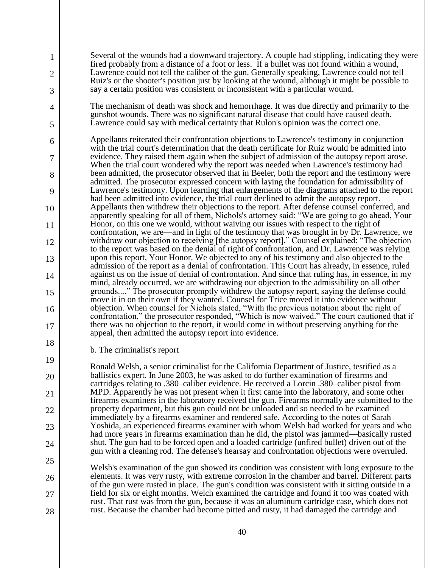Several of the wounds had a downward trajectory. A couple had stippling, indicating they were fired probably from a distance of a foot or less. If a bullet was not found within a wound, Lawrence could not tell the caliber of the gun. Generally speaking, Lawrence could not tell Ruiz's or the shooter's position just by looking at the wound, although it might be possible to say a certain position was consistent or inconsistent with a particular wound.

The mechanism of death was shock and hemorrhage. It was due directly and primarily to the gunshot wounds. There was no significant natural disease that could have caused death. Lawrence could say with medical certainty that Rulon's opinion was the correct one.

Appellants reiterated their confrontation objections to Lawrence's testimony in conjunction with the trial court's determination that the death certificate for Ruiz would be admitted into evidence. They raised them again when the subject of admission of the autopsy report arose. When the trial court wondered why the report was needed when Lawrence's testimony had been admitted, the prosecutor observed that in Beeler, both the report and the testimony were admitted. The prosecutor expressed concern with laying the foundation for admissibility of Lawrence's testimony. Upon learning that enlargements of the diagrams attached to the report had been admitted into evidence, the trial court declined to admit the autopsy report. Appellants then withdrew their objections to the report. After defense counsel conferred, and apparently speaking for all of them, Nichols's attorney said: "We are going to go ahead, Your Honor, on this one we would, without waiving our issues with respect to the right of confrontation, we are—and in light of the testimony that was brought in by Dr. Lawrence, we withdraw our objection to receiving [the autopsy report]." Counsel explained: "The objection to the report was based on the denial of right of confrontation, and Dr. Lawrence was relying upon this report, Your Honor. We objected to any of his testimony and also objected to the admission of the report as a denial of confrontation. This Court has already, in essence, ruled against us on the issue of denial of confrontation. And since that ruling has, in essence, in my mind, already occurred, we are withdrawing our objection to the admissibility on all other grounds...." The prosecutor promptly withdrew the autopsy report, saying the defense could move it in on their own if they wanted. Counsel for Trice moved it into evidence without objection. When counsel for Nichols stated, "With the previous notation about the right of confrontation," the prosecutor responded, "Which is now waived." The court cautioned that if there was no objection to the report, it would come in without preserving anything for the appeal, then admitted the autopsy report into evidence.

b. The criminalist's report

1

2

3

4

5

6

7

8

9

10

11

12

13

14

15

16

17

18

19

20

21

22

23

24

25

26

27

28

Ronald Welsh, a senior criminalist for the California Department of Justice, testified as a ballistics expert. In June 2003, he was asked to do further examination of firearms and cartridges relating to .380–caliber evidence. He received a Lorcin .380–caliber pistol from MPD. Apparently he was not present when it first came into the laboratory, and some other firearms examiners in the laboratory received the gun. Firearms normally are submitted to the property department, but this gun could not be unloaded and so needed to be examined immediately by a firearms examiner and rendered safe. According to the notes of Sarah Yoshida, an experienced firearms examiner with whom Welsh had worked for years and who had more years in firearms examination than he did, the pistol was jammed—basically rusted shut. The gun had to be forced open and a loaded cartridge (unfired bullet) driven out of the gun with a cleaning rod. The defense's hearsay and confrontation objections were overruled.

Welsh's examination of the gun showed its condition was consistent with long exposure to the elements. It was very rusty, with extreme corrosion in the chamber and barrel. Different parts of the gun were rusted in place. The gun's condition was consistent with it sitting outside in a field for six or eight months. Welch examined the cartridge and found it too was coated with rust. That rust was from the gun, because it was an aluminum cartridge case, which does not rust. Because the chamber had become pitted and rusty, it had damaged the cartridge and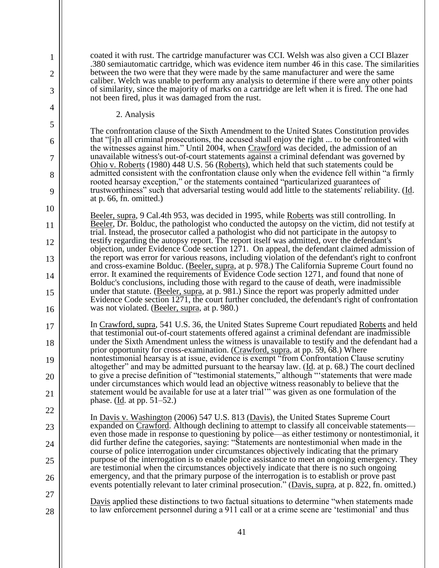coated it with rust. The cartridge manufacturer was CCI. Welsh was also given a CCI Blazer .380 semiautomatic cartridge, which was evidence item number 46 in this case. The similarities between the two were that they were made by the same manufacturer and were the same caliber. Welch was unable to perform any analysis to determine if there were any other points of similarity, since the majority of marks on a cartridge are left when it is fired. The one had not been fired, plus it was damaged from the rust.

2. Analysis

1

2

3

4

5

6

7

8

9

10

11

12

13

14

15

16

17

18

19

20

21

22

23

24

25

26

27

28

The confrontation clause of the Sixth Amendment to the United States Constitution provides that "[i]n all criminal prosecutions, the accused shall enjoy the right ... to be confronted with the witnesses against him." Until 2004, when Crawford was decided, the admission of an unavailable witness's out-of-court statements against a criminal defendant was governed by Ohio v. Roberts (1980) 448 U.S. 56 (Roberts), which held that such statements could be admitted consistent with the confrontation clause only when the evidence fell within "a firmly rooted hearsay exception," or the statements contained "particularized guarantees of trustworthiness" such that adversarial testing would add little to the statements' reliability. (Id. at p. 66, fn. omitted.)

Beeler, supra, 9 Cal.4th 953, was decided in 1995, while Roberts was still controlling. In Beeler, Dr. Bolduc, the pathologist who conducted the autopsy on the victim, did not testify at trial. Instead, the prosecutor called a pathologist who did not participate in the autopsy to testify regarding the autopsy report. The report itself was admitted, over the defendant's objection, under Evidence Code section 1271. On appeal, the defendant claimed admission of the report was error for various reasons, including violation of the defendant's right to confront and cross-examine Bolduc. (Beeler, supra, at p. 978.) The California Supreme Court found no error. It examined the requirements of Evidence Code section 1271, and found that none of Bolduc's conclusions, including those with regard to the cause of death, were inadmissible under that statute. (Beeler, supra, at p. 981.) Since the report was properly admitted under Evidence Code section 1271, the court further concluded, the defendant's right of confrontation was not violated. (Beeler, supra, at p. 980.)

In Crawford, supra, 541 U.S. 36, the United States Supreme Court repudiated Roberts and held that testimonial out-of-court statements offered against a criminal defendant are inadmissible under the Sixth Amendment unless the witness is unavailable to testify and the defendant had a prior opportunity for cross-examination. (Crawford, supra, at pp. 59, 68.) Where nontestimonial hearsay is at issue, evidence is exempt "from Confrontation Clause scrutiny altogether" and may be admitted pursuant to the hearsay law. ( $\underline{Id}$ . at p. 68.) The court declined to give a precise definition of "testimonial statements," although "'statements that were made under circumstances which would lead an objective witness reasonably to believe that the statement would be available for use at a later trial'" was given as one formulation of the phase. (Id. at pp. 51–52.)

In Davis v. Washington (2006) 547 U.S. 813 (Davis), the United States Supreme Court expanded on Crawford. Although declining to attempt to classify all conceivable statements even those made in response to questioning by police—as either testimony or nontestimonial, it did further define the categories, saying: "Statements are nontestimonial when made in the course of police interrogation under circumstances objectively indicating that the primary purpose of the interrogation is to enable police assistance to meet an ongoing emergency. They are testimonial when the circumstances objectively indicate that there is no such ongoing emergency, and that the primary purpose of the interrogation is to establish or prove past events potentially relevant to later criminal prosecution." (Davis, supra, at p. 822, fn. omitted.)

Davis applied these distinctions to two factual situations to determine "when statements made to law enforcement personnel during a 911 call or at a crime scene are 'testimonial' and thus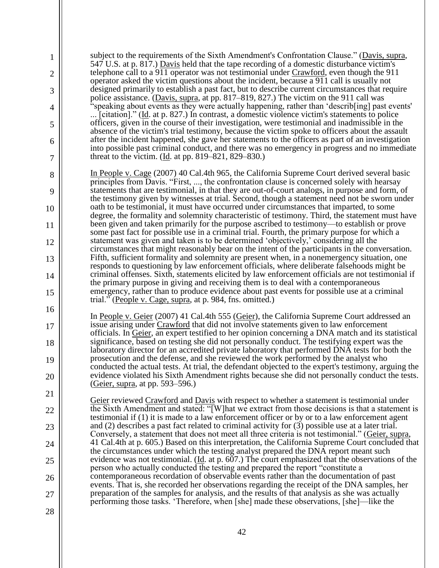| 1<br>$\overline{2}$ | subject to the requirements of the Sixth Amendment's Confrontation Clause." (Davis, supra,<br>547 U.S. at p. 817.) Davis held that the tape recording of a domestic disturbance victim's<br>telephone call to a 911 operator was not testimonial under Crawford, even though the 911                     |
|---------------------|----------------------------------------------------------------------------------------------------------------------------------------------------------------------------------------------------------------------------------------------------------------------------------------------------------|
| 3                   | operator asked the victim questions about the incident, because a 911 call is usually not<br>designed primarily to establish a past fact, but to describe current circumstances that require                                                                                                             |
| 4                   | police assistance. (Davis, supra, at pp. 817–819, 827.) The victim on the 911 call was<br>'speaking about events as they were actually happening, rather than 'describ[ing] past events'<br>[citation]." ( $\underline{Id}$ . at p. 827.) In contrast, a domestic violence victim's statements to police |
| 5                   | officers, given in the course of their investigation, were testimonial and inadmissible in the<br>absence of the victim's trial testimony, because the victim spoke to officers about the assault                                                                                                        |
| 6                   | after the incident happened, she gave her statements to the officers as part of an investigation<br>into possible past criminal conduct, and there was no emergency in progress and no immediate                                                                                                         |
| 7                   | threat to the victim. $(Id. at pp. 819-821, 829-830.)$                                                                                                                                                                                                                                                   |
| 8                   | In People v. Cage (2007) 40 Cal.4th 965, the California Supreme Court derived several basic<br>principles from Davis. "First, , the confrontation clause is concerned solely with hearsay                                                                                                                |
| 9                   | statements that are testimonial, in that they are out-of-court analogs, in purpose and form, of<br>the testimony given by witnesses at trial. Second, though a statement need not be sworn under                                                                                                         |
| 10                  | oath to be testimonial, it must have occurred under circumstances that imparted, to some<br>degree, the formality and solemnity characteristic of testimony. Third, the statement must have                                                                                                              |
| 11                  | been given and taken primarily for the purpose ascribed to testimony—to establish or prove<br>some past fact for possible use in a criminal trial. Fourth, the primary purpose for which a                                                                                                               |
| 12                  | statement was given and taken is to be determined 'objectively,' considering all the<br>circumstances that might reasonably bear on the intent of the participants in the conversation.<br>Fifth, sufficient formality and solemnity are present when, in a nonemergency situation, one                  |
| 13<br>14            | responds to questioning by law enforcement officials, where deliberate falsehoods might be<br>criminal offenses. Sixth, statements elicited by law enforcement officials are not testimonial if                                                                                                          |
| 15                  | the primary purpose in giving and receiving them is to deal with a contemporaneous<br>emergency, rather than to produce evidence about past events for possible use at a criminal                                                                                                                        |
| 16                  | trial." (People v. Cage, supra, at p. 984, fns. omitted.)                                                                                                                                                                                                                                                |
| 17                  | In People v. Geier (2007) 41 Cal.4th 555 (Geier), the California Supreme Court addressed an<br>issue arising under Crawford that did not involve statements given to law enforcement<br>officials. In Geier, an expert testified to her opinion concerning a DNA match and its statistical               |
| 18                  | significance, based on testing she did not personally conduct. The testifying expert was the<br>laboratory director for an accredited private laboratory that performed DNA tests for both the                                                                                                           |
| 19                  | prosecution and the defense, and she reviewed the work performed by the analyst who<br>conducted the actual tests. At trial, the defendant objected to the expert's testimony, arguing the                                                                                                               |
| 20                  | evidence violated his Sixth Amendment rights because she did not personally conduct the tests.<br>(Geier, supra, at pp. 593–596.)                                                                                                                                                                        |
| 21                  | Geier reviewed Crawford and Davis with respect to whether a statement is testimonial under                                                                                                                                                                                                               |
| 22                  | the Sixth Amendment and stated: "[W]hat we extract from those decisions is that a statement is<br>testimonial if (1) it is made to a law enforcement officer or by or to a law enforcement agent                                                                                                         |
| 23                  | and $(2)$ describes a past fact related to criminal activity for $(3)$ possible use at a later trial.<br>Conversely, a statement that does not meet all three criteria is not testimonial." (Geier, supra,                                                                                               |
| 24                  | 41 Cal.4th at p. 605.) Based on this interpretation, the California Supreme Court concluded that<br>the circumstances under which the testing analyst prepared the DNA report meant such                                                                                                                 |
| 25                  | evidence was not testimonial. ( $\underline{Id}$ . at p. 607.) The court emphasized that the observations of the<br>person who actually conducted the testing and prepared the report "constitute a                                                                                                      |
| 26                  | contemporaneous recordation of observable events rather than the documentation of past<br>events. That is, she recorded her observations regarding the receipt of the DNA samples, her                                                                                                                   |
| 27                  | preparation of the samples for analysis, and the results of that analysis as she was actually<br>performing those tasks. 'Therefore, when [she] made these observations, [she]—like the                                                                                                                  |
| 28                  |                                                                                                                                                                                                                                                                                                          |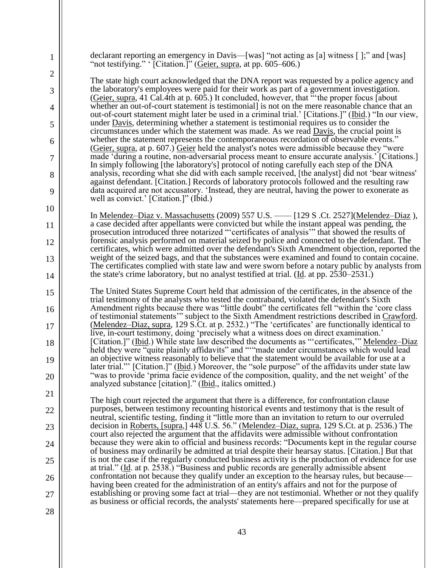declarant reporting an emergency in Davis—[was] "not acting as [a] witness [ ];" and [was] "not testifying."  $[$ Citation.]" (Geier, supra, at pp. 605–606.)

1

2

3

4

5

6

7

8

9

10

11

12

13

14

15

16

17

18

19

20

21

22

23

24

25

26

27

28

The state high court acknowledged that the DNA report was requested by a police agency and the laboratory's employees were paid for their work as part of a government investigation. (Geier, supra, 41 Cal.4th at p. 605.) It concluded, however, that "the proper focus [about] whether an out-of-court statement is testimonial] is not on the mere reasonable chance that an out-of-court statement might later be used in a criminal trial.' [Citations.]" (Ibid.) "In our view, under **Davis**, determining whether a statement is testimonial requires us to consider the circumstances under which the statement was made. As we read Davis, the crucial point is whether the statement represents the contemporaneous recordation of observable events." (Geier, supra, at p. 607.) Geier held the analyst's notes were admissible because they "were made 'during a routine, non-adversarial process meant to ensure accurate analysis.' [Citations.] In simply following [the laboratory's] protocol of noting carefully each step of the DNA analysis, recording what she did with each sample received, [the analyst] did not 'bear witness' against defendant. [Citation.] Records of laboratory protocols followed and the resulting raw data acquired are not accusatory. 'Instead, they are neutral, having the power to exonerate as well as convict.' [Citation.]" (Ibid.)

In <u>Melendez–Diaz v. Massachusetts</u> (2009) 557 U.S. —— [129 S .Ct. 2527] (Melendez–Diaz), a case decided after appellants were convicted but while the instant appeal was pending, the prosecution introduced three notarized "'certificates of analysis'" that showed the results of forensic analysis performed on material seized by police and connected to the defendant. The certificates, which were admitted over the defendant's Sixth Amendment objection, reported the weight of the seized bags, and that the substances were examined and found to contain cocaine. The certificates complied with state law and were sworn before a notary public by analysts from the state's crime laboratory, but no analyst testified at trial. (Id. at pp. 2530–2531.)

The United States Supreme Court held that admission of the certificates, in the absence of the trial testimony of the analysts who tested the contraband, violated the defendant's Sixth Amendment rights because there was "little doubt" the certificates fell "within the 'core class of testimonial statements'" subject to the Sixth Amendment restrictions described in Crawford. (Melendez–Diaz, supra, 129 S.Ct. at p. 2532.) "The 'certificates' are functionally identical to live, in-court testimony, doing 'precisely what a witness does on direct examination.' [Citation.]" (Ibid.) While state law described the documents as "'certificates,'" Melendez–Diaz held they were "quite plainly affidavits" and ""made under circumstances which would lead an objective witness reasonably to believe that the statement would be available for use at a later trial."' [Citation.]" (*Ibid.*) Moreover, the "sole purpose" of the affidavits under state law "was to provide 'prima facie evidence of the composition, quality, and the net weight' of the analyzed substance [citation]." (Ibid., italics omitted.)

The high court rejected the argument that there is a difference, for confrontation clause purposes, between testimony recounting historical events and testimony that is the result of neutral, scientific testing, finding it "little more than an invitation to return to our overruled decision in <u>Roberts, [supra,]</u> 448 U.S. 56." (<u>Melendez–Diaz, supra</u>, 129 S.Ct. at p. 2536.) The court also rejected the argument that the affidavits were admissible without confrontation because they were akin to official and business records: "Documents kept in the regular course of business may ordinarily be admitted at trial despite their hearsay status. [Citation.] But that is not the case if the regularly conducted business activity is the production of evidence for use at trial." (Id. at p. 2538.) "Business and public records are generally admissible absent confrontation not because they qualify under an exception to the hearsay rules, but because having been created for the administration of an entity's affairs and not for the purpose of establishing or proving some fact at trial—they are not testimonial. Whether or not they qualify as business or official records, the analysts' statements here—prepared specifically for use at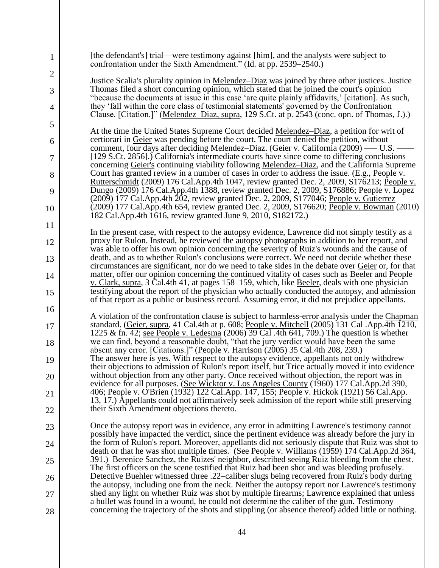| 1              | [the defendant's] trial—were testimony against [him], and the analysts were subject to<br>confrontation under the Sixth Amendment." (Id. at pp. 2539–2540.)                                                                                                                                          |
|----------------|------------------------------------------------------------------------------------------------------------------------------------------------------------------------------------------------------------------------------------------------------------------------------------------------------|
| $\overline{c}$ | Justice Scalia's plurality opinion in Melendez-Diaz was joined by three other justices. Justice                                                                                                                                                                                                      |
| 3              | Thomas filed a short concurring opinion, which stated that he joined the court's opinion<br>"because the documents at issue in this case 'are quite plainly affidavits,' [citation]. As such,                                                                                                        |
| 4              | they 'fall within the core class of testimonial statements' governed by the Confrontation<br>Clause. [Citation.]" (Melendez-Diaz, supra, 129 S.Ct. at p. 2543 (conc. opn. of Thomas, J.).)                                                                                                           |
| 5              | At the time the United States Supreme Court decided Melendez–Diaz, a petition for writ of                                                                                                                                                                                                            |
| 6              | certiorari in Geier was pending before the court. The court denied the petition, without<br>comment, four days after deciding Melendez-Diaz. (Geier v. California (2009) — U.S. -                                                                                                                    |
| 7              | [129 S.Ct. 2856].) California's intermediate courts have since come to differing conclusions<br>concerning Geier's continuing viability following Melendez-Diaz, and the California Supreme                                                                                                          |
| 8              | Court has granted review in a number of cases in order to address the issue. (E.g., People v.<br>Rutterschmidt (2009) 176 Cal.App.4th 1047, review granted Dec. 2, 2009, S176213; People v.                                                                                                          |
| 9              | Dungo (2009) 176 Cal.App.4th 1388, review granted Dec. 2, 2009, S176886; People v. Lopez<br>(2009) 177 Cal.App.4th 202, review granted Dec. 2, 2009, S177046; People v. Gutierrez                                                                                                                    |
| 10             | (2009) 177 Cal.App.4th 654, review granted Dec. 2, 2009, S176620; People v. Bowman (2010)<br>182 Cal. App. 4th 1616, review granted June 9, 2010, S182172.)                                                                                                                                          |
| 11             |                                                                                                                                                                                                                                                                                                      |
| 12             | In the present case, with respect to the autopsy evidence, Lawrence did not simply testify as a<br>proxy for Rulon. Instead, he reviewed the autopsy photographs in addition to her report, and<br>was able to offer his own opinion concerning the severity of Ruiz's wounds and the cause of       |
| 13             | death, and as to whether Rulon's conclusions were correct. We need not decide whether these                                                                                                                                                                                                          |
| 14             | circumstances are significant, nor do we need to take sides in the debate over Geier or, for that<br>matter, offer our opinion concerning the continued vitality of cases such as Beeler and People<br>v. Clark, supra, 3 Cal.4th 41, at pages 158–159, which, like Beeler, deals with one physician |
| 15             | testifying about the report of the physician who actually conducted the autopsy, and admission<br>of that report as a public or business record. Assuming error, it did not prejudice appellants.                                                                                                    |
| 16             | A violation of the confrontation clause is subject to harmless-error analysis under the Chapman                                                                                                                                                                                                      |
| 17             | standard. (Geier, supra, 41 Cal.4th at p. 608; People v. Mitchell (2005) 131 Cal. App.4th 1210,<br>1225 & fn. 42; see People v. Ledesma (2006) 39 Cal .4th 641, 709.) The question is whether                                                                                                        |
| 18             | we can find, beyond a reasonable doubt, "that the jury verdict would have been the same<br>absent any error. [Citations.]" (People v. Harrison (2005) 35 Cal.4th 208, 239.)                                                                                                                          |
| 19             | The answer here is yes. With respect to the autopsy evidence, appellants not only withdrew<br>their objections to admission of Rulon's report itself, but Trice actually moved it into evidence                                                                                                      |
| 20             | without objection from any other party. Once received without objection, the report was in<br>evidence for all purposes. (See Wicktor v. Los Angeles County (1960) 177 Cal.App.2d 390,                                                                                                               |
| 21             | 406; People v. O'Brien (1932) 122 Cal.App. 147, 155; People v. Hickok (1921) 56 Cal.App.<br>13, 17.) Appellants could not affirmatively seek admission of the report while still preserving                                                                                                          |
| 22             | their Sixth Amendment objections thereto.                                                                                                                                                                                                                                                            |
| 23             | Once the autopsy report was in evidence, any error in admitting Lawrence's testimony cannot<br>possibly have impacted the verdict, since the pertinent evidence was already before the jury in                                                                                                       |
| 24             | the form of Rulon's report. Moreover, appellants did not seriously dispute that Ruiz was shot to                                                                                                                                                                                                     |
| 25             | death or that he was shot multiple times. (See People v. Williams (1959) 174 Cal.App.2d 364,<br>391.) Berenice Sanchez, the Ruizes' neighbor, described seeing Ruiz bleeding from the chest.<br>The first officers on the scene testified that Ruiz had been shot and was bleeding profusely.        |
| 26             | Detective Buehler witnessed three .22–caliber slugs being recovered from Ruiz's body during<br>the autopsy, including one from the neck. Neither the autopsy report nor Lawrence's testimony                                                                                                         |
| 27             | shed any light on whether Ruiz was shot by multiple firearms; Lawrence explained that unless<br>a bullet was found in a wound, he could not determine the caliber of the gun. Testimony                                                                                                              |
| 28             | concerning the trajectory of the shots and stippling (or absence thereof) added little or nothing.                                                                                                                                                                                                   |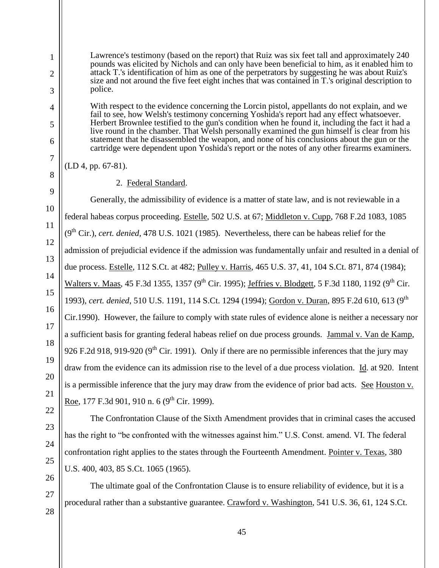Lawrence's testimony (based on the report) that Ruiz was six feet tall and approximately 240 pounds was elicited by Nichols and can only have been beneficial to him, as it enabled him to attack T.'s identification of him as one of the perpetrators by suggesting he was about Ruiz's size and not around the five feet eight inches that was contained in T.'s original description to police.

With respect to the evidence concerning the Lorcin pistol, appellants do not explain, and we fail to see, how Welsh's testimony concerning Yoshida's report had any effect whatsoever. Herbert Brownlee testified to the gun's condition when he found it, including the fact it had a live round in the chamber. That Welsh personally examined the gun himself is clear from his statement that he disassembled the weapon, and none of his conclusions about the gun or the cartridge were dependent upon Yoshida's report or the notes of any other firearms examiners.

(LD 4, pp. 67-81).

# 2. Federal Standard.

Generally, the admissibility of evidence is a matter of state law, and is not reviewable in a federal habeas corpus proceeding. Estelle, 502 U.S. at 67; Middleton v. Cupp, 768 F.2d 1083, 1085 (9th Cir.), *cert. denied,* 478 U.S. 1021 (1985). Nevertheless, there can be habeas relief for the admission of prejudicial evidence if the admission was fundamentally unfair and resulted in a denial of due process. Estelle, 112 S.Ct. at 482; Pulley v. Harris, 465 U.S. 37, 41, 104 S.Ct. 871, 874 (1984); Walters v. Maas, 45 F.3d 1355, 1357 (9<sup>th</sup> Cir. 1995); Jeffries v. Blodgett, 5 F.3d 1180, 1192 (9<sup>th</sup> Cir. 1993), *cert. denied*, 510 U.S. 1191, 114 S.Ct. 1294 (1994); Gordon v. Duran, 895 F.2d 610, 613 (9th Cir.1990). However, the failure to comply with state rules of evidence alone is neither a necessary nor a sufficient basis for granting federal habeas relief on due process grounds. Jammal v. Van de Kamp, 926 F.2d 918, 919-920 (9<sup>th</sup> Cir. 1991). Only if there are no permissible inferences that the jury may draw from the evidence can its admission rise to the level of a due process violation. Id. at 920. Intent is a permissible inference that the jury may draw from the evidence of prior bad acts. See Houston v. Roe, 177 F.3d 901, 910 n. 6 (9<sup>th</sup> Cir. 1999).

The Confrontation Clause of the Sixth Amendment provides that in criminal cases the accused has the right to "be confronted with the witnesses against him." U.S. Const. amend. VI. The federal confrontation right applies to the states through the Fourteenth Amendment. Pointer v. Texas, 380 U.S. 400, 403, 85 S.Ct. 1065 (1965).

The ultimate goal of the Confrontation Clause is to ensure reliability of evidence, but it is a procedural rather than a substantive guarantee. Crawford v. Washington, 541 U.S. 36, 61, 124 S.Ct.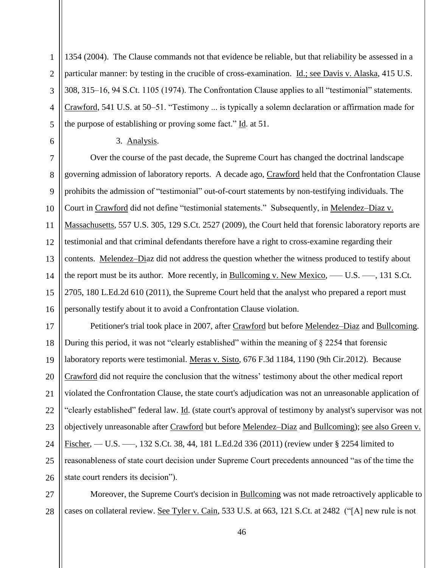1354 (2004). The Clause commands not that evidence be reliable, but that reliability be assessed in a particular manner: by testing in the crucible of cross-examination. *Id.*; see Davis v. Alaska, 415 U.S. 308, 315–16, 94 S.Ct. 1105 (1974). The Confrontation Clause applies to all "testimonial" statements. Crawford, 541 U.S. at 50–51. "Testimony ... is typically a solemn declaration or affirmation made for the purpose of establishing or proving some fact." Id. at 51.

3. Analysis.

1

2

3

4

5

6

7 8  $\mathbf{Q}$ 10 11 12 13 14 15 16 Over the course of the past decade, the Supreme Court has changed the doctrinal landscape governing admission of laboratory reports. A decade ago, Crawford held that the Confrontation Clause prohibits the admission of "testimonial" out-of-court statements by non-testifying individuals. The Court in Crawford did not define "testimonial statements." Subsequently, in Melendez–Diaz v. Massachusetts, 557 U.S. 305, 129 S.Ct. 2527 (2009), the Court held that forensic laboratory reports are testimonial and that criminal defendants therefore have a right to cross-examine regarding their contents. Melendez–Diaz did not address the question whether the witness produced to testify about the report must be its author. More recently, in Bullcoming v. New Mexico, — U.S. —, 131 S.Ct. 2705, 180 L.Ed.2d 610 (2011), the Supreme Court held that the analyst who prepared a report must personally testify about it to avoid a Confrontation Clause violation.

17 18 19 20 21 22 23 24 25 26 Petitioner's trial took place in 2007, after Crawford but before Melendez–Diaz and Bullcoming. During this period, it was not "clearly established" within the meaning of § 2254 that forensic laboratory reports were testimonial. Meras v. Sisto, 676 F.3d 1184, 1190 (9th Cir.2012). Because Crawford did not require the conclusion that the witness' testimony about the other medical report violated the Confrontation Clause, the state court's adjudication was not an unreasonable application of "clearly established" federal law. Id. (state court's approval of testimony by analyst's supervisor was not objectively unreasonable after Crawford but before Melendez–Diaz and Bullcoming); see also Green v. Fischer, — U.S. —, 132 S.Ct. 38, 44, 181 L.Ed.2d 336 (2011) (review under § 2254 limited to reasonableness of state court decision under Supreme Court precedents announced "as of the time the state court renders its decision").

27 28 Moreover, the Supreme Court's decision in Bullcoming was not made retroactively applicable to cases on collateral review. See Tyler v. Cain, 533 U.S. at 663, 121 S.Ct. at 2482 ("[A] new rule is not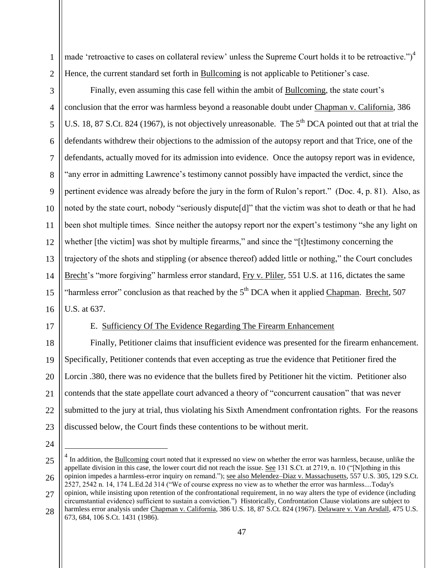made 'retroactive to cases on collateral review' unless the Supreme Court holds it to be retroactive." $)^4$ Hence, the current standard set forth in Bullcoming is not applicable to Petitioner's case.

3 4 5 6 7 8 9 10 11 12 13 Finally, even assuming this case fell within the ambit of Bullcoming, the state court's conclusion that the error was harmless beyond a reasonable doubt under Chapman v. California, 386 U.S. 18, 87 S.Ct. 824 (1967), is not objectively unreasonable. The 5<sup>th</sup> DCA pointed out that at trial the defendants withdrew their objections to the admission of the autopsy report and that Trice, one of the defendants, actually moved for its admission into evidence. Once the autopsy report was in evidence, "any error in admitting Lawrence's testimony cannot possibly have impacted the verdict, since the pertinent evidence was already before the jury in the form of Rulon's report." (Doc. 4, p. 81). Also, as noted by the state court, nobody "seriously dispute[d]" that the victim was shot to death or that he had been shot multiple times. Since neither the autopsy report nor the expert's testimony "she any light on whether [the victim] was shot by multiple firearms," and since the "[t]testimony concerning the trajectory of the shots and stippling (or absence thereof) added little or nothing," the Court concludes

14 15 16 Brecht's "more forgiving" harmless error standard, Fry v. Pliler, 551 U.S. at 116, dictates the same "harmless error" conclusion as that reached by the  $5<sup>th</sup> DCA$  when it applied Chapman. Brecht, 507 U.S. at 637.

17

1

2

## E. Sufficiency Of The Evidence Regarding The Firearm Enhancement

18 19 20 21 22 23 Finally, Petitioner claims that insufficient evidence was presented for the firearm enhancement. Specifically, Petitioner contends that even accepting as true the evidence that Petitioner fired the Lorcin .380, there was no evidence that the bullets fired by Petitioner hit the victim. Petitioner also contends that the state appellate court advanced a theory of "concurrent causation" that was never submitted to the jury at trial, thus violating his Sixth Amendment confrontation rights. For the reasons discussed below, the Court finds these contentions to be without merit.

24

 $\overline{a}$ 

28 harmless error analysis under Chapman v. California, 386 U.S. 18, 87 S.Ct. 824 (1967). Delaware v. Van Arsdall, 475 U.S. 673, 684, 106 S.Ct. 1431 (1986).

<sup>25</sup> 26 27  $<sup>4</sup>$  In addition, the **Bullcoming** court noted that it expressed no view on whether the error was harmless, because, unlike the</sup> appellate division in this case, the lower court did not reach the issue. See 131 S.Ct. at 2719, n. 10 ("[N]othing in this opinion impedes a harmless-error inquiry on remand."); see also Melendez–Diaz v. Massachusetts, 557 U.S. 305, 129 S.Ct. 2527, 2542 n. 14, 174 L.Ed.2d 314 ("We of course express no view as to whether the error was harmless....Today's opinion, while insisting upon retention of the confrontational requirement, in no way alters the type of evidence (including circumstantial evidence) sufficient to sustain a conviction.") Historically, Confrontation Clause violations are subject to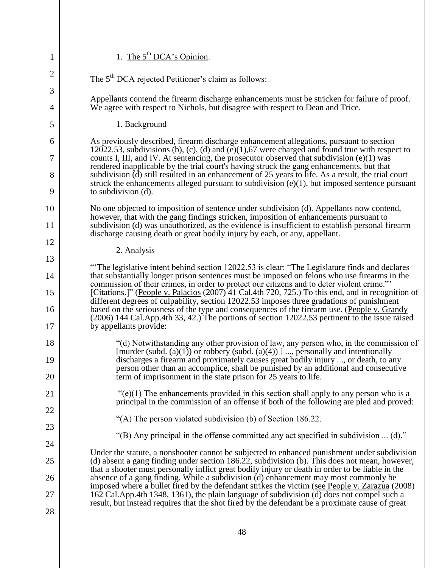| 1                                                                                                  | 1. The $5th DCA's Opinion.$                                                                                                                                                                                                                                                                       |
|----------------------------------------------------------------------------------------------------|---------------------------------------------------------------------------------------------------------------------------------------------------------------------------------------------------------------------------------------------------------------------------------------------------|
| $\overline{c}$                                                                                     | The 5 <sup>th</sup> DCA rejected Petitioner's claim as follows:                                                                                                                                                                                                                                   |
| 3<br>4                                                                                             | Appellants contend the firearm discharge enhancements must be stricken for failure of proof.<br>We agree with respect to Nichols, but disagree with respect to Dean and Trice.                                                                                                                    |
| 5                                                                                                  | 1. Background                                                                                                                                                                                                                                                                                     |
| 6                                                                                                  | As previously described, firearm discharge enhancement allegations, pursuant to section                                                                                                                                                                                                           |
| 7<br>rendered inapplicable by the trial court's having struck the gang enhancements, but that<br>8 | 12022.53, subdivisions (b), (c), (d) and (e)(1),67 were charged and found true with respect to<br>counts I, III, and IV. At sentencing, the prosecutor observed that subdivision $(e)(1)$ was                                                                                                     |
|                                                                                                    | subdivision $(d)$ still resulted in an enhancement of 25 years to life. As a result, the trial court<br>struck the enhancements alleged pursuant to subdivision $(e)(1)$ , but imposed sentence pursuant                                                                                          |
| 9                                                                                                  | to subdivision (d).                                                                                                                                                                                                                                                                               |
| 10                                                                                                 | No one objected to imposition of sentence under subdivision (d). Appellants now contend,<br>however, that with the gang findings stricken, imposition of enhancements pursuant to                                                                                                                 |
| 11                                                                                                 | subdivision (d) was unauthorized, as the evidence is insufficient to establish personal firearm<br>discharge causing death or great bodily injury by each, or any, appellant.                                                                                                                     |
| 12                                                                                                 | 2. Analysis                                                                                                                                                                                                                                                                                       |
| 13                                                                                                 | "The legislative intent behind section 12022.53 is clear: "The Legislature finds and declares"                                                                                                                                                                                                    |
| 14<br>15                                                                                           | that substantially longer prison sentences must be imposed on felons who use firearms in the<br>commission of their crimes, in order to protect our citizens and to deter violent crime."<br>[Citations.]" (People v. Palacios (2007) 41 Cal.4th 720, 725.) To this end, and in recognition of    |
| 16                                                                                                 | different degrees of culpability, section 12022.53 imposes three gradations of punishment<br>based on the seriousness of the type and consequences of the firearm use. (People v. Grandy<br>(2006) 144 Cal.App.4th 33, 42.) The portions of section 12022.53 pertinent to the issue raised        |
| 17                                                                                                 | by appellants provide:                                                                                                                                                                                                                                                                            |
| 18<br>19                                                                                           | "(d) Notwithstanding any other provision of law, any person who, in the commission of<br>[murder (subd. $(a)(1)$ ) or robbery (subd. $(a)(4)$ )] , personally and intentionally<br>discharges a firearm and proximately causes great bodily injury , or death, to any                             |
| 20                                                                                                 | person other than an accomplice, shall be punished by an additional and consecutive<br>term of imprisonment in the state prison for 25 years to life.                                                                                                                                             |
| 21                                                                                                 | " $(e)(1)$ The enhancements provided in this section shall apply to any person who is a<br>principal in the commission of an offense if both of the following are pled and proved:                                                                                                                |
| 22                                                                                                 |                                                                                                                                                                                                                                                                                                   |
| 23                                                                                                 | "(A) The person violated subdivision (b) of Section 186.22.                                                                                                                                                                                                                                       |
| 24                                                                                                 | "(B) Any principal in the offense committed any act specified in subdivision $\dots$ (d)."                                                                                                                                                                                                        |
| 25                                                                                                 | Under the statute, a nonshooter cannot be subjected to enhanced punishment under subdivision<br>(d) absent a gang finding under section 186.22, subdivision (b). This does not mean, however,<br>that a shooter must personally inflict great bodily injury or death in order to be liable in the |
| 26                                                                                                 | absence of a gang finding. While a subdivision (d) enhancement may most commonly be<br>imposed where a bullet fired by the defendant strikes the victim (see People v. Zarazua (2008)                                                                                                             |
| 27                                                                                                 | 162 Cal. App. 4th 1348, 1361), the plain language of subdivision (d) does not compel such a<br>result, but instead requires that the shot fired by the defendant be a proximate cause of great                                                                                                    |
| 28                                                                                                 |                                                                                                                                                                                                                                                                                                   |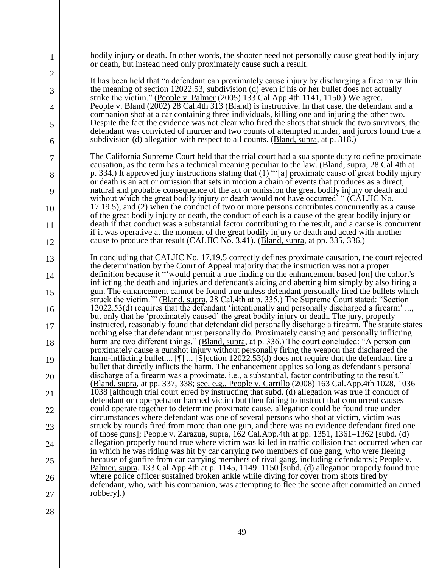| 1              | bodily injury or death. In other words, the shooter need not personally cause great bodily injury<br>or death, but instead need only proximately cause such a result.                                     |
|----------------|-----------------------------------------------------------------------------------------------------------------------------------------------------------------------------------------------------------|
| $\overline{2}$ | It has been held that "a defendant can proximately cause injury by discharging a firearm within                                                                                                           |
| 3              | the meaning of section 12022.53, subdivision (d) even if his or her bullet does not actually<br>strike the victim." (People v. Palmer (2005) 133 Cal.App.4th 1141, 1150.) We agree.                       |
| 4              | People v. Bland (2002) 28 Cal.4th 313 (Bland) is instructive. In that case, the defendant and a<br>companion shot at a car containing three individuals, killing one and injuring the other two.          |
| 5              | Despite the fact the evidence was not clear who fired the shots that struck the two survivors, the<br>defendant was convicted of murder and two counts of attempted murder, and jurors found true a       |
| 6              | subdivision (d) allegation with respect to all counts. (Bland, supra, at p. 318.)                                                                                                                         |
| 7              | The California Supreme Court held that the trial court had a sua sponte duty to define proximate<br>causation, as the term has a technical meaning peculiar to the law. (Bland, supra, 28 Cal.4th at      |
| 8              | p. 334.) It approved jury instructions stating that $(1)$ "'[a] proximate cause of great bodily injury<br>or death is an act or omission that sets in motion a chain of events that produces as a direct, |
| 9              | natural and probable consequence of the act or omission the great bodily injury or death and<br>without which the great bodily injury or death would not have occurred' " (CALJIC No.                     |
| 10             | 17.19.5), and (2) when the conduct of two or more persons contributes concurrently as a cause<br>of the great bodily injury or death, the conduct of each is a cause of the great bodily injury or        |
| 11             | death if that conduct was a substantial factor contributing to the result, and a cause is concurrent<br>if it was operative at the moment of the great bodily injury or death and acted with another      |
| 12             | cause to produce that result (CALJIC No. 3.41). (Bland, supra, at pp. 335, 336.)                                                                                                                          |
| 13             | In concluding that CALJIC No. 17.19.5 correctly defines proximate causation, the court rejected<br>the determination by the Court of Appeal majority that the instruction was not a proper                |
| 14             | definition because it "'would permit a true finding on the enhancement based [on] the cohort's<br>inflicting the death and injuries and defendant's aiding and abetting him simply by also firing a       |
| 15             | gun. The enhancement cannot be found true unless defendant personally fired the bullets which<br>struck the victim."" (Bland, supra, 28 Cal.4th at p. 335.) The Supreme Court stated: "Section            |
| 16             | 12022.53(d) requires that the defendant 'intentionally and personally discharged a firearm'<br>but only that he 'proximately caused' the great bodily injury or death. The jury, properly                 |
| 17             | instructed, reasonably found that defendant did personally discharge a firearm. The statute states<br>nothing else that defendant must personally do. Proximately causing and personally inflicting       |
| 18             | harm are two different things." (Bland, supra, at p. 336.) The court concluded: "A person can<br>proximately cause a gunshot injury without personally firing the weapon that discharged the              |
| 19             | harm-inflicting bullet [1]  [S] ection 12022.53(d) does not require that the defendant fire a<br>bullet that directly inflicts the harm. The enhancement applies so long as defendant's personal          |
| 20             | discharge of a firearm was a proximate, i.e., a substantial, factor contributing to the result."<br>(Bland, supra, at pp. 337, 338; see, e.g., People v. Carrillo (2008) 163 Cal. App. 4th 1028, 1036–    |
| 21             | 1038 [although trial court erred by instructing that subd. (d) allegation was true if conduct of<br>defendant or coperpetrator harmed victim but then failing to instruct that concurrent causes          |
| 22             | could operate together to determine proximate cause, allegation could be found true under                                                                                                                 |
| 23             | circumstances where defendant was one of several persons who shot at victim, victim was<br>struck by rounds fired from more than one gun, and there was no evidence defendant fired one                   |
| 24             | of those guns]; People v. Zarazua, supra, 162 Cal.App.4th at pp. 1351, 1361–1362 [subd. (d)<br>allegation properly found true where victim was killed in traffic collision that occurred when car         |
| 25             | in which he was riding was hit by car carrying two members of one gang, who were fleeing<br>because of gunfire from car carrying members of rival gang, including defendants]; People v.                  |
| 26             | Palmer, supra, 133 Cal.App.4th at p. 1145, 1149–1150 [subd. (d) allegation properly found true<br>where police officer sustained broken ankle while diving for cover from shots fired by                  |
| 27             | defendant, who, with his companion, was attempting to flee the scene after committed an armed<br>robbery].)                                                                                               |
| $\Omega$       |                                                                                                                                                                                                           |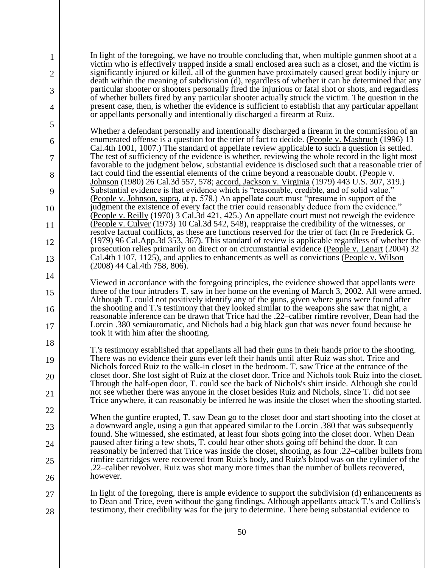In light of the foregoing, we have no trouble concluding that, when multiple gunmen shoot at a victim who is effectively trapped inside a small enclosed area such as a closet, and the victim is significantly injured or killed, all of the gunmen have proximately caused great bodily injury or death within the meaning of subdivision (d), regardless of whether it can be determined that any particular shooter or shooters personally fired the injurious or fatal shot or shots, and regardless of whether bullets fired by any particular shooter actually struck the victim. The question in the present case, then, is whether the evidence is sufficient to establish that any particular appellant or appellants personally and intentionally discharged a firearm at Ruiz.

1

2

3

4

5

6

7

8

9

10

11

12

13

14

15

16

17

18

19

20

21

22

23

24

25

26

Whether a defendant personally and intentionally discharged a firearm in the commission of an enumerated offense is a question for the trier of fact to decide. (People v. Masbruch (1996) 13 Cal.4th 1001, 1007.) The standard of appellate review applicable to such a question is settled. The test of sufficiency of the evidence is whether, reviewing the whole record in the light most favorable to the judgment below, substantial evidence is disclosed such that a reasonable trier of fact could find the essential elements of the crime beyond a reasonable doubt. (People v. Johnson (1980) 26 Cal.3d 557, 578; accord, Jackson v. Virginia (1979) 443 U.S. 307, 319.) Substantial evidence is that evidence which is "reasonable, credible, and of solid value." (People v. Johnson, supra, at p. 578.) An appellate court must "presume in support of the judgment the existence of every fact the trier could reasonably deduce from the evidence." (People v. Reilly (1970) 3 Cal.3d 421, 425.) An appellate court must not reweigh the evidence (People v. Culver (1973) 10 Cal.3d 542, 548), reappraise the credibility of the witnesses, or resolve factual conflicts, as these are functions reserved for the trier of fact (In re Frederick G. (1979) 96 Cal.App.3d 353, 367). This standard of review is applicable regardless of whether the prosecution relies primarily on direct or on circumstantial evidence (People v. Lenart (2004) 32 Cal.4th 1107, 1125), and applies to enhancements as well as convictions (People v. Wilson (2008) 44 Cal.4th 758, 806).

Viewed in accordance with the foregoing principles, the evidence showed that appellants were three of the four intruders T. saw in her home on the evening of March 3, 2002. All were armed. Although T. could not positively identify any of the guns, given where guns were found after the shooting and T.'s testimony that they looked similar to the weapons she saw that night, a reasonable inference can be drawn that Trice had the .22–caliber rimfire revolver, Dean had the Lorcin .380 semiautomatic, and Nichols had a big black gun that was never found because he took it with him after the shooting.

T.'s testimony established that appellants all had their guns in their hands prior to the shooting. There was no evidence their guns ever left their hands until after Ruiz was shot. Trice and Nichols forced Ruiz to the walk-in closet in the bedroom. T. saw Trice at the entrance of the closet door. She lost sight of Ruiz at the closet door. Trice and Nichols took Ruiz into the closet. Through the half-open door, T. could see the back of Nichols's shirt inside. Although she could not see whether there was anyone in the closet besides Ruiz and Nichols, since T. did not see Trice anywhere, it can reasonably be inferred he was inside the closet when the shooting started.

When the gunfire erupted, T. saw Dean go to the closet door and start shooting into the closet at a downward angle, using a gun that appeared similar to the Lorcin .380 that was subsequently found. She witnessed, she estimated, at least four shots going into the closet door. When Dean paused after firing a few shots, T. could hear other shots going off behind the door. It can reasonably be inferred that Trice was inside the closet, shooting, as four .22–caliber bullets from rimfire cartridges were recovered from Ruiz's body, and Ruiz's blood was on the cylinder of the .22–caliber revolver. Ruiz was shot many more times than the number of bullets recovered, however.

27 28 In light of the foregoing, there is ample evidence to support the subdivision (d) enhancements as to Dean and Trice, even without the gang findings. Although appellants attack T.'s and Collins's testimony, their credibility was for the jury to determine. There being substantial evidence to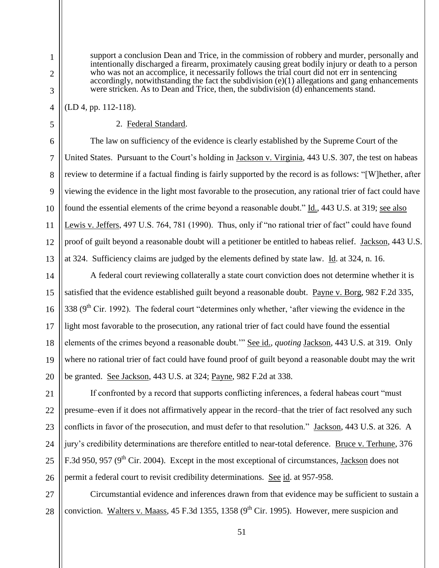support a conclusion Dean and Trice, in the commission of robbery and murder, personally and intentionally discharged a firearm, proximately causing great bodily injury or death to a person who was not an accomplice, it necessarily follows the trial court did not err in sentencing accordingly, notwithstanding the fact the subdivision (e)(1) allegations and gang enhancements were stricken. As to Dean and Trice, then, the subdivision (d) enhancements stand.

(LD 4, pp. 112-118).

### 2. Federal Standard.

The law on sufficiency of the evidence is clearly established by the Supreme Court of the United States. Pursuant to the Court's holding in Jackson v. Virginia, 443 U.S. 307, the test on habeas review to determine if a factual finding is fairly supported by the record is as follows: "[W]hether, after viewing the evidence in the light most favorable to the prosecution, any rational trier of fact could have found the essential elements of the crime beyond a reasonable doubt." Id., 443 U.S. at 319; see also Lewis v. Jeffers, 497 U.S. 764, 781 (1990). Thus, only if "no rational trier of fact" could have found proof of guilt beyond a reasonable doubt will a petitioner be entitled to habeas relief. Jackson, 443 U.S. at 324. Sufficiency claims are judged by the elements defined by state law. Id. at 324, n. 16.

A federal court reviewing collaterally a state court conviction does not determine whether it is satisfied that the evidence established guilt beyond a reasonable doubt. Payne v. Borg, 982 F.2d 335,  $338$  (9<sup>th</sup> Cir. 1992). The federal court "determines only whether, 'after viewing the evidence in the light most favorable to the prosecution, any rational trier of fact could have found the essential elements of the crimes beyond a reasonable doubt.'" See id., *quoting* Jackson, 443 U.S. at 319. Only where no rational trier of fact could have found proof of guilt beyond a reasonable doubt may the writ be granted. See Jackson, 443 U.S. at 324; Payne, 982 F.2d at 338.

If confronted by a record that supports conflicting inferences, a federal habeas court "must presume–even if it does not affirmatively appear in the record–that the trier of fact resolved any such conflicts in favor of the prosecution, and must defer to that resolution." Jackson, 443 U.S. at 326. A jury's credibility determinations are therefore entitled to near-total deference. Bruce v. Terhune, 376 F.3d 950, 957 ( $9<sup>th</sup>$  Cir. 2004). Except in the most exceptional of circumstances, Jackson does not permit a federal court to revisit credibility determinations. See id. at 957-958.

28 Circumstantial evidence and inferences drawn from that evidence may be sufficient to sustain a conviction. Walters v. Maass, 45 F.3d 1355, 1358 ( $9<sup>th</sup>$  Cir. 1995). However, mere suspicion and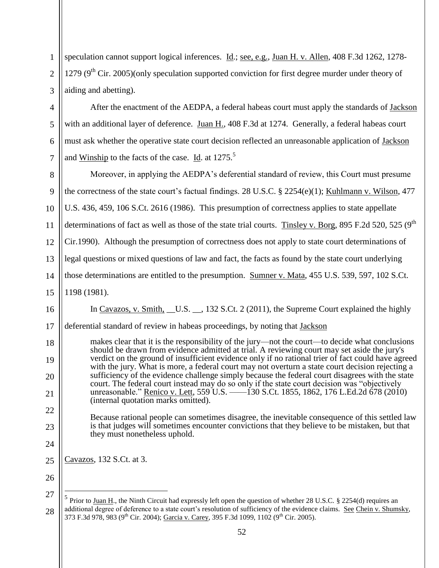1 2 3 speculation cannot support logical inferences. Id.; see, e.g., Juan H. v. Allen, 408 F.3d 1262, 1278- 1279 ( $9<sup>th</sup>$  Cir. 2005)(only speculation supported conviction for first degree murder under theory of aiding and abetting).

After the enactment of the AEDPA, a federal habeas court must apply the standards of Jackson with an additional layer of deference. Juan H., 408 F.3d at 1274. Generally, a federal habeas court must ask whether the operative state court decision reflected an unreasonable application of Jackson and <u>Winship</u> to the facts of the case. Id. at  $1275$ <sup>5</sup>

8 9 10 11 12 13 14 15 Moreover, in applying the AEDPA's deferential standard of review, this Court must presume the correctness of the state court's factual findings. 28 U.S.C. § 2254(e)(1); Kuhlmann v. Wilson, 477 U.S. 436, 459, 106 S.Ct. 2616 (1986). This presumption of correctness applies to state appellate determinations of fact as well as those of the state trial courts. Tinsley v. Borg, 895 F.2d 520, 525 (9<sup>th</sup>) Cir.1990). Although the presumption of correctness does not apply to state court determinations of legal questions or mixed questions of law and fact, the facts as found by the state court underlying those determinations are entitled to the presumption. Sumner v. Mata, 455 U.S. 539, 597, 102 S.Ct. 1198 (1981).

In Cavazos, v. Smith, U.S.  $\,$ , 132 S.Ct. 2 (2011), the Supreme Court explained the highly

17 deferential standard of review in habeas proceedings, by noting that Jackson

makes clear that it is the responsibility of the jury—not the court—to decide what conclusions should be drawn from evidence admitted at trial. A reviewing court may set aside the jury's verdict on the ground of insufficient evidence only if no rational trier of fact could have agreed with the jury. What is more, a federal court may not overturn a state court decision rejecting a sufficiency of the evidence challenge simply because the federal court disagrees with the state court. The federal court instead may do so only if the state court decision was "objectively unreasonable." Renico v. Lett, 559 U.S. ––––130 S.Ct. 1855, 1862, 176 L.Ed.2d 678 (2010) (internal quotation marks omitted).

Because rational people can sometimes disagree, the inevitable consequence of this settled law is that judges will sometimes encounter convictions that they believe to be mistaken, but that they must nonetheless uphold.

25 Cavazos, 132 S.Ct. at 3.

26 27

 $\overline{a}$ 

4

5

6

7

16

18

19

20

21

22

23

<sup>28</sup> 5 Prior to Juan H., the Ninth Circuit had expressly left open the question of whether 28 U.S.C. § 2254(d) requires an additional degree of deference to a state court's resolution of sufficiency of the evidence claims. See Chein v. Shumsky, 373 F.3d 978, 983 (9<sup>th</sup> Cir. 2004); Garcia v. Carey, 395 F.3d 1099, 1102 (9<sup>th</sup> Cir. 2005).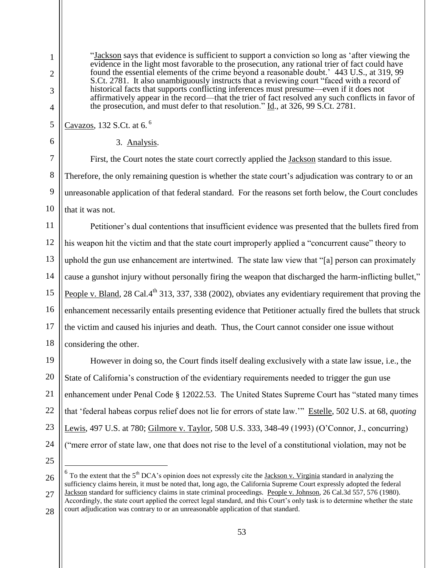6

7

8

 $\mathbf{Q}$ 

10

Cavazos, 132 S.Ct. at 6. <sup>6</sup>

First, the Court notes the state court correctly applied the Jackson standard to this issue. Therefore, the only remaining question is whether the state court's adjudication was contrary to or an unreasonable application of that federal standard. For the reasons set forth below, the Court concludes that it was not.

the prosecution, and must defer to that resolution."  $\underline{Id}$ ., at 326, 99 S.Ct. 2781.

"Jackson says that evidence is sufficient to support a conviction so long as 'after viewing the evidence in the light most favorable to the prosecution, any rational trier of fact could have found the essential elements of the crime beyond a reasonable doubt.' 443 U.S., at 319, 99 S.Ct. 2781. It also unambiguously instructs that a reviewing court "faced with a record of historical facts that supports conflicting inferences must presume—even if it does not

affirmatively appear in the record—that the trier of fact resolved any such conflicts in favor of

11 12 13 14 15 16 17 18 Petitioner's dual contentions that insufficient evidence was presented that the bullets fired from his weapon hit the victim and that the state court improperly applied a "concurrent cause" theory to uphold the gun use enhancement are intertwined. The state law view that "[a] person can proximately cause a gunshot injury without personally firing the weapon that discharged the harm-inflicting bullet," People v. Bland, 28 Cal.4<sup>th</sup> 313, 337, 338 (2002), obviates any evidentiary requirement that proving the enhancement necessarily entails presenting evidence that Petitioner actually fired the bullets that struck the victim and caused his injuries and death. Thus, the Court cannot consider one issue without considering the other.

19 20 22 23 24 However in doing so, the Court finds itself dealing exclusively with a state law issue, i.e., the State of California's construction of the evidentiary requirements needed to trigger the gun use enhancement under Penal Code § 12022.53. The United States Supreme Court has "stated many times that 'federal habeas corpus relief does not lie for errors of state law.'" Estelle, 502 U.S. at 68, *quoting* Lewis, 497 U.S. at 780; Gilmore v. Taylor, 508 U.S. 333, 348-49 (1993) (O'Connor, J., concurring) ("mere error of state law, one that does not rise to the level of a constitutional violation, may not be

25

 $\overline{a}$ 

<sup>3.</sup> Analysis.

<sup>26</sup> 27 28  $6$  To the extent that the 5<sup>th</sup> DCA's opinion does not expressly cite the **Jackson v. Virginia** standard in analyzing the sufficiency claims herein, it must be noted that, long ago, the California Supreme Court expressly adopted the federal Jackson standard for sufficiency claims in state criminal proceedings. People v. Johnson, 26 Cal.3d 557, 576 (1980). Accordingly, the state court applied the correct legal standard, and this Court's only task is to determine whether the state court adjudication was contrary to or an unreasonable application of that standard.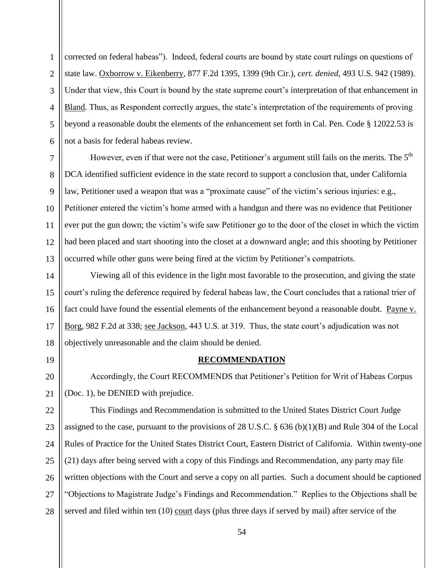1 2 3 4 5 6 corrected on federal habeas"). Indeed, federal courts are bound by state court rulings on questions of state law. Oxborrow v. Eikenberry, 877 F.2d 1395, 1399 (9th Cir.), *cert. denied*, 493 U.S. 942 (1989). Under that view, this Court is bound by the state supreme court's interpretation of that enhancement in Bland. Thus, as Respondent correctly argues, the state's interpretation of the requirements of proving beyond a reasonable doubt the elements of the enhancement set forth in Cal. Pen. Code § 12022.53 is not a basis for federal habeas review.

9 10 12 13 However, even if that were not the case, Petitioner's argument still fails on the merits. The  $5<sup>th</sup>$ DCA identified sufficient evidence in the state record to support a conclusion that, under California law, Petitioner used a weapon that was a "proximate cause" of the victim's serious injuries: e.g., Petitioner entered the victim's home armed with a handgun and there was no evidence that Petitioner ever put the gun down; the victim's wife saw Petitioner go to the door of the closet in which the victim had been placed and start shooting into the closet at a downward angle; and this shooting by Petitioner occurred while other guns were being fired at the victim by Petitioner's compatriots.

14 15 16 17 18 Viewing all of this evidence in the light most favorable to the prosecution, and giving the state court's ruling the deference required by federal habeas law, the Court concludes that a rational trier of fact could have found the essential elements of the enhancement beyond a reasonable doubt. Payne v. Borg, 982 F.2d at 338; see Jackson, 443 U.S. at 319. Thus, the state court's adjudication was not objectively unreasonable and the claim should be denied.

19

20

21

7

8

11

**RECOMMENDATION**

Accordingly, the Court RECOMMENDS that Petitioner's Petition for Writ of Habeas Corpus (Doc. 1), be DENIED with prejudice.

22 23 24 25 26 27 28 This Findings and Recommendation is submitted to the United States District Court Judge assigned to the case, pursuant to the provisions of 28 U.S.C. § 636 (b)(1)(B) and Rule 304 of the Local Rules of Practice for the United States District Court, Eastern District of California. Within twenty-one (21) days after being served with a copy of this Findings and Recommendation, any party may file written objections with the Court and serve a copy on all parties. Such a document should be captioned "Objections to Magistrate Judge's Findings and Recommendation." Replies to the Objections shall be served and filed within ten (10) court days (plus three days if served by mail) after service of the